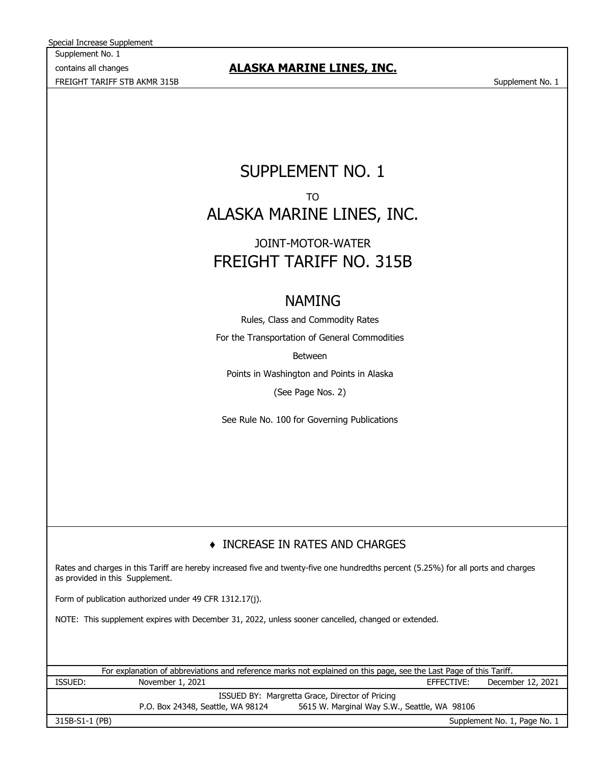Supplement No. 1 contains all changes FREIGHT TARIFF STB AKMR 315B Supplement No. 1 Special Increase Supplement

# **ALASKA MARINE LINES, INC.**

# SUPPLEMENT NO. 1 TO ALASKA MARINE LINES, INC.

# FREIGHT TARIFF NO. 315B JOINT-MOTOR-WATER

# NAMING

Rules, Class and Commodity Rates For the Transportation of General Commodities Between

Points in Washington and Points in Alaska (See Page Nos. 2)

See Rule No. 100 for Governing Publications

# ♦ INCREASE IN RATES AND CHARGES

Rates and charges in this Tariff are hereby increased five and twenty-five one hundredths percent (5.25%) for all ports and charges as provided in this Supplement.

Form of publication authorized under 49 CFR 1312.17(j).

NOTE: This supplement expires with December 31, 2022, unless sooner cancelled, changed or extended.

EFFECTIVE: ISSUED BY: Margretta Grace, Director of Pricing For explanation of abbreviations and reference marks not explained on this page, see the Last Page of this Tariff. ISSUED: November 1, 2021 November 1, 2021 CHEECTIVE: December 12, 2021

P.O. Box 24348, Seattle, WA 98124 5615 W. Marginal Way S.W., Seattle, WA 98106

315B-S1-1 (PB)

Supplement No. 1, Page No. 1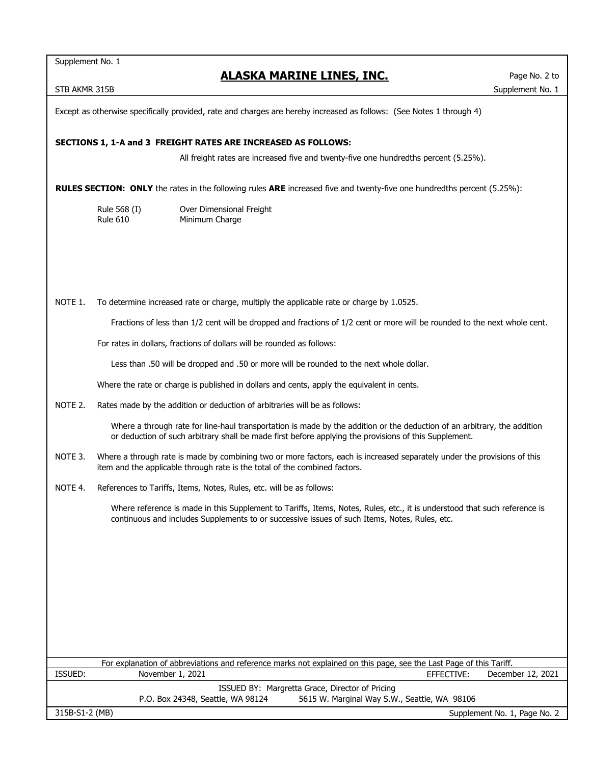Supplement No. 1

## **ALASKA MARINE LINES, INC.**

STB AKMR 315B Supplement No. 1

Except as otherwise specifically provided, rate and charges are hereby increased as follows: (See Notes 1 through 4)

## **SECTIONS 1, 1-A and 3 FREIGHT RATES ARE INCREASED AS FOLLOWS:**

All freight rates are increased five and twenty-five one hundredths percent (5.25%).

**RULES SECTION: ONLY** the rates in the following rules **ARE** increased five and twenty-five one hundredths percent (5.25%):

Rule 568 (I) Over Dimensional Freight Rule 610 Minimum Charge

NOTE 1. To determine increased rate or charge, multiply the applicable rate or charge by 1.0525.

Fractions of less than 1/2 cent will be dropped and fractions of 1/2 cent or more will be rounded to the next whole cent.

For rates in dollars, fractions of dollars will be rounded as follows:

Less than .50 will be dropped and .50 or more will be rounded to the next whole dollar.

Where the rate or charge is published in dollars and cents, apply the equivalent in cents.

NOTE 2. Rates made by the addition or deduction of arbitraries will be as follows:

Where a through rate for line-haul transportation is made by the addition or the deduction of an arbitrary, the addition or deduction of such arbitrary shall be made first before applying the provisions of this Supplement.

- NOTE 3. Where a through rate is made by combining two or more factors, each is increased separately under the provisions of this item and the applicable through rate is the total of the combined factors.
- NOTE 4. References to Tariffs, Items, Notes, Rules, etc. will be as follows:

Where reference is made in this Supplement to Tariffs, Items, Notes, Rules, etc., it is understood that such reference is continuous and includes Supplements to or successive issues of such Items, Notes, Rules, etc.

| For explanation of abbreviations and reference marks not explained on this page, see the Last Page of this Tariff. |                                   |                                              |                              |  |  |
|--------------------------------------------------------------------------------------------------------------------|-----------------------------------|----------------------------------------------|------------------------------|--|--|
| ISSUED:                                                                                                            | November 1, 2021                  | EFFECTIVE:                                   | December 12, 2021            |  |  |
| ISSUED BY: Margretta Grace, Director of Pricing                                                                    |                                   |                                              |                              |  |  |
|                                                                                                                    | P.O. Box 24348, Seattle, WA 98124 | 5615 W. Marginal Way S.W., Seattle, WA 98106 |                              |  |  |
| 315B-S1-2 (MB)                                                                                                     |                                   |                                              | Supplement No. 1, Page No. 2 |  |  |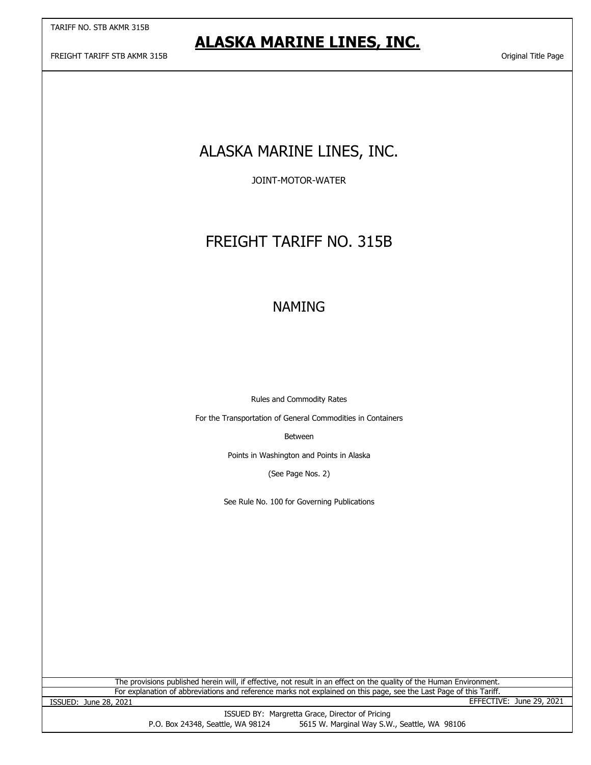FREIGHT TARIFF STB AKMR 315B Original Title Page

# ALASKA MARINE LINES, INC.

JOINT-MOTOR-WATER

# FREIGHT TARIFF NO. 315B

# NAMING

Rules and Commodity Rates

For the Transportation of General Commodities in Containers

Between

Points in Washington and Points in Alaska

(See Page Nos. 2)

See Rule No. 100 for Governing Publications

For explanation of abbreviations and reference marks not explained on this page, see the Last Page of this Tariff. The provisions published herein will, if effective, not result in an effect on the quality of the Human Environment.

ISSUED: June 28, 2021 EFFECTIVE: June 29, 2021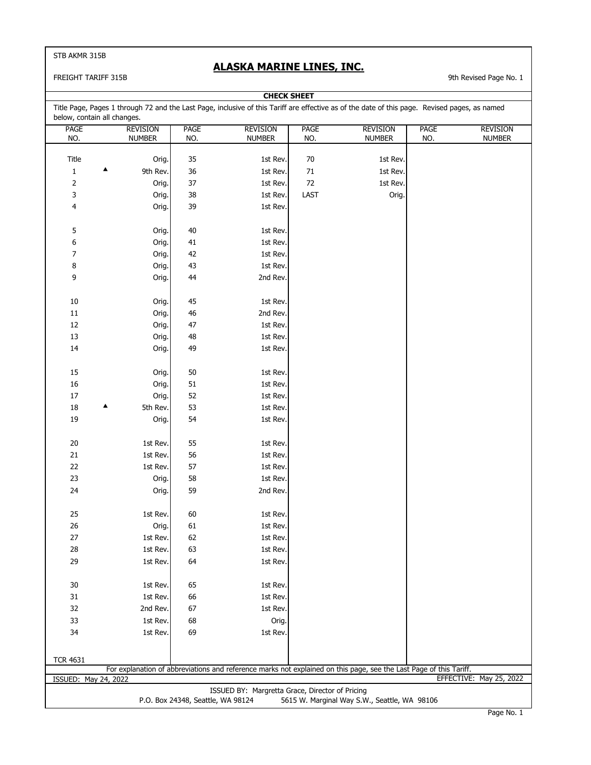### FREIGHT TARIFF 315B 315B

## **ALASKA MARINE LINES, INC.**

**CHECK SHEET**

| below, contain all changes. |   |                 |                                   |                                                 |             | Title Page, Pages 1 through 72 and the Last Page, inclusive of this Tariff are effective as of the date of this page. Revised pages, as named |             |                         |
|-----------------------------|---|-----------------|-----------------------------------|-------------------------------------------------|-------------|-----------------------------------------------------------------------------------------------------------------------------------------------|-------------|-------------------------|
| <b>PAGE</b>                 |   | <b>REVISION</b> | <b>PAGE</b>                       | <b>REVISION</b>                                 | <b>PAGE</b> | <b>REVISION</b>                                                                                                                               | <b>PAGE</b> | <b>REVISION</b>         |
| NO.                         |   | <b>NUMBER</b>   | NO.                               | <b>NUMBER</b>                                   | NO.         | <b>NUMBER</b>                                                                                                                                 | NO.         | <b>NUMBER</b>           |
|                             |   |                 |                                   |                                                 |             |                                                                                                                                               |             |                         |
| Title                       |   | Orig.           | 35                                | 1st Rev.                                        | 70          | 1st Rev.                                                                                                                                      |             |                         |
| $\mathbf 1$                 | ▲ | 9th Rev.        | 36                                | 1st Rev.                                        | $71\,$      | 1st Rev.                                                                                                                                      |             |                         |
| $\overline{\mathbf{c}}$     |   | Orig.           | 37                                | 1st Rev.                                        | 72          | 1st Rev.                                                                                                                                      |             |                         |
| 3                           |   | Orig.           | 38                                | 1st Rev.                                        | LAST        | Orig.                                                                                                                                         |             |                         |
| 4                           |   | Orig.           | 39                                | 1st Rev.                                        |             |                                                                                                                                               |             |                         |
|                             |   |                 |                                   |                                                 |             |                                                                                                                                               |             |                         |
| 5                           |   | Orig.           | $40\,$                            | 1st Rev.                                        |             |                                                                                                                                               |             |                         |
| 6                           |   | Orig.           | 41                                | 1st Rev.                                        |             |                                                                                                                                               |             |                         |
| 7                           |   | Orig.           | 42                                | 1st Rev.                                        |             |                                                                                                                                               |             |                         |
| 8                           |   | Orig.           | 43                                | 1st Rev.                                        |             |                                                                                                                                               |             |                         |
| 9                           |   | Orig.           | 44                                | 2nd Rev.                                        |             |                                                                                                                                               |             |                         |
|                             |   |                 |                                   |                                                 |             |                                                                                                                                               |             |                         |
| $10\,$                      |   | Orig.           | 45                                | 1st Rev.                                        |             |                                                                                                                                               |             |                         |
| $11\,$                      |   | Orig.           | 46                                | 2nd Rev.                                        |             |                                                                                                                                               |             |                         |
| 12                          |   | Orig.           | 47                                | 1st Rev.                                        |             |                                                                                                                                               |             |                         |
| 13                          |   | Orig.           | 48                                | 1st Rev.                                        |             |                                                                                                                                               |             |                         |
| 14                          |   | Orig.           | 49                                | 1st Rev.                                        |             |                                                                                                                                               |             |                         |
|                             |   |                 |                                   |                                                 |             |                                                                                                                                               |             |                         |
| 15                          |   | Orig.           | 50                                | 1st Rev.                                        |             |                                                                                                                                               |             |                         |
| $16\,$                      |   | Orig.           | 51                                | 1st Rev.                                        |             |                                                                                                                                               |             |                         |
| $17\,$                      |   | Orig.           | 52                                | 1st Rev.                                        |             |                                                                                                                                               |             |                         |
| $18\,$                      |   | 5th Rev.        | 53                                | 1st Rev.                                        |             |                                                                                                                                               |             |                         |
| 19                          |   | Orig.           | 54                                | 1st Rev.                                        |             |                                                                                                                                               |             |                         |
|                             |   |                 |                                   |                                                 |             |                                                                                                                                               |             |                         |
| $20\,$                      |   | 1st Rev.        | 55                                | 1st Rev.                                        |             |                                                                                                                                               |             |                         |
| $21\,$                      |   | 1st Rev.        | 56                                | 1st Rev.                                        |             |                                                                                                                                               |             |                         |
| $22\,$                      |   | 1st Rev.        | 57                                | 1st Rev.                                        |             |                                                                                                                                               |             |                         |
| 23                          |   | Orig.           | 58                                | 1st Rev.                                        |             |                                                                                                                                               |             |                         |
| 24                          |   |                 | 59                                | 2nd Rev.                                        |             |                                                                                                                                               |             |                         |
|                             |   | Orig.           |                                   |                                                 |             |                                                                                                                                               |             |                         |
|                             |   |                 |                                   |                                                 |             |                                                                                                                                               |             |                         |
| 25                          |   | 1st Rev.        | 60                                | 1st Rev.                                        |             |                                                                                                                                               |             |                         |
| 26                          |   | Orig.           | 61                                | 1st Rev.                                        |             |                                                                                                                                               |             |                         |
| 27                          |   | 1st Rev.        | 62                                | 1st Rev.                                        |             |                                                                                                                                               |             |                         |
| 28                          |   | 1st Rev.        | 63                                | 1st Rev.                                        |             |                                                                                                                                               |             |                         |
| 29                          |   | 1st Rev.        | 64                                | 1st Rev.                                        |             |                                                                                                                                               |             |                         |
|                             |   |                 |                                   |                                                 |             |                                                                                                                                               |             |                         |
| 30                          |   | 1st Rev.        | 65                                | 1st Rev.                                        |             |                                                                                                                                               |             |                         |
| 31                          |   | 1st Rev.        | 66                                | 1st Rev.                                        |             |                                                                                                                                               |             |                         |
| 32                          |   | 2nd Rev.        | 67                                | 1st Rev.                                        |             |                                                                                                                                               |             |                         |
| 33                          |   | 1st Rev.        | 68                                | Orig.                                           |             |                                                                                                                                               |             |                         |
| 34                          |   | 1st Rev.        | 69                                | 1st Rev.                                        |             |                                                                                                                                               |             |                         |
|                             |   |                 |                                   |                                                 |             |                                                                                                                                               |             |                         |
| <b>TCR 4631</b>             |   |                 |                                   |                                                 |             |                                                                                                                                               |             |                         |
|                             |   |                 |                                   |                                                 |             | For explanation of abbreviations and reference marks not explained on this page, see the Last Page of this Tariff.                            |             |                         |
| ISSUED: May 24, 2022        |   |                 |                                   |                                                 |             |                                                                                                                                               |             | EFFECTIVE: May 25, 2022 |
|                             |   |                 |                                   | ISSUED BY: Margretta Grace, Director of Pricing |             |                                                                                                                                               |             |                         |
|                             |   |                 | P.O. Box 24348, Seattle, WA 98124 |                                                 |             | 5615 W. Marginal Way S.W., Seattle, WA 98106                                                                                                  |             |                         |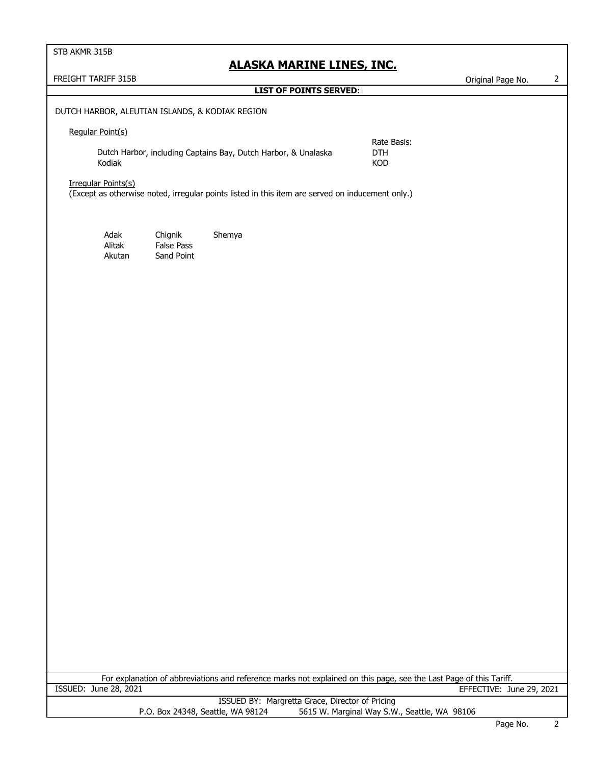## **ALASKA MARINE LINES, INC.**

FREIGHT TARIFF 315B **CONTROLLER IN THE CONTROLLER CONTROLLER CONTROLLER CONTROLLER CONTROLLER CONTROLLER CONTROLLER CONTROLLER CONTROLLER CONTROLLER CONTROLLER CONTROLLER CONTROLLER CONTROLLER CONTROLLER CONTROLLER CONTROL** 

## **LIST OF POINTS SERVED:**

## DUTCH HARBOR, ALEUTIAN ISLANDS, & KODIAK REGION

### Regular Point(s)

Dutch Harbor, including Captains Bay, Dutch Harbor, & Unalaska DTH Kodiak KOD

Rate Basis:

### Irregular Points(s)

(Except as otherwise noted, irregular points listed in this item are served on inducement only.)

Adak Chignik Shemya Alitak False Pass Akutan Sand Point

For explanation of abbreviations and reference marks not explained on this page, see the Last Page of this Tariff.<br>ISSUED: June 28, 2021 TERECTIVE: Ju EFFECTIVE: June 29, 2021

> ISSUED BY: Margretta Grace, Director of Pricing P.O. Box 24348, Seattle, WA 98124 5615 W. Marginal Way S.W., Seattle, WA 98106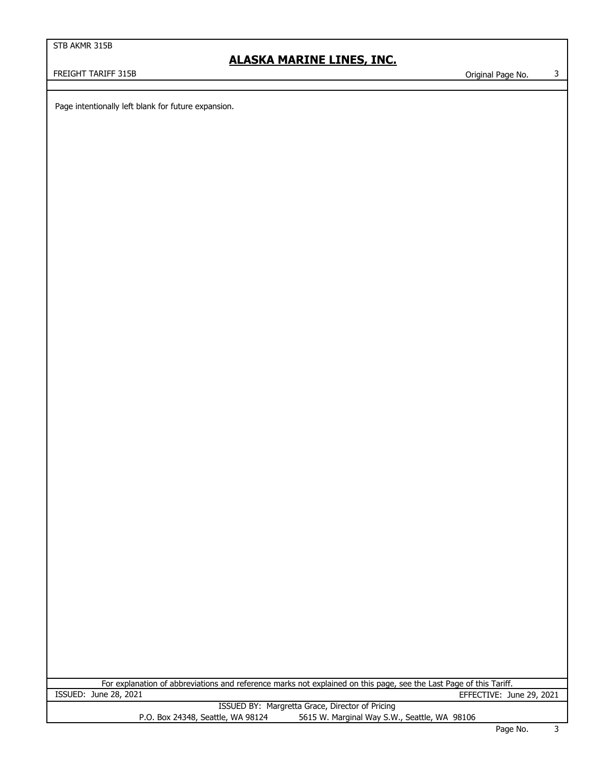# **ALASKA MARINE LINES, INC.**

FREIGHT TARIFF 315B Contract the Contract of the Contract of Contract of Contract of Contract of Contract of Contract of Contract of Contract of Contract of Contract of Contract of Contract of Contract of Contract of Contr

Page intentionally left blank for future expansion.

ISSUED: June 28, 2021 EFFECTIVE: June 29, 2021 ISSUED BY: Margretta Grace, Director of Pricing P.O. Box 24348, Seattle, WA 98124 5615 W. Marginal Way S.W., Seattle, WA 98106 For explanation of abbreviations and reference marks not explained on this page, see the Last Page of this Tariff.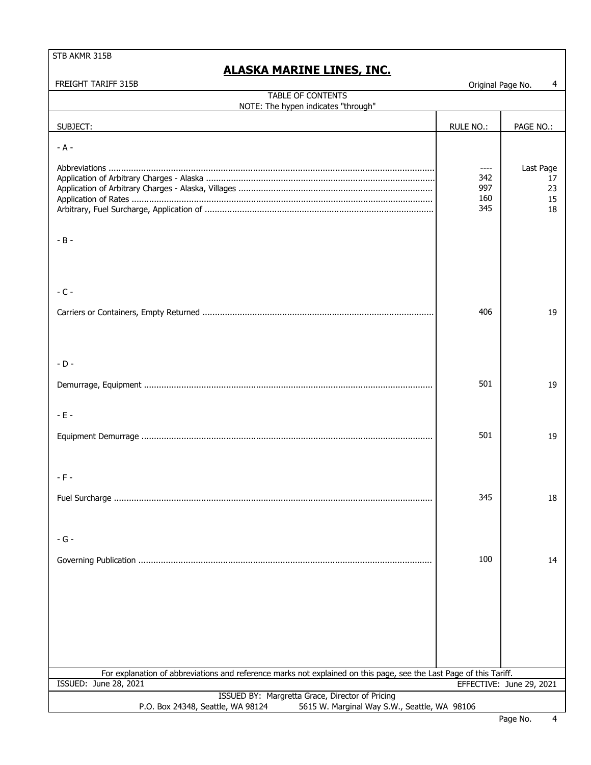| FREIGHT TARIFF 315B                                                                                                                  | Original Page No.                   | 4                                 |
|--------------------------------------------------------------------------------------------------------------------------------------|-------------------------------------|-----------------------------------|
| TABLE OF CONTENTS                                                                                                                    |                                     |                                   |
| NOTE: The hypen indicates "through"                                                                                                  |                                     |                                   |
| SUBJECT:                                                                                                                             | <b>RULE NO.:</b>                    | PAGE NO.:                         |
| $- A -$                                                                                                                              |                                     |                                   |
|                                                                                                                                      | $-----$<br>342<br>997<br>160<br>345 | Last Page<br>17<br>23<br>15<br>18 |
| $- B -$                                                                                                                              |                                     |                                   |
| $-C -$                                                                                                                               |                                     |                                   |
|                                                                                                                                      | 406                                 | 19                                |
| $-D -$                                                                                                                               |                                     |                                   |
|                                                                                                                                      | 501                                 | 19                                |
| $-E -$                                                                                                                               |                                     |                                   |
|                                                                                                                                      | 501                                 | 19                                |
| $- F -$                                                                                                                              |                                     |                                   |
|                                                                                                                                      | 345                                 | 18                                |
| $-G -$                                                                                                                               |                                     |                                   |
|                                                                                                                                      |                                     |                                   |
|                                                                                                                                      | 100                                 | 14                                |
|                                                                                                                                      |                                     |                                   |
|                                                                                                                                      |                                     |                                   |
|                                                                                                                                      |                                     |                                   |
| For explanation of abbreviations and reference marks not explained on this page, see the Last Page of this Tariff.                   |                                     |                                   |
| ISSUED: June 28, 2021                                                                                                                |                                     | EFFECTIVE: June 29, 2021          |
| ISSUED BY: Margretta Grace, Director of Pricing<br>5615 W. Marginal Way S.W., Seattle, WA 98106<br>P.O. Box 24348, Seattle, WA 98124 |                                     |                                   |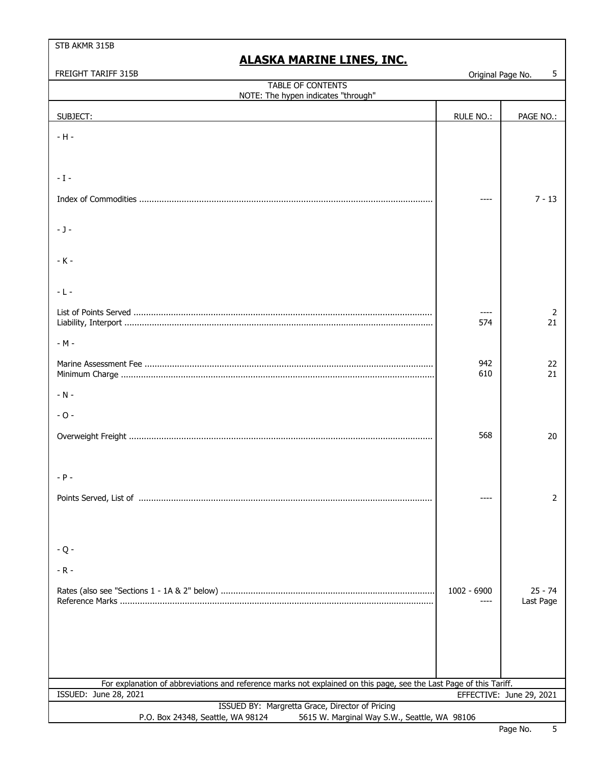| FREIGHT TARIFF 315B                                                                                                | Original Page No. | 5                        |
|--------------------------------------------------------------------------------------------------------------------|-------------------|--------------------------|
| TABLE OF CONTENTS                                                                                                  |                   |                          |
| NOTE: The hypen indicates "through"                                                                                |                   |                          |
| SUBJECT:                                                                                                           | RULE NO.:         | PAGE NO.:                |
|                                                                                                                    |                   |                          |
| $-H -$                                                                                                             |                   |                          |
|                                                                                                                    |                   |                          |
|                                                                                                                    |                   |                          |
| $-1-$                                                                                                              |                   |                          |
|                                                                                                                    |                   |                          |
|                                                                                                                    |                   | $7 - 13$                 |
|                                                                                                                    |                   |                          |
| $-1-$                                                                                                              |                   |                          |
|                                                                                                                    |                   |                          |
| $-K -$                                                                                                             |                   |                          |
|                                                                                                                    |                   |                          |
|                                                                                                                    |                   |                          |
| $-L -$                                                                                                             |                   |                          |
|                                                                                                                    |                   |                          |
|                                                                                                                    |                   | 2<br>21                  |
|                                                                                                                    | 574               |                          |
| $-M -$                                                                                                             |                   |                          |
|                                                                                                                    |                   |                          |
|                                                                                                                    | 942               | 22                       |
|                                                                                                                    | 610               | 21                       |
| $-N -$                                                                                                             |                   |                          |
|                                                                                                                    |                   |                          |
| $-0-$                                                                                                              |                   |                          |
|                                                                                                                    |                   |                          |
|                                                                                                                    | 568               | 20                       |
|                                                                                                                    |                   |                          |
|                                                                                                                    |                   |                          |
| $- P -$                                                                                                            |                   |                          |
|                                                                                                                    |                   |                          |
|                                                                                                                    |                   | 2                        |
|                                                                                                                    |                   |                          |
|                                                                                                                    |                   |                          |
|                                                                                                                    |                   |                          |
| $-Q -$                                                                                                             |                   |                          |
| $-R -$                                                                                                             |                   |                          |
|                                                                                                                    |                   |                          |
|                                                                                                                    | $1002 - 6900$     | $25 - 74$                |
|                                                                                                                    |                   | Last Page                |
|                                                                                                                    |                   |                          |
|                                                                                                                    |                   |                          |
|                                                                                                                    |                   |                          |
|                                                                                                                    |                   |                          |
|                                                                                                                    |                   |                          |
| For explanation of abbreviations and reference marks not explained on this page, see the Last Page of this Tariff. |                   |                          |
| ISSUED: June 28, 2021                                                                                              |                   | EFFECTIVE: June 29, 2021 |
| ISSUED BY: Margretta Grace, Director of Pricing                                                                    |                   |                          |
| P.O. Box 24348, Seattle, WA 98124<br>5615 W. Marginal Way S.W., Seattle, WA 98106                                  |                   |                          |
|                                                                                                                    |                   |                          |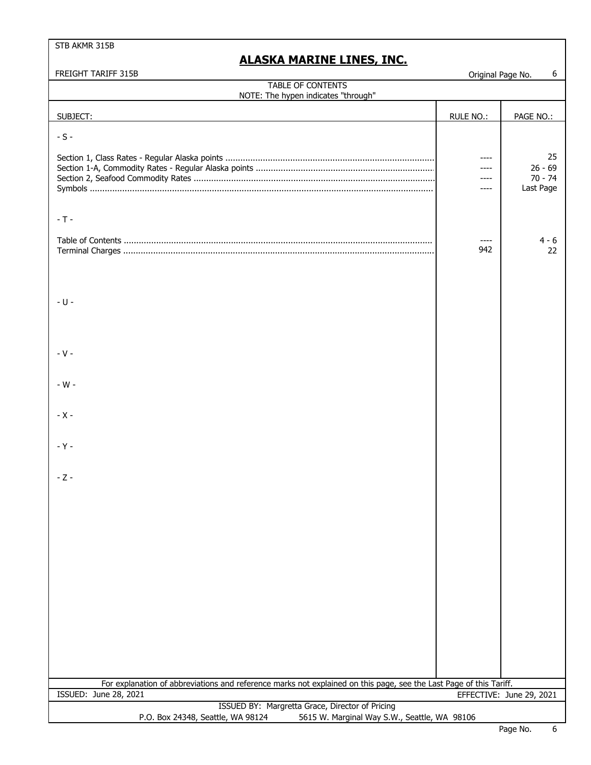| TABLE OF CONTENTS<br>NOTE: The hypen indicates "through"<br><b>RULE NO.:</b><br>PAGE NO.:<br>SUBJECT:<br>$-S -$<br>25<br>----<br>$26 - 69$<br>$70 - 74$<br>----<br>Last Page<br>----<br>$-T -$<br>$4 - 6$<br>942<br>22<br>$-$ U $-$<br>$-V -$<br>$-W -$<br>$- X -$<br>$-Y -$<br>$-Z -$<br>For explanation of abbreviations and reference marks not explained on this page, see the Last Page of this Tariff.<br>ISSUED: June 28, 2021<br>EFFECTIVE: June 29, 2021<br>ISSUED BY: Margretta Grace, Director of Pricing<br>5615 W. Marginal Way S.W., Seattle, WA 98106 | FREIGHT TARIFF 315B               | Original Page No. | 6 |
|----------------------------------------------------------------------------------------------------------------------------------------------------------------------------------------------------------------------------------------------------------------------------------------------------------------------------------------------------------------------------------------------------------------------------------------------------------------------------------------------------------------------------------------------------------------------|-----------------------------------|-------------------|---|
|                                                                                                                                                                                                                                                                                                                                                                                                                                                                                                                                                                      |                                   |                   |   |
|                                                                                                                                                                                                                                                                                                                                                                                                                                                                                                                                                                      |                                   |                   |   |
|                                                                                                                                                                                                                                                                                                                                                                                                                                                                                                                                                                      |                                   |                   |   |
|                                                                                                                                                                                                                                                                                                                                                                                                                                                                                                                                                                      |                                   |                   |   |
|                                                                                                                                                                                                                                                                                                                                                                                                                                                                                                                                                                      |                                   |                   |   |
|                                                                                                                                                                                                                                                                                                                                                                                                                                                                                                                                                                      |                                   |                   |   |
|                                                                                                                                                                                                                                                                                                                                                                                                                                                                                                                                                                      |                                   |                   |   |
|                                                                                                                                                                                                                                                                                                                                                                                                                                                                                                                                                                      |                                   |                   |   |
|                                                                                                                                                                                                                                                                                                                                                                                                                                                                                                                                                                      |                                   |                   |   |
|                                                                                                                                                                                                                                                                                                                                                                                                                                                                                                                                                                      |                                   |                   |   |
|                                                                                                                                                                                                                                                                                                                                                                                                                                                                                                                                                                      |                                   |                   |   |
|                                                                                                                                                                                                                                                                                                                                                                                                                                                                                                                                                                      |                                   |                   |   |
|                                                                                                                                                                                                                                                                                                                                                                                                                                                                                                                                                                      |                                   |                   |   |
|                                                                                                                                                                                                                                                                                                                                                                                                                                                                                                                                                                      |                                   |                   |   |
|                                                                                                                                                                                                                                                                                                                                                                                                                                                                                                                                                                      |                                   |                   |   |
|                                                                                                                                                                                                                                                                                                                                                                                                                                                                                                                                                                      |                                   |                   |   |
|                                                                                                                                                                                                                                                                                                                                                                                                                                                                                                                                                                      |                                   |                   |   |
|                                                                                                                                                                                                                                                                                                                                                                                                                                                                                                                                                                      |                                   |                   |   |
|                                                                                                                                                                                                                                                                                                                                                                                                                                                                                                                                                                      |                                   |                   |   |
|                                                                                                                                                                                                                                                                                                                                                                                                                                                                                                                                                                      |                                   |                   |   |
|                                                                                                                                                                                                                                                                                                                                                                                                                                                                                                                                                                      |                                   |                   |   |
|                                                                                                                                                                                                                                                                                                                                                                                                                                                                                                                                                                      |                                   |                   |   |
|                                                                                                                                                                                                                                                                                                                                                                                                                                                                                                                                                                      |                                   |                   |   |
|                                                                                                                                                                                                                                                                                                                                                                                                                                                                                                                                                                      |                                   |                   |   |
|                                                                                                                                                                                                                                                                                                                                                                                                                                                                                                                                                                      |                                   |                   |   |
|                                                                                                                                                                                                                                                                                                                                                                                                                                                                                                                                                                      |                                   |                   |   |
|                                                                                                                                                                                                                                                                                                                                                                                                                                                                                                                                                                      |                                   |                   |   |
|                                                                                                                                                                                                                                                                                                                                                                                                                                                                                                                                                                      |                                   |                   |   |
|                                                                                                                                                                                                                                                                                                                                                                                                                                                                                                                                                                      |                                   |                   |   |
|                                                                                                                                                                                                                                                                                                                                                                                                                                                                                                                                                                      |                                   |                   |   |
|                                                                                                                                                                                                                                                                                                                                                                                                                                                                                                                                                                      |                                   |                   |   |
|                                                                                                                                                                                                                                                                                                                                                                                                                                                                                                                                                                      |                                   |                   |   |
|                                                                                                                                                                                                                                                                                                                                                                                                                                                                                                                                                                      |                                   |                   |   |
|                                                                                                                                                                                                                                                                                                                                                                                                                                                                                                                                                                      |                                   |                   |   |
|                                                                                                                                                                                                                                                                                                                                                                                                                                                                                                                                                                      |                                   |                   |   |
|                                                                                                                                                                                                                                                                                                                                                                                                                                                                                                                                                                      |                                   |                   |   |
|                                                                                                                                                                                                                                                                                                                                                                                                                                                                                                                                                                      |                                   |                   |   |
|                                                                                                                                                                                                                                                                                                                                                                                                                                                                                                                                                                      |                                   |                   |   |
|                                                                                                                                                                                                                                                                                                                                                                                                                                                                                                                                                                      |                                   |                   |   |
|                                                                                                                                                                                                                                                                                                                                                                                                                                                                                                                                                                      |                                   |                   |   |
|                                                                                                                                                                                                                                                                                                                                                                                                                                                                                                                                                                      |                                   |                   |   |
|                                                                                                                                                                                                                                                                                                                                                                                                                                                                                                                                                                      |                                   |                   |   |
|                                                                                                                                                                                                                                                                                                                                                                                                                                                                                                                                                                      |                                   |                   |   |
|                                                                                                                                                                                                                                                                                                                                                                                                                                                                                                                                                                      |                                   |                   |   |
|                                                                                                                                                                                                                                                                                                                                                                                                                                                                                                                                                                      |                                   |                   |   |
|                                                                                                                                                                                                                                                                                                                                                                                                                                                                                                                                                                      |                                   |                   |   |
|                                                                                                                                                                                                                                                                                                                                                                                                                                                                                                                                                                      |                                   |                   |   |
|                                                                                                                                                                                                                                                                                                                                                                                                                                                                                                                                                                      |                                   |                   |   |
|                                                                                                                                                                                                                                                                                                                                                                                                                                                                                                                                                                      |                                   |                   |   |
|                                                                                                                                                                                                                                                                                                                                                                                                                                                                                                                                                                      |                                   |                   |   |
|                                                                                                                                                                                                                                                                                                                                                                                                                                                                                                                                                                      |                                   |                   |   |
|                                                                                                                                                                                                                                                                                                                                                                                                                                                                                                                                                                      |                                   |                   |   |
|                                                                                                                                                                                                                                                                                                                                                                                                                                                                                                                                                                      |                                   |                   |   |
|                                                                                                                                                                                                                                                                                                                                                                                                                                                                                                                                                                      |                                   |                   |   |
|                                                                                                                                                                                                                                                                                                                                                                                                                                                                                                                                                                      |                                   |                   |   |
|                                                                                                                                                                                                                                                                                                                                                                                                                                                                                                                                                                      | P.O. Box 24348, Seattle, WA 98124 |                   |   |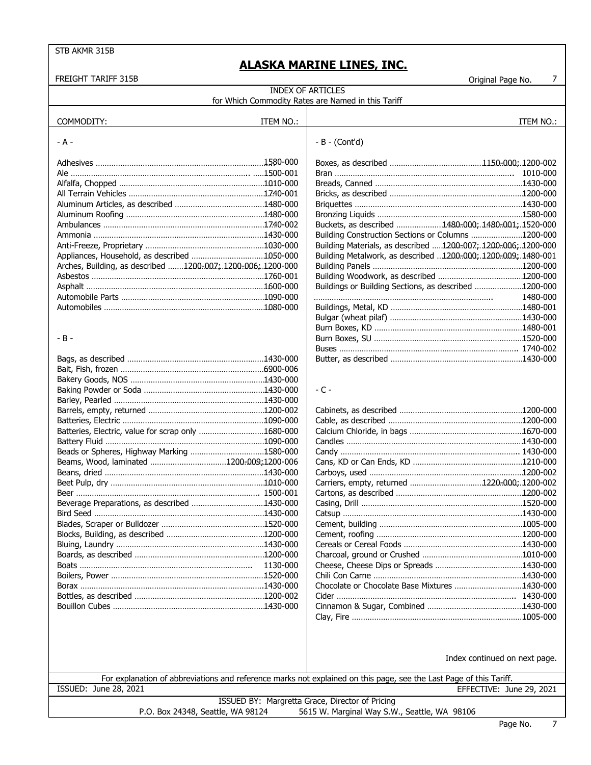| <b>FREIGHT TARIFF 315B</b>                                  |           |                                                                                                                    | $\overline{7}$<br>Original Page No. |
|-------------------------------------------------------------|-----------|--------------------------------------------------------------------------------------------------------------------|-------------------------------------|
|                                                             |           | <b>INDEX OF ARTICLES</b>                                                                                           |                                     |
|                                                             |           | for Which Commodity Rates are Named in this Tariff                                                                 |                                     |
|                                                             |           |                                                                                                                    |                                     |
| COMMODITY:                                                  | ITEM NO.: |                                                                                                                    | ITEM NO.:                           |
| - A -                                                       |           | $-B - (Cont'd)$                                                                                                    |                                     |
|                                                             |           |                                                                                                                    |                                     |
| Ale ………………………………………………………………………1500-001                     |           |                                                                                                                    |                                     |
|                                                             |           |                                                                                                                    |                                     |
|                                                             |           |                                                                                                                    |                                     |
|                                                             |           |                                                                                                                    |                                     |
|                                                             |           |                                                                                                                    |                                     |
|                                                             |           | Buckets, as described 1480-000; 1480-001; 1520-000                                                                 |                                     |
|                                                             |           | Building Construction Sections or Columns 1200-000                                                                 |                                     |
|                                                             |           | Building Materials, as described 1200-007; 1200-006; 1200-000                                                      |                                     |
| Appliances, Household, as described 1050-000                |           | Building Metalwork, as described 1200-000; 1200-009; 1480-001                                                      |                                     |
| Arches, Building, as described 1200-007; 1200-006; 1200-000 |           |                                                                                                                    |                                     |
|                                                             |           |                                                                                                                    |                                     |
|                                                             |           | Buildings or Building Sections, as described 1200-000                                                              |                                     |
|                                                             |           |                                                                                                                    | 1480-000                            |
|                                                             |           |                                                                                                                    |                                     |
|                                                             |           |                                                                                                                    |                                     |
|                                                             |           |                                                                                                                    |                                     |
| - B -                                                       |           |                                                                                                                    |                                     |
|                                                             |           |                                                                                                                    |                                     |
|                                                             |           |                                                                                                                    |                                     |
|                                                             |           |                                                                                                                    |                                     |
|                                                             |           |                                                                                                                    |                                     |
|                                                             |           | $-C -$                                                                                                             |                                     |
|                                                             |           |                                                                                                                    |                                     |
|                                                             |           |                                                                                                                    |                                     |
|                                                             |           |                                                                                                                    |                                     |
| Batteries, Electric, value for scrap only 1680-000          |           |                                                                                                                    |                                     |
|                                                             |           |                                                                                                                    |                                     |
| Beads or Spheres, Highway Marking 1580-000                  |           |                                                                                                                    |                                     |
| Beams, Wood, laminated 1200-009;1200-006                    |           |                                                                                                                    |                                     |
|                                                             |           |                                                                                                                    |                                     |
|                                                             |           | Carriers, empty, returned 1220-000;.1200-002                                                                       |                                     |
|                                                             |           |                                                                                                                    |                                     |
| Beverage Preparations, as described 1430-000                |           | Casing, Drill                                                                                                      |                                     |
|                                                             |           |                                                                                                                    |                                     |
|                                                             |           |                                                                                                                    |                                     |
|                                                             |           |                                                                                                                    |                                     |
|                                                             |           |                                                                                                                    |                                     |
|                                                             |           |                                                                                                                    |                                     |
|                                                             | 1130-000  |                                                                                                                    |                                     |
|                                                             |           |                                                                                                                    |                                     |
|                                                             |           | Chocolate or Chocolate Base Mixtures 1430-000                                                                      |                                     |
|                                                             |           |                                                                                                                    |                                     |
|                                                             |           |                                                                                                                    |                                     |
|                                                             |           |                                                                                                                    |                                     |
|                                                             |           |                                                                                                                    | Index continued on next page.       |
|                                                             |           | For explanation of abbreviations and reference marks not explained on this page, see the Last Page of this Tariff. |                                     |
| ISSUED: June 28, 2021                                       |           |                                                                                                                    | EFFECTIVE: June 29, 2021            |
|                                                             |           | ISSUED BY: Margretta Grace, Director of Pricing                                                                    |                                     |

P.O. Box 24348, Seattle, WA 98124 5615 W. Marginal Way S.W., Seattle, WA 98106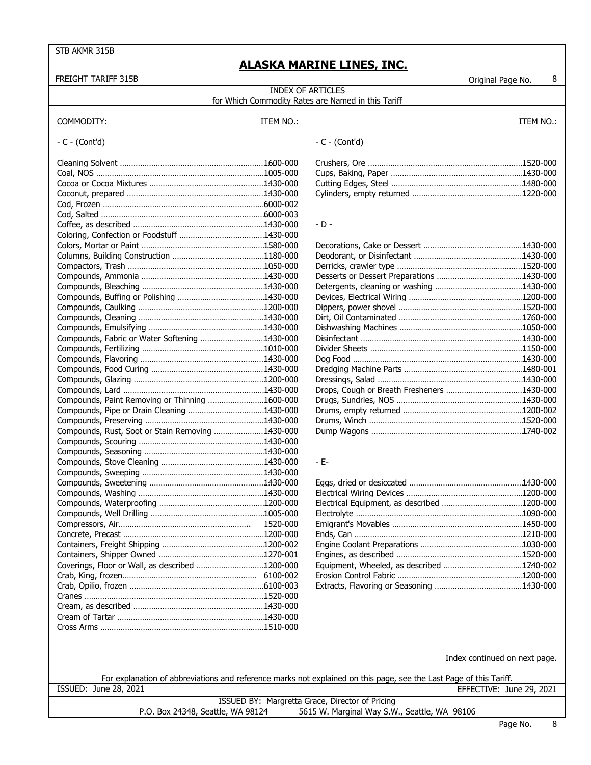| <b>FREIGHT TARIFF 315B</b>                       |                                                                                                                    |                                                    | 8<br>Original Page No.        |  |  |
|--------------------------------------------------|--------------------------------------------------------------------------------------------------------------------|----------------------------------------------------|-------------------------------|--|--|
|                                                  |                                                                                                                    | <b>INDEX OF ARTICLES</b>                           |                               |  |  |
|                                                  |                                                                                                                    | for Which Commodity Rates are Named in this Tariff |                               |  |  |
|                                                  |                                                                                                                    |                                                    |                               |  |  |
| COMMODITY:                                       | ITEM NO.:                                                                                                          |                                                    | ITEM NO.:                     |  |  |
|                                                  |                                                                                                                    |                                                    |                               |  |  |
| $-C - (Cont'd)$                                  |                                                                                                                    | $-C - (Cont'd)$                                    |                               |  |  |
|                                                  |                                                                                                                    |                                                    |                               |  |  |
|                                                  |                                                                                                                    |                                                    |                               |  |  |
|                                                  |                                                                                                                    |                                                    |                               |  |  |
|                                                  |                                                                                                                    |                                                    |                               |  |  |
|                                                  |                                                                                                                    |                                                    |                               |  |  |
|                                                  |                                                                                                                    |                                                    |                               |  |  |
|                                                  |                                                                                                                    |                                                    |                               |  |  |
|                                                  |                                                                                                                    |                                                    |                               |  |  |
|                                                  |                                                                                                                    | $-D -$                                             |                               |  |  |
|                                                  |                                                                                                                    |                                                    |                               |  |  |
|                                                  |                                                                                                                    |                                                    |                               |  |  |
|                                                  |                                                                                                                    |                                                    |                               |  |  |
|                                                  |                                                                                                                    |                                                    |                               |  |  |
|                                                  |                                                                                                                    |                                                    |                               |  |  |
|                                                  |                                                                                                                    |                                                    |                               |  |  |
|                                                  |                                                                                                                    |                                                    |                               |  |  |
|                                                  |                                                                                                                    |                                                    |                               |  |  |
|                                                  |                                                                                                                    |                                                    |                               |  |  |
|                                                  |                                                                                                                    |                                                    |                               |  |  |
|                                                  |                                                                                                                    |                                                    |                               |  |  |
| Compounds, Fabric or Water Softening 1430-000    |                                                                                                                    |                                                    |                               |  |  |
|                                                  |                                                                                                                    |                                                    |                               |  |  |
|                                                  |                                                                                                                    |                                                    |                               |  |  |
|                                                  |                                                                                                                    |                                                    |                               |  |  |
|                                                  |                                                                                                                    |                                                    |                               |  |  |
|                                                  |                                                                                                                    |                                                    |                               |  |  |
|                                                  |                                                                                                                    | Drops, Cough or Breath Fresheners 1430-000         |                               |  |  |
| Compounds, Paint Removing or Thinning 1600-000   |                                                                                                                    |                                                    |                               |  |  |
|                                                  |                                                                                                                    |                                                    |                               |  |  |
|                                                  |                                                                                                                    |                                                    |                               |  |  |
| Compounds, Rust, Soot or Stain Removing 1430-000 |                                                                                                                    |                                                    |                               |  |  |
|                                                  |                                                                                                                    |                                                    |                               |  |  |
|                                                  |                                                                                                                    |                                                    |                               |  |  |
|                                                  |                                                                                                                    | $- E-$                                             |                               |  |  |
|                                                  |                                                                                                                    |                                                    |                               |  |  |
|                                                  |                                                                                                                    |                                                    |                               |  |  |
|                                                  |                                                                                                                    |                                                    |                               |  |  |
|                                                  |                                                                                                                    |                                                    |                               |  |  |
|                                                  |                                                                                                                    |                                                    |                               |  |  |
|                                                  |                                                                                                                    |                                                    |                               |  |  |
|                                                  | 1520-000                                                                                                           |                                                    |                               |  |  |
|                                                  |                                                                                                                    |                                                    |                               |  |  |
|                                                  |                                                                                                                    |                                                    |                               |  |  |
|                                                  |                                                                                                                    |                                                    |                               |  |  |
| Coverings, Floor or Wall, as described 1200-000  |                                                                                                                    |                                                    |                               |  |  |
|                                                  |                                                                                                                    |                                                    |                               |  |  |
|                                                  |                                                                                                                    |                                                    |                               |  |  |
|                                                  |                                                                                                                    |                                                    |                               |  |  |
|                                                  |                                                                                                                    |                                                    |                               |  |  |
|                                                  |                                                                                                                    |                                                    |                               |  |  |
|                                                  |                                                                                                                    |                                                    |                               |  |  |
|                                                  |                                                                                                                    |                                                    |                               |  |  |
|                                                  |                                                                                                                    |                                                    |                               |  |  |
|                                                  |                                                                                                                    |                                                    |                               |  |  |
|                                                  |                                                                                                                    |                                                    | Index continued on next page. |  |  |
|                                                  |                                                                                                                    |                                                    |                               |  |  |
|                                                  | For explanation of abbreviations and reference marks not explained on this page, see the Last Page of this Tariff. |                                                    |                               |  |  |
| ISSUED: June 28, 2021                            |                                                                                                                    |                                                    | EFFECTIVE: June 29, 2021      |  |  |
|                                                  | ISSUED BY: Margretta Grace, Director of Pricing                                                                    |                                                    |                               |  |  |
|                                                  |                                                                                                                    |                                                    |                               |  |  |
| P.O. Box 24348, Seattle, WA 98124                |                                                                                                                    | 5615 W. Marginal Way S.W., Seattle, WA 98106       |                               |  |  |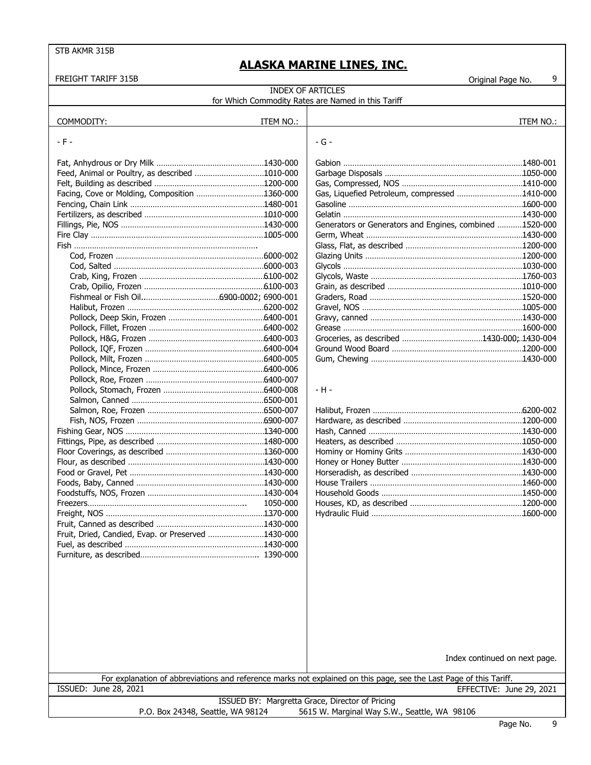| <b>FREIGHT TARIFF 315B</b>                         |           |                                                                                                                    | 9<br>Original Page No.        |
|----------------------------------------------------|-----------|--------------------------------------------------------------------------------------------------------------------|-------------------------------|
|                                                    |           | <b>INDEX OF ARTICLES</b>                                                                                           |                               |
|                                                    |           | for Which Commodity Rates are Named in this Tariff                                                                 |                               |
|                                                    |           |                                                                                                                    |                               |
| COMMODITY:                                         | ITEM NO.: |                                                                                                                    | ITEM NO.:                     |
|                                                    |           |                                                                                                                    |                               |
| - F -                                              |           | - G -                                                                                                              |                               |
|                                                    |           |                                                                                                                    |                               |
|                                                    |           |                                                                                                                    |                               |
| Feed, Animal or Poultry, as described 1010-000     |           |                                                                                                                    |                               |
|                                                    |           |                                                                                                                    |                               |
| Facing, Cove or Molding, Composition 1360-000      |           | Gas, Liquefied Petroleum, compressed 1410-000                                                                      |                               |
|                                                    |           |                                                                                                                    |                               |
|                                                    |           |                                                                                                                    |                               |
|                                                    |           | Generators or Generators and Engines, combined 1520-000                                                            |                               |
|                                                    |           |                                                                                                                    |                               |
|                                                    |           |                                                                                                                    |                               |
|                                                    |           |                                                                                                                    |                               |
|                                                    |           |                                                                                                                    |                               |
|                                                    |           |                                                                                                                    |                               |
|                                                    |           |                                                                                                                    |                               |
|                                                    |           |                                                                                                                    |                               |
|                                                    |           |                                                                                                                    |                               |
|                                                    |           |                                                                                                                    |                               |
|                                                    |           |                                                                                                                    |                               |
|                                                    |           |                                                                                                                    |                               |
|                                                    |           |                                                                                                                    |                               |
|                                                    |           |                                                                                                                    |                               |
|                                                    |           |                                                                                                                    |                               |
|                                                    |           |                                                                                                                    |                               |
|                                                    |           |                                                                                                                    |                               |
|                                                    |           | - H -                                                                                                              |                               |
|                                                    |           |                                                                                                                    |                               |
|                                                    |           |                                                                                                                    |                               |
|                                                    |           |                                                                                                                    |                               |
|                                                    |           |                                                                                                                    |                               |
|                                                    |           |                                                                                                                    |                               |
|                                                    |           |                                                                                                                    |                               |
|                                                    |           |                                                                                                                    |                               |
|                                                    |           |                                                                                                                    |                               |
|                                                    |           |                                                                                                                    |                               |
|                                                    |           |                                                                                                                    |                               |
|                                                    | 1050-000  |                                                                                                                    |                               |
|                                                    |           |                                                                                                                    |                               |
|                                                    |           |                                                                                                                    |                               |
| Fruit, Dried, Candied, Evap. or Preserved 1430-000 |           |                                                                                                                    |                               |
|                                                    |           |                                                                                                                    |                               |
|                                                    |           |                                                                                                                    |                               |
|                                                    |           |                                                                                                                    |                               |
|                                                    |           |                                                                                                                    |                               |
|                                                    |           |                                                                                                                    |                               |
|                                                    |           |                                                                                                                    |                               |
|                                                    |           |                                                                                                                    |                               |
|                                                    |           |                                                                                                                    |                               |
|                                                    |           |                                                                                                                    |                               |
|                                                    |           |                                                                                                                    |                               |
|                                                    |           |                                                                                                                    |                               |
|                                                    |           |                                                                                                                    |                               |
|                                                    |           |                                                                                                                    | Index continued on next page. |
|                                                    |           |                                                                                                                    |                               |
|                                                    |           | For explanation of abbreviations and reference marks not explained on this page, see the Last Page of this Tariff. |                               |
| <b>ISSUED: June 28, 2021</b>                       |           |                                                                                                                    | EFFECTIVE: June 29, 2021      |
|                                                    |           | ISSUED BY: Margretta Grace, Director of Pricing                                                                    |                               |

SUED BY: Margretta Grace, Director of Pricing P.O. Box 24348, Seattle, WA 98124 5615 W. Marginal Way S.W., Seattle, WA 98106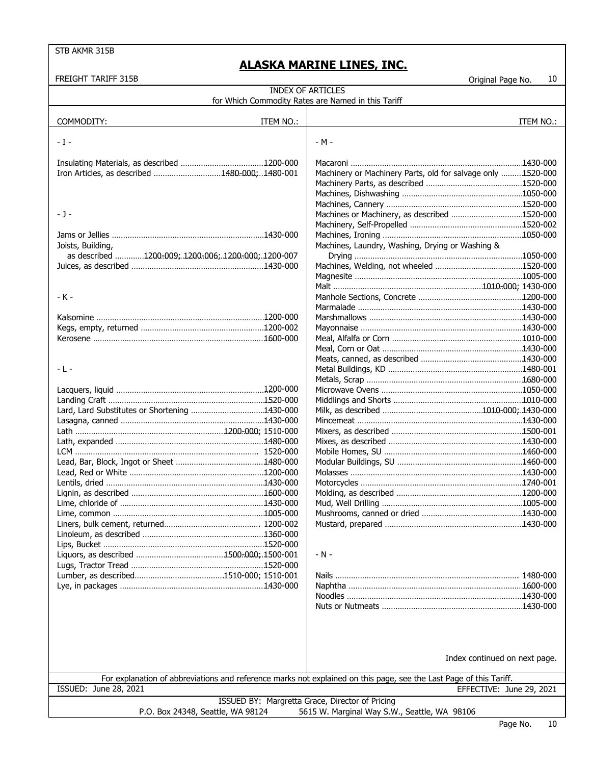| FREIGHT TARIFF 315B                                 | 10<br>Original Page No.                                                                                            |
|-----------------------------------------------------|--------------------------------------------------------------------------------------------------------------------|
|                                                     | <b>INDEX OF ARTICLES</b>                                                                                           |
|                                                     | for Which Commodity Rates are Named in this Tariff                                                                 |
|                                                     |                                                                                                                    |
| COMMODITY:<br>ITEM NO.:                             | ITEM NO.:                                                                                                          |
|                                                     |                                                                                                                    |
| - I -                                               | - M -                                                                                                              |
|                                                     |                                                                                                                    |
| Iron Articles, as described 1480-000;1480-001       | Machinery or Machinery Parts, old for salvage only 1520-000                                                        |
|                                                     |                                                                                                                    |
|                                                     |                                                                                                                    |
|                                                     |                                                                                                                    |
| - J -                                               | Machines or Machinery, as described 1520-000                                                                       |
|                                                     |                                                                                                                    |
|                                                     |                                                                                                                    |
| Joists, Building,                                   | Machines, Laundry, Washing, Drying or Washing &                                                                    |
| as described 1200-009; 1200-006; 1200-000; 1200-007 |                                                                                                                    |
|                                                     |                                                                                                                    |
|                                                     |                                                                                                                    |
|                                                     |                                                                                                                    |
| - K -                                               |                                                                                                                    |
|                                                     |                                                                                                                    |
|                                                     |                                                                                                                    |
|                                                     |                                                                                                                    |
|                                                     |                                                                                                                    |
|                                                     |                                                                                                                    |
|                                                     |                                                                                                                    |
| - L -                                               |                                                                                                                    |
|                                                     |                                                                                                                    |
|                                                     |                                                                                                                    |
|                                                     |                                                                                                                    |
|                                                     |                                                                                                                    |
|                                                     |                                                                                                                    |
|                                                     |                                                                                                                    |
|                                                     |                                                                                                                    |
|                                                     |                                                                                                                    |
|                                                     |                                                                                                                    |
|                                                     |                                                                                                                    |
|                                                     |                                                                                                                    |
|                                                     |                                                                                                                    |
|                                                     |                                                                                                                    |
|                                                     |                                                                                                                    |
|                                                     |                                                                                                                    |
|                                                     |                                                                                                                    |
|                                                     |                                                                                                                    |
|                                                     | $- N -$                                                                                                            |
|                                                     |                                                                                                                    |
|                                                     |                                                                                                                    |
|                                                     |                                                                                                                    |
|                                                     |                                                                                                                    |
|                                                     |                                                                                                                    |
|                                                     |                                                                                                                    |
|                                                     |                                                                                                                    |
|                                                     |                                                                                                                    |
|                                                     | Index continued on next page.                                                                                      |
|                                                     |                                                                                                                    |
|                                                     | For explanation of abbreviations and reference marks not explained on this page, see the Last Page of this Tariff. |
| ISSUED: June 28, 2021                               | EFFECTIVE: June 29, 2021                                                                                           |
| P.O. Box 24348, Seattle, WA 98124                   | ISSUED BY: Margretta Grace, Director of Pricing<br>5615 W. Marginal Way S.W., Seattle, WA 98106                    |
|                                                     |                                                                                                                    |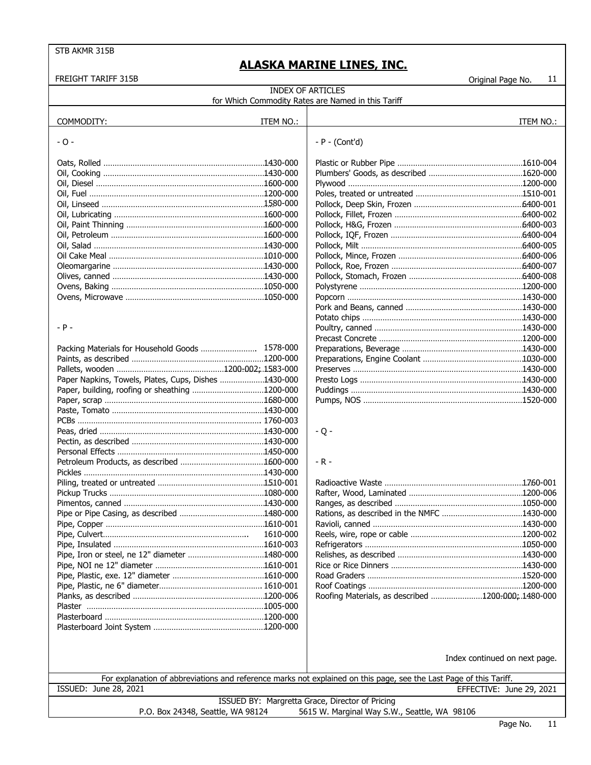| FREIGHT TARIFF 315B                                  |           |                                                                                                                    | Original Page No.             | 11        |
|------------------------------------------------------|-----------|--------------------------------------------------------------------------------------------------------------------|-------------------------------|-----------|
|                                                      |           | <b>INDEX OF ARTICLES</b>                                                                                           |                               |           |
|                                                      |           | for Which Commodity Rates are Named in this Tariff                                                                 |                               |           |
|                                                      |           |                                                                                                                    |                               |           |
| COMMODITY:                                           | ITEM NO.: |                                                                                                                    |                               | ITEM NO.: |
|                                                      |           |                                                                                                                    |                               |           |
| - 0 -                                                |           | $- P - (Cont'd)$                                                                                                   |                               |           |
|                                                      |           |                                                                                                                    |                               |           |
|                                                      |           |                                                                                                                    |                               |           |
|                                                      |           |                                                                                                                    |                               |           |
|                                                      |           |                                                                                                                    |                               |           |
|                                                      |           |                                                                                                                    |                               |           |
|                                                      |           |                                                                                                                    |                               |           |
|                                                      |           |                                                                                                                    |                               |           |
|                                                      |           |                                                                                                                    |                               |           |
|                                                      |           |                                                                                                                    |                               |           |
|                                                      |           |                                                                                                                    |                               |           |
|                                                      |           |                                                                                                                    |                               |           |
|                                                      |           |                                                                                                                    |                               |           |
|                                                      |           |                                                                                                                    |                               |           |
|                                                      |           |                                                                                                                    |                               |           |
|                                                      |           |                                                                                                                    |                               |           |
|                                                      |           |                                                                                                                    |                               |           |
|                                                      |           |                                                                                                                    |                               |           |
| $- P -$                                              |           |                                                                                                                    |                               |           |
|                                                      |           |                                                                                                                    |                               |           |
| Packing Materials for Household Goods  1578-000      |           |                                                                                                                    |                               |           |
|                                                      |           |                                                                                                                    |                               |           |
|                                                      |           |                                                                                                                    |                               |           |
| Paper Napkins, Towels, Plates, Cups, Dishes 1430-000 |           |                                                                                                                    |                               |           |
|                                                      |           |                                                                                                                    |                               |           |
|                                                      |           |                                                                                                                    |                               |           |
|                                                      |           |                                                                                                                    |                               |           |
|                                                      |           |                                                                                                                    |                               |           |
|                                                      |           | $-Q -$                                                                                                             |                               |           |
|                                                      |           |                                                                                                                    |                               |           |
|                                                      |           |                                                                                                                    |                               |           |
|                                                      |           | $-R -$                                                                                                             |                               |           |
|                                                      |           |                                                                                                                    |                               |           |
|                                                      |           |                                                                                                                    |                               |           |
|                                                      |           |                                                                                                                    |                               |           |
|                                                      |           |                                                                                                                    |                               |           |
|                                                      |           |                                                                                                                    |                               |           |
|                                                      |           |                                                                                                                    |                               |           |
|                                                      | 1610-000  |                                                                                                                    |                               |           |
|                                                      |           |                                                                                                                    |                               |           |
|                                                      |           |                                                                                                                    |                               |           |
|                                                      |           |                                                                                                                    |                               |           |
|                                                      |           |                                                                                                                    |                               |           |
|                                                      |           |                                                                                                                    |                               |           |
|                                                      |           | Roofing Materials, as described 1200-000; .1480-000                                                                |                               |           |
|                                                      |           |                                                                                                                    |                               |           |
|                                                      |           |                                                                                                                    |                               |           |
|                                                      |           |                                                                                                                    |                               |           |
|                                                      |           |                                                                                                                    |                               |           |
|                                                      |           |                                                                                                                    |                               |           |
|                                                      |           |                                                                                                                    | Index continued on next page. |           |
|                                                      |           |                                                                                                                    |                               |           |
|                                                      |           | For explanation of abbreviations and reference marks not explained on this page, see the Last Page of this Tariff. |                               |           |
| ISSUED: June 28, 2021                                |           |                                                                                                                    | EFFECTIVE: June 29, 2021      |           |
|                                                      |           | ISSUED BY: Margretta Grace, Director of Pricing                                                                    |                               |           |
| P.O. Box 24348, Seattle, WA 98124                    |           | 5615 W. Marginal Way S.W., Seattle, WA 98106                                                                       |                               |           |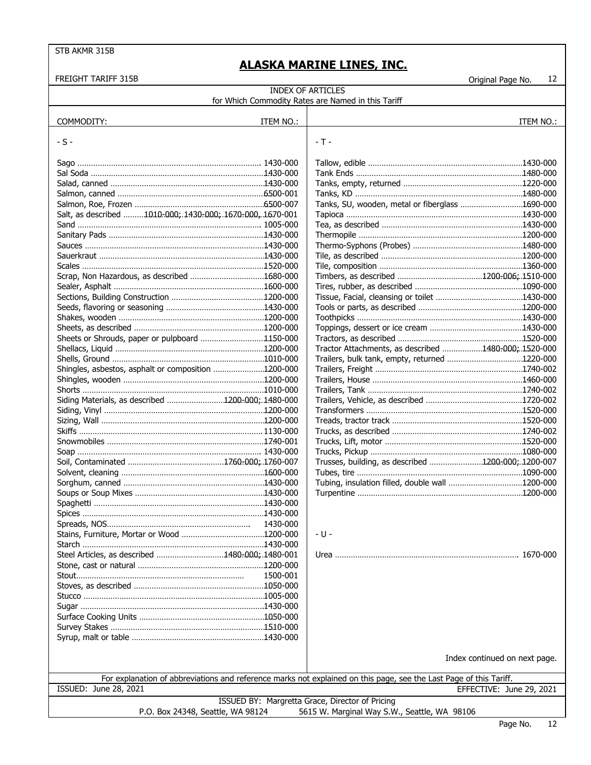| <b>FREIGHT TARIFF 315B</b>                                |           |                                                                                                                    | 12<br>Original Page No.       |
|-----------------------------------------------------------|-----------|--------------------------------------------------------------------------------------------------------------------|-------------------------------|
|                                                           |           | <b>INDEX OF ARTICLES</b>                                                                                           |                               |
|                                                           |           | for Which Commodity Rates are Named in this Tariff                                                                 |                               |
|                                                           |           |                                                                                                                    |                               |
| COMMODITY:                                                | ITEM NO.: |                                                                                                                    | ITEM NO.:                     |
|                                                           |           |                                                                                                                    |                               |
| - S -                                                     |           | $-T -$                                                                                                             |                               |
|                                                           |           |                                                                                                                    |                               |
|                                                           |           |                                                                                                                    |                               |
|                                                           |           |                                                                                                                    |                               |
|                                                           |           |                                                                                                                    |                               |
|                                                           |           |                                                                                                                    |                               |
|                                                           |           | Tanks, SU, wooden, metal or fiberglass 1690-000                                                                    |                               |
| Salt, as described 1010-000; 1430-000; 1670-000, 1670-001 |           |                                                                                                                    |                               |
| Sand ……………………………………………………………………… 1005-000                 |           |                                                                                                                    |                               |
|                                                           |           |                                                                                                                    |                               |
|                                                           |           |                                                                                                                    |                               |
|                                                           |           |                                                                                                                    |                               |
|                                                           |           |                                                                                                                    |                               |
|                                                           |           |                                                                                                                    |                               |
|                                                           |           |                                                                                                                    |                               |
|                                                           |           |                                                                                                                    |                               |
|                                                           |           |                                                                                                                    |                               |
|                                                           |           |                                                                                                                    |                               |
|                                                           |           |                                                                                                                    |                               |
| Sheets or Shrouds, paper or pulpboard 1150-000            |           |                                                                                                                    |                               |
|                                                           |           | Tractor Attachments, as described 1480-000; 1520-000                                                               |                               |
|                                                           |           |                                                                                                                    |                               |
| Shingles, asbestos, asphalt or composition 1200-000       |           |                                                                                                                    |                               |
|                                                           |           |                                                                                                                    |                               |
|                                                           |           |                                                                                                                    |                               |
| Siding Materials, as described 1200-000; 1480-000         |           |                                                                                                                    |                               |
|                                                           |           |                                                                                                                    |                               |
|                                                           |           |                                                                                                                    |                               |
|                                                           |           |                                                                                                                    |                               |
|                                                           |           |                                                                                                                    |                               |
|                                                           |           |                                                                                                                    |                               |
|                                                           |           | Trusses, building, as described 1200-000; 1200-007                                                                 |                               |
|                                                           |           |                                                                                                                    |                               |
|                                                           |           |                                                                                                                    |                               |
|                                                           |           |                                                                                                                    |                               |
|                                                           |           |                                                                                                                    |                               |
|                                                           | 1430-000  |                                                                                                                    |                               |
|                                                           |           | - U -                                                                                                              |                               |
|                                                           |           |                                                                                                                    |                               |
| Steel Articles, as described 1480-000; 1480-001           |           |                                                                                                                    |                               |
|                                                           |           |                                                                                                                    |                               |
|                                                           | 1500-001  |                                                                                                                    |                               |
|                                                           |           |                                                                                                                    |                               |
|                                                           |           |                                                                                                                    |                               |
|                                                           |           |                                                                                                                    |                               |
|                                                           |           |                                                                                                                    |                               |
|                                                           |           |                                                                                                                    |                               |
|                                                           |           |                                                                                                                    |                               |
|                                                           |           |                                                                                                                    |                               |
|                                                           |           |                                                                                                                    | Index continued on next page. |
|                                                           |           |                                                                                                                    |                               |
|                                                           |           | For explanation of abbreviations and reference marks not explained on this page, see the Last Page of this Tariff. |                               |
| ISSUED: June 28, 2021                                     |           |                                                                                                                    | EFFECTIVE: June 29, 2021      |
|                                                           |           | ISSUED BY: Margretta Grace, Director of Pricing                                                                    |                               |
| P.O. Box 24348, Seattle, WA 98124                         |           | 5615 W. Marginal Way S.W., Seattle, WA 98106                                                                       |                               |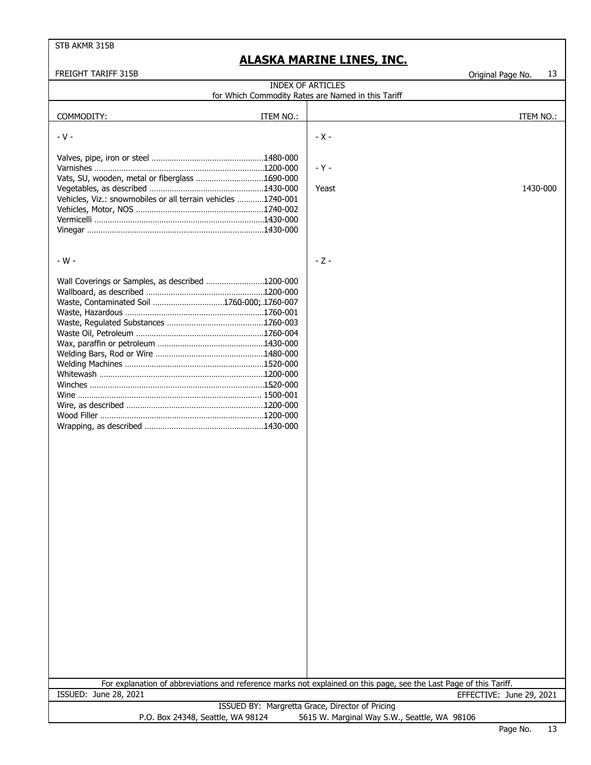| <b>FREIGHT TARIFF 315B</b>                                                                                         |                                                    | Original Page No.        | 13 |
|--------------------------------------------------------------------------------------------------------------------|----------------------------------------------------|--------------------------|----|
|                                                                                                                    | <b>INDEX OF ARTICLES</b>                           |                          |    |
|                                                                                                                    | for Which Commodity Rates are Named in this Tariff |                          |    |
|                                                                                                                    |                                                    |                          |    |
| COMMODITY:<br>ITEM NO.:                                                                                            |                                                    | ITEM NO.:                |    |
|                                                                                                                    |                                                    |                          |    |
| $-V -$                                                                                                             | $-X -$                                             |                          |    |
|                                                                                                                    |                                                    |                          |    |
|                                                                                                                    |                                                    |                          |    |
|                                                                                                                    | $-Y -$                                             |                          |    |
| Vats, SU, wooden, metal or fiberglass 1690-000                                                                     |                                                    |                          |    |
|                                                                                                                    | Yeast                                              | 1430-000                 |    |
| Vehicles, Viz.: snowmobiles or all terrain vehicles 1740-001                                                       |                                                    |                          |    |
|                                                                                                                    |                                                    |                          |    |
|                                                                                                                    |                                                    |                          |    |
|                                                                                                                    |                                                    |                          |    |
|                                                                                                                    |                                                    |                          |    |
|                                                                                                                    |                                                    |                          |    |
|                                                                                                                    |                                                    |                          |    |
| - W -                                                                                                              | $-Z -$                                             |                          |    |
|                                                                                                                    |                                                    |                          |    |
| Wall Coverings or Samples, as described 1200-000                                                                   |                                                    |                          |    |
|                                                                                                                    |                                                    |                          |    |
| Waste, Contaminated Soil 1760-000; 1760-007                                                                        |                                                    |                          |    |
|                                                                                                                    |                                                    |                          |    |
|                                                                                                                    |                                                    |                          |    |
|                                                                                                                    |                                                    |                          |    |
|                                                                                                                    |                                                    |                          |    |
|                                                                                                                    |                                                    |                          |    |
|                                                                                                                    |                                                    |                          |    |
|                                                                                                                    |                                                    |                          |    |
|                                                                                                                    |                                                    |                          |    |
|                                                                                                                    |                                                    |                          |    |
|                                                                                                                    |                                                    |                          |    |
|                                                                                                                    |                                                    |                          |    |
|                                                                                                                    |                                                    |                          |    |
|                                                                                                                    |                                                    |                          |    |
|                                                                                                                    |                                                    |                          |    |
|                                                                                                                    |                                                    |                          |    |
|                                                                                                                    |                                                    |                          |    |
|                                                                                                                    |                                                    |                          |    |
|                                                                                                                    |                                                    |                          |    |
|                                                                                                                    |                                                    |                          |    |
|                                                                                                                    |                                                    |                          |    |
|                                                                                                                    |                                                    |                          |    |
|                                                                                                                    |                                                    |                          |    |
|                                                                                                                    |                                                    |                          |    |
|                                                                                                                    |                                                    |                          |    |
|                                                                                                                    |                                                    |                          |    |
|                                                                                                                    |                                                    |                          |    |
|                                                                                                                    |                                                    |                          |    |
|                                                                                                                    |                                                    |                          |    |
|                                                                                                                    |                                                    |                          |    |
|                                                                                                                    |                                                    |                          |    |
|                                                                                                                    |                                                    |                          |    |
|                                                                                                                    |                                                    |                          |    |
|                                                                                                                    |                                                    |                          |    |
|                                                                                                                    |                                                    |                          |    |
|                                                                                                                    |                                                    |                          |    |
|                                                                                                                    |                                                    |                          |    |
|                                                                                                                    |                                                    |                          |    |
|                                                                                                                    |                                                    |                          |    |
| For explanation of abbreviations and reference marks not explained on this page, see the Last Page of this Tariff. |                                                    |                          |    |
| <b>ISSUED: June 28, 2021</b>                                                                                       |                                                    | EFFECTIVE: June 29, 2021 |    |
|                                                                                                                    | ISSUED BY: Margretta Grace, Director of Pricing    |                          |    |
| P.O. Box 24348, Seattle, WA 98124                                                                                  | 5615 W. Marginal Way S.W., Seattle, WA 98106       |                          |    |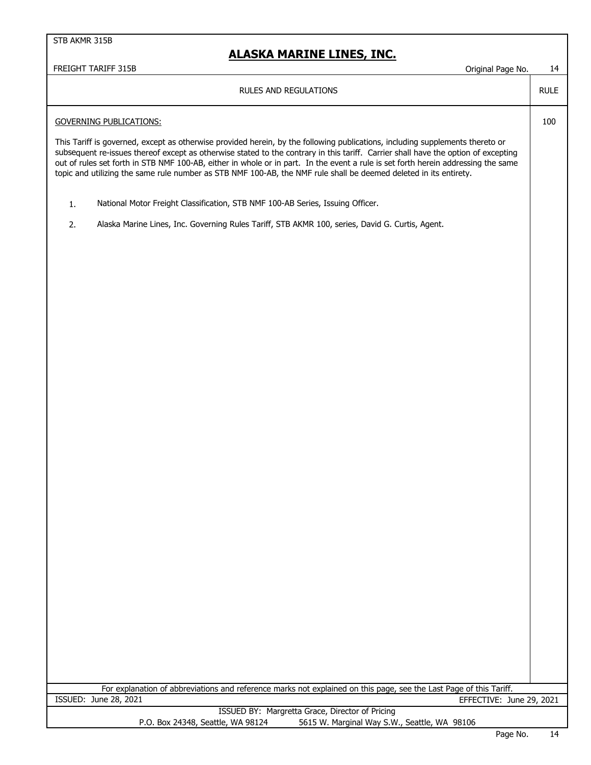## **ALASKA MARINE LINES, INC.**

## FREIGHT TARIFF 315B COMPANY CONTROLLER TO A SUMPLE THE SERIES OF STREEGHT TARIFF 315B

RULE

100

### RULES AND REGULATIONS

### GOVERNING PUBLICATIONS:

This Tariff is governed, except as otherwise provided herein, by the following publications, including supplements thereto or subsequent re-issues thereof except as otherwise stated to the contrary in this tariff. Carrier shall have the option of excepting out of rules set forth in STB NMF 100-AB, either in whole or in part. In the event a rule is set forth herein addressing the same topic and utilizing the same rule number as STB NMF 100-AB, the NMF rule shall be deemed deleted in its entirety.

- 1. National Motor Freight Classification, STB NMF 100-AB Series, Issuing Officer.
- 2. Alaska Marine Lines, Inc. Governing Rules Tariff, STB AKMR 100, series, David G. Curtis, Agent.

For explanation of abbreviations and reference marks not explained on this page, see the Last Page of this Tariff. ISSUED: June 28, 2021 EFFECTIVE: June 29, 2021

|                                   | ISSUED BY: Margretta Grace, Director of Pricing |
|-----------------------------------|-------------------------------------------------|
| P.O. Box 24348, Seattle, WA 98124 | 5615 W. Marginal Way S.W., Seattle, WA 98106    |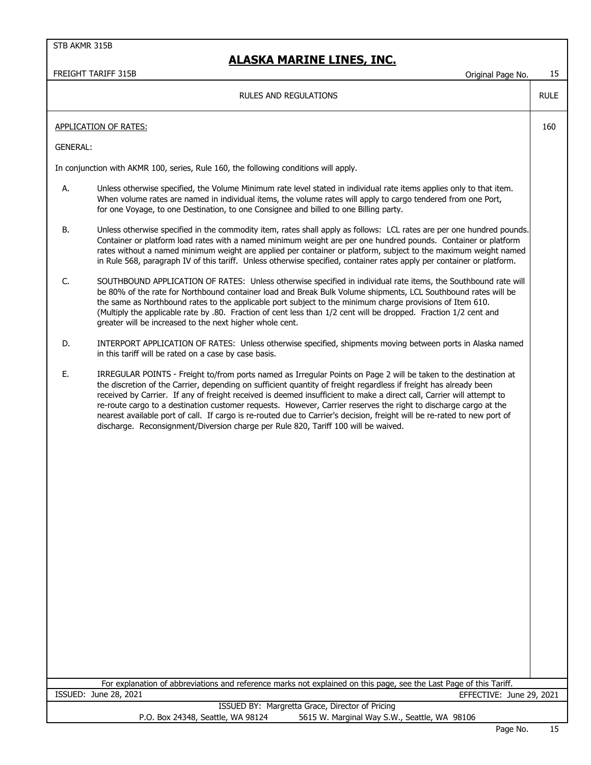|                 | FREIGHT TARIFF 315B<br>Original Page No.                                                                                                                                                                                                                                                                                                                                                                                                                                                                                                                                                                                                                                                             | 15          |
|-----------------|------------------------------------------------------------------------------------------------------------------------------------------------------------------------------------------------------------------------------------------------------------------------------------------------------------------------------------------------------------------------------------------------------------------------------------------------------------------------------------------------------------------------------------------------------------------------------------------------------------------------------------------------------------------------------------------------------|-------------|
|                 | <b>RULES AND REGULATIONS</b>                                                                                                                                                                                                                                                                                                                                                                                                                                                                                                                                                                                                                                                                         | <b>RULE</b> |
|                 | <b>APPLICATION OF RATES:</b>                                                                                                                                                                                                                                                                                                                                                                                                                                                                                                                                                                                                                                                                         | 160         |
| <b>GENERAL:</b> |                                                                                                                                                                                                                                                                                                                                                                                                                                                                                                                                                                                                                                                                                                      |             |
|                 | In conjunction with AKMR 100, series, Rule 160, the following conditions will apply.                                                                                                                                                                                                                                                                                                                                                                                                                                                                                                                                                                                                                 |             |
| А.              | Unless otherwise specified, the Volume Minimum rate level stated in individual rate items applies only to that item.<br>When volume rates are named in individual items, the volume rates will apply to cargo tendered from one Port,<br>for one Voyage, to one Destination, to one Consignee and billed to one Billing party.                                                                                                                                                                                                                                                                                                                                                                       |             |
| В.              | Unless otherwise specified in the commodity item, rates shall apply as follows: LCL rates are per one hundred pounds.<br>Container or platform load rates with a named minimum weight are per one hundred pounds. Container or platform<br>rates without a named minimum weight are applied per container or platform, subject to the maximum weight named<br>in Rule 568, paragraph IV of this tariff. Unless otherwise specified, container rates apply per container or platform.                                                                                                                                                                                                                 |             |
| C.              | SOUTHBOUND APPLICATION OF RATES: Unless otherwise specified in individual rate items, the Southbound rate will<br>be 80% of the rate for Northbound container load and Break Bulk Volume shipments, LCL Southbound rates will be<br>the same as Northbound rates to the applicable port subject to the minimum charge provisions of Item 610.<br>(Multiply the applicable rate by .80. Fraction of cent less than 1/2 cent will be dropped. Fraction 1/2 cent and<br>greater will be increased to the next higher whole cent.                                                                                                                                                                        |             |
| D.              | INTERPORT APPLICATION OF RATES: Unless otherwise specified, shipments moving between ports in Alaska named<br>in this tariff will be rated on a case by case basis.                                                                                                                                                                                                                                                                                                                                                                                                                                                                                                                                  |             |
| Ε.              | IRREGULAR POINTS - Freight to/from ports named as Irregular Points on Page 2 will be taken to the destination at<br>the discretion of the Carrier, depending on sufficient quantity of freight regardless if freight has already been<br>received by Carrier. If any of freight received is deemed insufficient to make a direct call, Carrier will attempt to<br>re-route cargo to a destination customer requests. However, Carrier reserves the right to discharge cargo at the<br>nearest available port of call. If cargo is re-routed due to Carrier's decision, freight will be re-rated to new port of<br>discharge. Reconsignment/Diversion charge per Rule 820, Tariff 100 will be waived. |             |
|                 |                                                                                                                                                                                                                                                                                                                                                                                                                                                                                                                                                                                                                                                                                                      |             |
|                 | For explanation of abbreviations and reference marks not explained on this page, see the Last Page of this Tariff.<br>ISSUED: June 28, 2021<br>EFFECTIVE: June 29, 2021                                                                                                                                                                                                                                                                                                                                                                                                                                                                                                                              |             |
|                 | ISSUED BY: Margretta Grace, Director of Pricing<br>P.O. Box 24348, Seattle, WA 98124<br>5615 W. Marginal Way S.W., Seattle, WA 98106                                                                                                                                                                                                                                                                                                                                                                                                                                                                                                                                                                 |             |
|                 |                                                                                                                                                                                                                                                                                                                                                                                                                                                                                                                                                                                                                                                                                                      |             |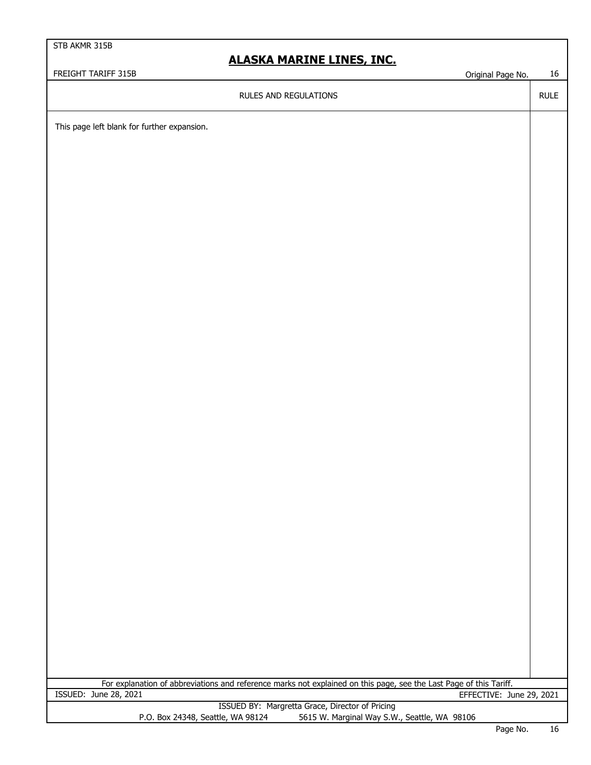# **ALASKA MARINE LINES, INC.**

FREIGHT TARIFF 315B Criginal Page No. 16

RULES AND REGULATIONS

RULE

This page left blank for further expansion.

EFFECTIVE: June 29, 2021 For explanation of abbreviations and reference marks not explained on this page, see the Last Page of this Tariff. ISSUED: June 28, 2021

|                                   | ISSUED BY: Margretta Grace, Director of Pricing |
|-----------------------------------|-------------------------------------------------|
| P.O. Box 24348, Seattle, WA 98124 | 5615 W. Marginal Way S.W., Seattle, WA 98106    |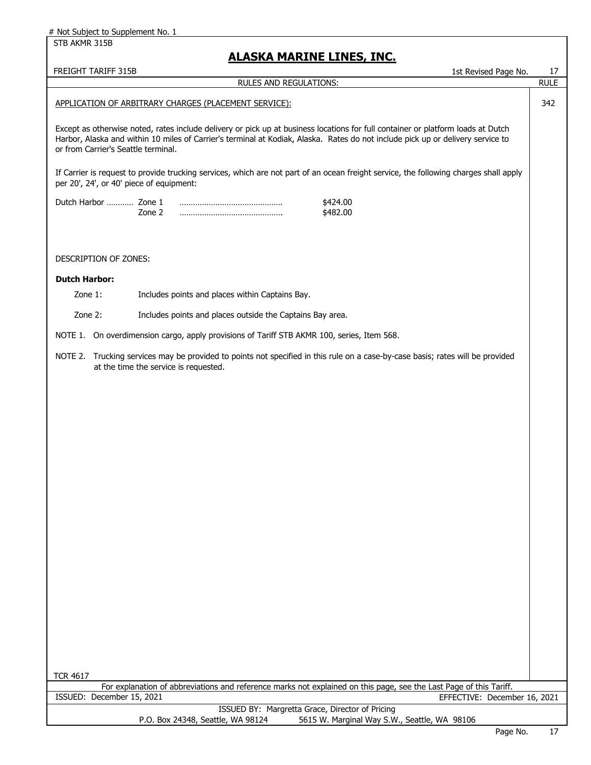STB AKMR 315B

 $\overline{\phantom{a}}$ 

| <u>ALASKA MARINE LINES, INC.</u>         |                                                                                                                                                                                                                                                                     |                   |  |
|------------------------------------------|---------------------------------------------------------------------------------------------------------------------------------------------------------------------------------------------------------------------------------------------------------------------|-------------------|--|
| FREIGHT TARIFF 315B                      | 1st Revised Page No.<br><b>RULES AND REGULATIONS:</b>                                                                                                                                                                                                               | 17<br><b>RULE</b> |  |
|                                          |                                                                                                                                                                                                                                                                     |                   |  |
|                                          | APPLICATION OF ARBITRARY CHARGES (PLACEMENT SERVICE):                                                                                                                                                                                                               | 342               |  |
| or from Carrier's Seattle terminal.      | Except as otherwise noted, rates include delivery or pick up at business locations for full container or platform loads at Dutch<br>Harbor, Alaska and within 10 miles of Carrier's terminal at Kodiak, Alaska. Rates do not include pick up or delivery service to |                   |  |
| per 20', 24', or 40' piece of equipment: | If Carrier is request to provide trucking services, which are not part of an ocean freight service, the following charges shall apply                                                                                                                               |                   |  |
| Dutch Harbor  Zone 1                     | \$424.00<br>Zone 2<br>\$482.00                                                                                                                                                                                                                                      |                   |  |
| <b>DESCRIPTION OF ZONES:</b>             |                                                                                                                                                                                                                                                                     |                   |  |
| <b>Dutch Harbor:</b>                     |                                                                                                                                                                                                                                                                     |                   |  |
| Zone 1:                                  | Includes points and places within Captains Bay.                                                                                                                                                                                                                     |                   |  |
| Zone 2:                                  | Includes points and places outside the Captains Bay area.                                                                                                                                                                                                           |                   |  |
|                                          | NOTE 1. On overdimension cargo, apply provisions of Tariff STB AKMR 100, series, Item 568.                                                                                                                                                                          |                   |  |
|                                          |                                                                                                                                                                                                                                                                     |                   |  |
|                                          | NOTE 2. Trucking services may be provided to points not specified in this rule on a case-by-case basis; rates will be provided<br>at the time the service is requested.                                                                                             |                   |  |
|                                          |                                                                                                                                                                                                                                                                     |                   |  |
|                                          |                                                                                                                                                                                                                                                                     |                   |  |
|                                          |                                                                                                                                                                                                                                                                     |                   |  |
|                                          |                                                                                                                                                                                                                                                                     |                   |  |
|                                          |                                                                                                                                                                                                                                                                     |                   |  |
|                                          |                                                                                                                                                                                                                                                                     |                   |  |
|                                          |                                                                                                                                                                                                                                                                     |                   |  |
|                                          |                                                                                                                                                                                                                                                                     |                   |  |
|                                          |                                                                                                                                                                                                                                                                     |                   |  |
|                                          |                                                                                                                                                                                                                                                                     |                   |  |
|                                          |                                                                                                                                                                                                                                                                     |                   |  |
|                                          |                                                                                                                                                                                                                                                                     |                   |  |
|                                          |                                                                                                                                                                                                                                                                     |                   |  |
|                                          |                                                                                                                                                                                                                                                                     |                   |  |
|                                          |                                                                                                                                                                                                                                                                     |                   |  |
|                                          |                                                                                                                                                                                                                                                                     |                   |  |
|                                          |                                                                                                                                                                                                                                                                     |                   |  |
|                                          |                                                                                                                                                                                                                                                                     |                   |  |
|                                          |                                                                                                                                                                                                                                                                     |                   |  |
| <b>TCR 4617</b>                          |                                                                                                                                                                                                                                                                     |                   |  |
|                                          | For explanation of abbreviations and reference marks not explained on this page, see the Last Page of this Tariff.                                                                                                                                                  |                   |  |
| ISSUED: December 15, 2021                | EFFECTIVE: December 16, 2021<br>ISSUED BY: Margretta Grace, Director of Pricing                                                                                                                                                                                     |                   |  |
|                                          | P.O. Box 24348, Seattle, WA 98124<br>5615 W. Marginal Way S.W., Seattle, WA 98106                                                                                                                                                                                   |                   |  |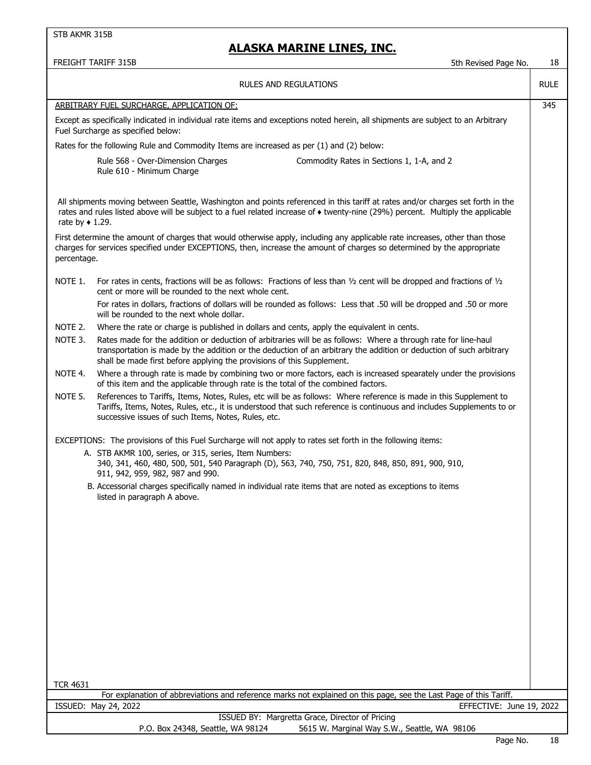## **ALASKA MARINE LINES, INC.**

FREIGHT TARIFF 315B 5th Revised Page No. 5th Revised Page No. 5th Revised Page No. 5th Revised Page No. 5th Revised Page No. 5th Revised Page No. 5th Revised Page No. 5th Revised Page No. 5th Revised Page No. 5th Revised P

|                         | JUI NCVISCU FAYC IVU.                                                                                                                                                                                                                                                                                           |             |
|-------------------------|-----------------------------------------------------------------------------------------------------------------------------------------------------------------------------------------------------------------------------------------------------------------------------------------------------------------|-------------|
|                         | RULES AND REGULATIONS                                                                                                                                                                                                                                                                                           | <b>RULE</b> |
|                         | ARBITRARY FUEL SURCHARGE, APPLICATION OF:                                                                                                                                                                                                                                                                       | 345         |
|                         | Except as specifically indicated in individual rate items and exceptions noted herein, all shipments are subject to an Arbitrary<br>Fuel Surcharge as specified below:                                                                                                                                          |             |
|                         | Rates for the following Rule and Commodity Items are increased as per (1) and (2) below:                                                                                                                                                                                                                        |             |
|                         | Rule 568 - Over-Dimension Charges<br>Commodity Rates in Sections 1, 1-A, and 2<br>Rule 610 - Minimum Charge                                                                                                                                                                                                     |             |
| rate by $\bullet$ 1.29. | All shipments moving between Seattle, Washington and points referenced in this tariff at rates and/or charges set forth in the<br>rates and rules listed above will be subject to a fuel related increase of • twenty-nine (29%) percent. Multiply the applicable                                               |             |
| percentage.             | First determine the amount of charges that would otherwise apply, including any applicable rate increases, other than those<br>charges for services specified under EXCEPTIONS, then, increase the amount of charges so determined by the appropriate                                                           |             |
| NOTE 1.                 | For rates in cents, fractions will be as follows: Fractions of less than $1/2$ cent will be dropped and fractions of $1/2$<br>cent or more will be rounded to the next whole cent.                                                                                                                              |             |
|                         | For rates in dollars, fractions of dollars will be rounded as follows: Less that .50 will be dropped and .50 or more<br>will be rounded to the next whole dollar.                                                                                                                                               |             |
| NOTE 2.                 | Where the rate or charge is published in dollars and cents, apply the equivalent in cents.                                                                                                                                                                                                                      |             |
| NOTE 3.                 | Rates made for the addition or deduction of arbitraries will be as follows: Where a through rate for line-haul<br>transportation is made by the addition or the deduction of an arbitrary the addition or deduction of such arbitrary<br>shall be made first before applying the provisions of this Supplement. |             |
| NOTE 4.                 | Where a through rate is made by combining two or more factors, each is increased spearately under the provisions<br>of this item and the applicable through rate is the total of the combined factors.                                                                                                          |             |
| NOTE 5.                 | References to Tariffs, Items, Notes, Rules, etc will be as follows: Where reference is made in this Supplement to<br>Tariffs, Items, Notes, Rules, etc., it is understood that such reference is continuous and includes Supplements to or<br>successive issues of such Items, Notes, Rules, etc.               |             |
|                         | EXCEPTIONS: The provisions of this Fuel Surcharge will not apply to rates set forth in the following items:                                                                                                                                                                                                     |             |
|                         | A. STB AKMR 100, series, or 315, series, Item Numbers:<br>340, 341, 460, 480, 500, 501, 540 Paragraph (D), 563, 740, 750, 751, 820, 848, 850, 891, 900, 910,<br>911, 942, 959, 982, 987 and 990.                                                                                                                |             |
|                         | B. Accessorial charges specifically named in individual rate items that are noted as exceptions to items<br>listed in paragraph A above.                                                                                                                                                                        |             |
|                         |                                                                                                                                                                                                                                                                                                                 |             |
|                         |                                                                                                                                                                                                                                                                                                                 |             |
|                         |                                                                                                                                                                                                                                                                                                                 |             |
|                         |                                                                                                                                                                                                                                                                                                                 |             |
|                         |                                                                                                                                                                                                                                                                                                                 |             |
|                         |                                                                                                                                                                                                                                                                                                                 |             |
|                         |                                                                                                                                                                                                                                                                                                                 |             |
|                         |                                                                                                                                                                                                                                                                                                                 |             |
|                         |                                                                                                                                                                                                                                                                                                                 |             |
| <b>TCR 4631</b>         |                                                                                                                                                                                                                                                                                                                 |             |
|                         | For explanation of abbreviations and reference marks not explained on this page, see the Last Page of this Tariff.                                                                                                                                                                                              |             |
|                         | ISSUED: May 24, 2022<br>EFFECTIVE: June 19, 2022                                                                                                                                                                                                                                                                |             |
|                         | ISSUED BY: Margretta Grace, Director of Pricing<br>5615 W. Marginal Way S.W., Seattle, WA 98106<br>P.O. Box 24348, Seattle, WA 98124                                                                                                                                                                            |             |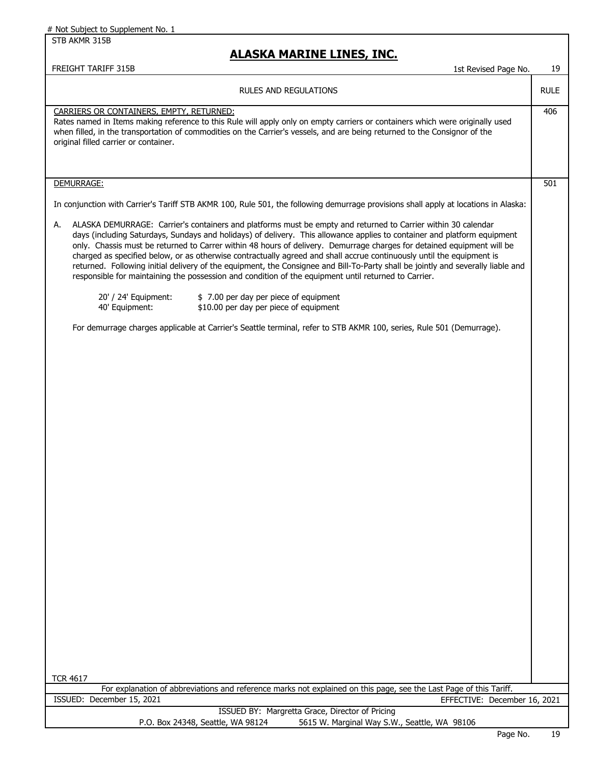STB AKMR 315B

FREIGHT TARIFF 315B

## **ALASKA MARINE LINES, INC.**

| 1st Revised Page No. |  |  | 19 |
|----------------------|--|--|----|
|----------------------|--|--|----|

RULE

## CARRIERS OR CONTAINERS, EMPTY, RETURNED: 406

Rates named in Items making reference to this Rule will apply only on empty carriers or containers which were originally used when filled, in the transportation of commodities on the Carrier's vessels, and are being returned to the Consignor of the original filled carrier or container.

### DEMURRAGE: 501

In conjunction with Carrier's Tariff STB AKMR 100, Rule 501, the following demurrage provisions shall apply at locations in Alaska:

A. ALASKA DEMURRAGE: Carrier's containers and platforms must be empty and returned to Carrier within 30 calendar days (including Saturdays, Sundays and holidays) of delivery. This allowance applies to container and platform equipment only. Chassis must be returned to Carrer within 48 hours of delivery. Demurrage charges for detained equipment will be charged as specified below, or as otherwise contractually agreed and shall accrue continuously until the equipment is returned. Following initial delivery of the equipment, the Consignee and Bill-To-Party shall be jointly and severally liable and responsible for maintaining the possession and condition of the equipment until returned to Carrier.

| 20' / 24' Equipment: | \$7.00 per day per piece of equipment  |
|----------------------|----------------------------------------|
| 40' Equipment:       | \$10.00 per day per piece of equipment |

For demurrage charges applicable at Carrier's Seattle terminal, refer to STB AKMR 100, series, Rule 501 (Demurrage).

For explanation of abbreviations and reference marks not explained on this page, see the Last Page of this Tariff. ISSUED: December 15, 2021 EFFECTIVE: December 16, 2021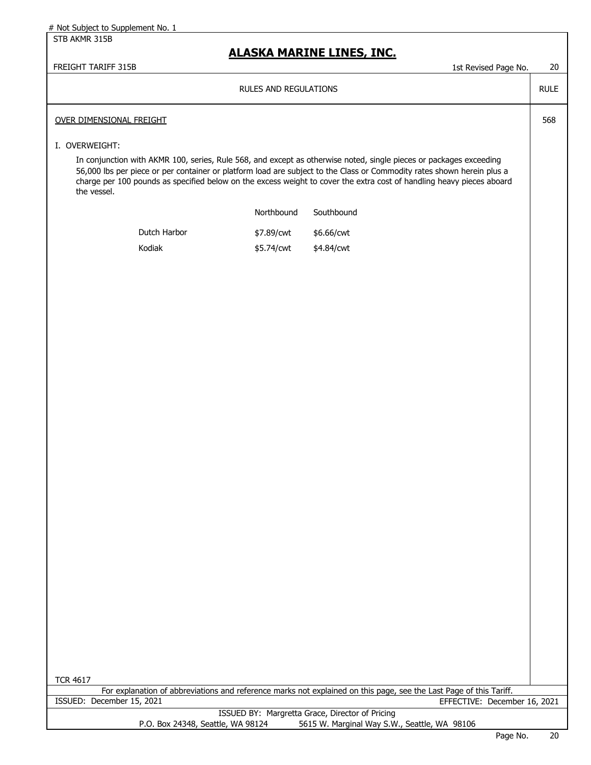#### STB AKMR 315B

## **ALASKA MARINE LINES, INC.**

FREIGHT TARIFF 315B 1st Revised Page No. 20

RULE

568

### RULES AND REGULATIONS

#### OVER DIMENSIONAL FREIGHT

#### I. OVERWEIGHT:

In conjunction with AKMR 100, series, Rule 568, and except as otherwise noted, single pieces or packages exceeding 56,000 lbs per piece or per container or platform load are subject to the Class or Commodity rates shown herein plus a charge per 100 pounds as specified below on the excess weight to cover the extra cost of handling heavy pieces aboard the vessel.

|              | Northbound | Southbound |
|--------------|------------|------------|
| Dutch Harbor | \$7.89/cwt | \$6.66/cwt |
| Kodiak       | \$5.74/cwt | \$4.84/cwt |

| ,<br>ı<br>ו ה |  |
|---------------|--|
|---------------|--|

For explanation of abbreviations and reference marks not explained on this page, see the Last Page of this Tariff. ISSUED: December 15, 2021 EFFECTIVE: December 16, 2021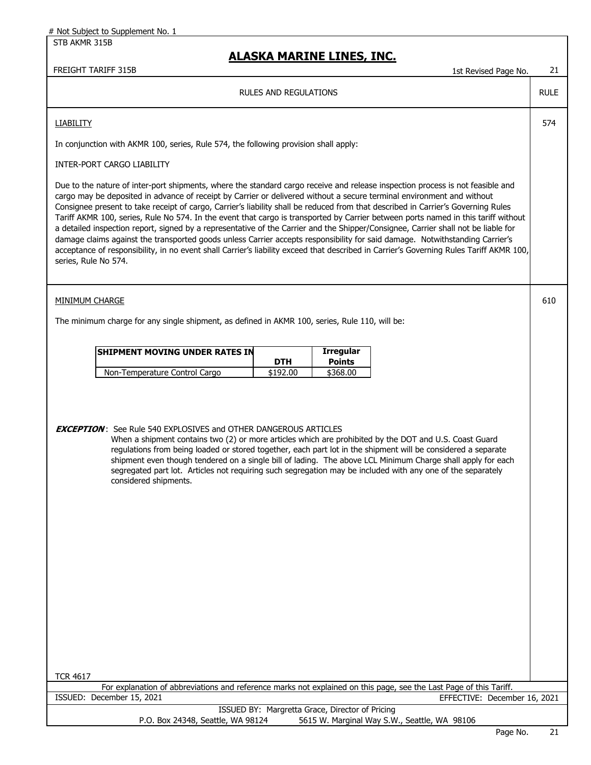## **ALASKA MARINE LINES, INC.**

#### FREIGHT TARIFF 315B 15t Revised Page No. 21

RULE

574

610

RULES AND REGULATIONS

#### **LIABILITY**

In conjunction with AKMR 100, series, Rule 574, the following provision shall apply:

### INTER-PORT CARGO LIABILITY

Due to the nature of inter-port shipments, where the standard cargo receive and release inspection process is not feasible and cargo may be deposited in advance of receipt by Carrier or delivered without a secure terminal environment and without Consignee present to take receipt of cargo, Carrier's liability shall be reduced from that described in Carrier's Governing Rules Tariff AKMR 100, series, Rule No 574. In the event that cargo is transported by Carrier between ports named in this tariff without a detailed inspection report, signed by a representative of the Carrier and the Shipper/Consignee, Carrier shall not be liable for damage claims against the transported goods unless Carrier accepts responsibility for said damage. Notwithstanding Carrier's acceptance of responsibility, in no event shall Carrier's liability exceed that described in Carrier's Governing Rules Tariff AKMR 100, series, Rule No 574.

#### MINIMUM CHARGE

The minimum charge for any single shipment, as defined in AKMR 100, series, Rule 110, will be:

| <b>ISHIPMENT MOVING UNDER RATES IN</b> |            | <b>Irregular</b> |  |
|----------------------------------------|------------|------------------|--|
|                                        | <b>DTH</b> | Points           |  |
| Non-Temperature Control Cargo          | \$192.00   | \$368,00         |  |

### **EXCEPTION** : See Rule 540 EXPLOSIVES and OTHER DANGEROUS ARTICLES

 When a shipment contains two (2) or more articles which are prohibited by the DOT and U.S. Coast Guard regulations from being loaded or stored together, each part lot in the shipment will be considered a separate shipment even though tendered on a single bill of lading. The above LCL Minimum Charge shall apply for each segregated part lot. Articles not requiring such segregation may be included with any one of the separately considered shipments.

TCR 4617

For explanation of abbreviations and reference marks not explained on this page, see the Last Page of this Tariff. ISSUED: December 15, 2021 EFFECTIVE: December 16, 2021

|                                   | ISSUED BY: Margretta Grace, Director of Pricing |
|-----------------------------------|-------------------------------------------------|
| P.O. Box 24348, Seattle, WA 98124 | 5615 W. Marginal Way S.W., Seattle, WA 98106    |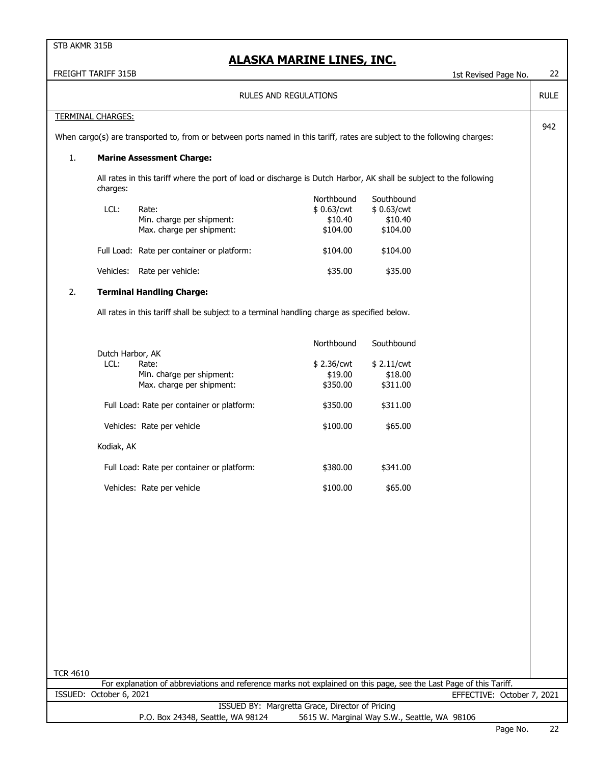|                 | FREIGHT TARIFF 315B      |                                                                                                                           |                                                 | 1st Revised Page No.                            | 22          |
|-----------------|--------------------------|---------------------------------------------------------------------------------------------------------------------------|-------------------------------------------------|-------------------------------------------------|-------------|
|                 |                          | <b>RULES AND REGULATIONS</b>                                                                                              |                                                 |                                                 | <b>RULE</b> |
|                 | <b>TERMINAL CHARGES:</b> |                                                                                                                           |                                                 |                                                 |             |
|                 |                          | When cargo(s) are transported to, from or between ports named in this tariff, rates are subject to the following charges: |                                                 |                                                 | 942         |
| 1.              |                          | <b>Marine Assessment Charge:</b>                                                                                          |                                                 |                                                 |             |
|                 | charges:                 | All rates in this tariff where the port of load or discharge is Dutch Harbor, AK shall be subject to the following        |                                                 |                                                 |             |
|                 | LCL:                     | Rate:<br>Min. charge per shipment:<br>Max. charge per shipment:                                                           | Northbound<br>\$0.63/cwt<br>\$10.40<br>\$104.00 | Southbound<br>\$0.63/cwt<br>\$10.40<br>\$104.00 |             |
|                 |                          | Full Load: Rate per container or platform:                                                                                | \$104.00                                        | \$104.00                                        |             |
|                 |                          | Vehicles: Rate per vehicle:                                                                                               | \$35.00                                         | \$35.00                                         |             |
| 2.              |                          | <b>Terminal Handling Charge:</b>                                                                                          |                                                 |                                                 |             |
|                 |                          | All rates in this tariff shall be subject to a terminal handling charge as specified below.                               |                                                 |                                                 |             |
|                 | Dutch Harbor, AK         |                                                                                                                           | Northbound                                      | Southbound                                      |             |
|                 | LCL:                     | Rate:<br>Min. charge per shipment:<br>Max. charge per shipment:                                                           | \$2.36/cwt<br>\$19.00<br>\$350.00               | \$2.11/cwt<br>\$18.00<br>\$311.00               |             |
|                 |                          | Full Load: Rate per container or platform:                                                                                | \$350.00                                        | \$311.00                                        |             |
|                 |                          | Vehicles: Rate per vehicle                                                                                                | \$100.00                                        | \$65.00                                         |             |
|                 | Kodiak, AK               |                                                                                                                           |                                                 |                                                 |             |
|                 |                          | Full Load: Rate per container or platform:                                                                                | \$380.00                                        | \$341.00                                        |             |
|                 |                          | Vehicles: Rate per vehicle                                                                                                | \$100.00                                        | \$65.00                                         |             |
|                 |                          |                                                                                                                           |                                                 |                                                 |             |
|                 |                          |                                                                                                                           |                                                 |                                                 |             |
|                 |                          |                                                                                                                           |                                                 |                                                 |             |
|                 |                          |                                                                                                                           |                                                 |                                                 |             |
|                 |                          |                                                                                                                           |                                                 |                                                 |             |
|                 |                          |                                                                                                                           |                                                 |                                                 |             |
|                 |                          |                                                                                                                           |                                                 |                                                 |             |
|                 |                          |                                                                                                                           |                                                 |                                                 |             |
| <b>TCR 4610</b> |                          | For explanation of abbreviations and reference marks not explained on this page, see the Last Page of this Tariff.        |                                                 |                                                 |             |
|                 | ISSUED: October 6, 2021  |                                                                                                                           |                                                 | EFFECTIVE: October 7, 2021                      |             |
|                 |                          | ISSUED BY: Margretta Grace, Director of Pricing<br>P.O. Box 24348, Seattle, WA 98124                                      |                                                 | 5615 W. Marginal Way S.W., Seattle, WA 98106    |             |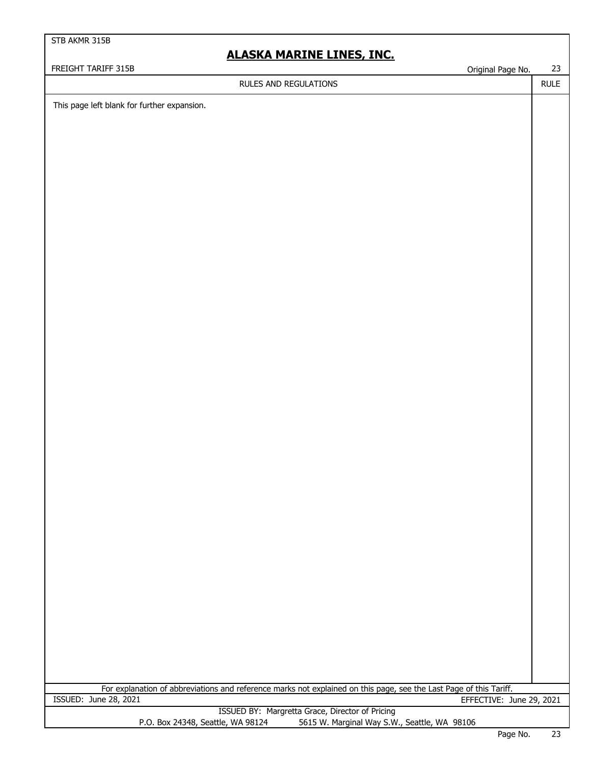# **ALASKA MARINE LINES, INC.**

## RULES AND REGULATIONS

FREIGHT TARIFF 315B CONTROLLER CONTROLLER CONTROLLER CONTROLLER CONTROLLER CONTROLLER CONTROLLER CONTROLLER CONTROLLER CONTROLLER CONTROLLER CONTROLLER CONTROLLER CONTROLLER CONTROLLER CONTROLLER CONTROLLER CONTROLLER CONT

RULE

This page left blank for further expansion.

| For explanation of abbreviations and reference marks not explained on this page, see the Last Page of this Tariff. |                          |
|--------------------------------------------------------------------------------------------------------------------|--------------------------|
| ISSUED: June 28, 2021                                                                                              | EFFECTIVE: June 29, 2021 |

|                                   | ISSUED BY: Margretta Grace, Director of Pricing |
|-----------------------------------|-------------------------------------------------|
| P.O. Box 24348, Seattle, WA 98124 | 5615 W. Marginal Way S.W., Seattle, WA 98106    |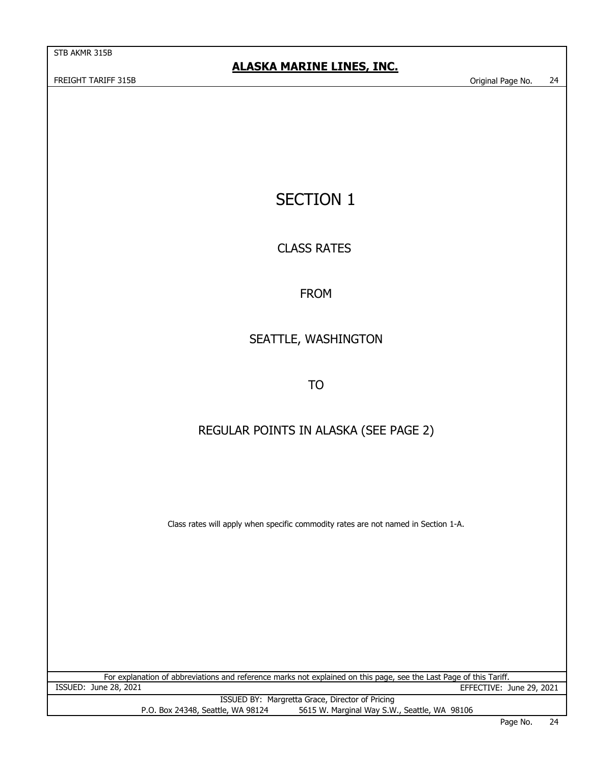FREIGHT TARIFF 315B COMPANY CONTROLLER TO A SUMMER AND THE SERIES OF STREEGHT TARIFF 315B

# SECTION 1

# CLASS RATES

# FROM

# SEATTLE, WASHINGTON

TO

# REGULAR POINTS IN ALASKA (SEE PAGE 2)

Class rates will apply when specific commodity rates are not named in Section 1-A.

ISSUED: June 28, 2021 EFFECTIVE: June 29, 2021 For explanation of abbreviations and reference marks not explained on this page, see the Last Page of this Tariff.

ISSUED BY: Margretta Grace, Director of Pricing P.O. Box 24348, Seattle, WA 98124 5615 W. Marginal Way S.W., Seattle, WA 98106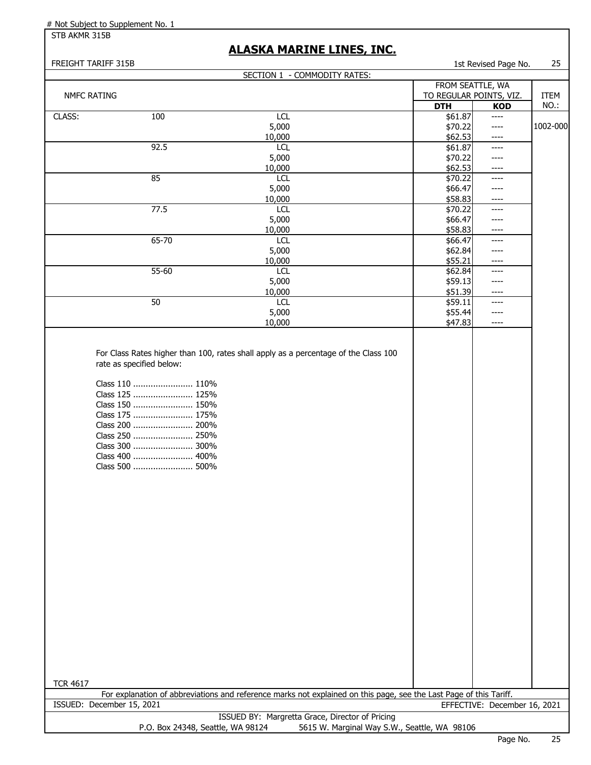STB AKMR 315B

# **ALASKA MARINE LINES, INC.**

| FREIGHT TARIFF 315B |                                                                                                                                                                         |                                                                                                                    |                                              | 1st Revised Page No.         | 25       |
|---------------------|-------------------------------------------------------------------------------------------------------------------------------------------------------------------------|--------------------------------------------------------------------------------------------------------------------|----------------------------------------------|------------------------------|----------|
|                     |                                                                                                                                                                         | SECTION 1 - COMMODITY RATES:                                                                                       |                                              |                              |          |
|                     |                                                                                                                                                                         |                                                                                                                    | FROM SEATTLE, WA                             |                              |          |
| <b>NMFC RATING</b>  |                                                                                                                                                                         |                                                                                                                    | TO REGULAR POINTS, VIZ.                      |                              | ITEM     |
|                     |                                                                                                                                                                         |                                                                                                                    | <b>DTH</b>                                   | <b>KOD</b>                   | NO.:     |
| CLASS:              | 100                                                                                                                                                                     | <b>LCL</b>                                                                                                         | \$61.87                                      | $---$                        | 1002-000 |
|                     |                                                                                                                                                                         | 5,000<br>10,000                                                                                                    | \$70.22<br>\$62.53                           | ----<br>$---$                |          |
|                     | 92.5                                                                                                                                                                    | <b>LCL</b>                                                                                                         | \$61.87                                      | $---$                        |          |
|                     |                                                                                                                                                                         | 5,000                                                                                                              | \$70.22                                      | $---$                        |          |
|                     |                                                                                                                                                                         | 10,000                                                                                                             | \$62.53                                      | $---$                        |          |
|                     | 85                                                                                                                                                                      | <b>LCL</b>                                                                                                         | \$70.22                                      | ----                         |          |
|                     |                                                                                                                                                                         | 5,000                                                                                                              | \$66.47                                      | ----                         |          |
|                     |                                                                                                                                                                         | 10,000                                                                                                             | \$58.83                                      | $--- -$                      |          |
|                     | 77.5                                                                                                                                                                    | <b>LCL</b>                                                                                                         | \$70.22                                      | ----                         |          |
|                     |                                                                                                                                                                         | 5,000                                                                                                              | \$66.47                                      | ----                         |          |
|                     |                                                                                                                                                                         | 10,000                                                                                                             | \$58.83                                      | $--- -$                      |          |
|                     | 65-70                                                                                                                                                                   | <b>LCL</b>                                                                                                         | \$66.47<br>\$62.84                           | $\qquad \qquad - - -$        |          |
|                     |                                                                                                                                                                         | 5,000<br>10,000                                                                                                    | \$55.21                                      | $---$<br>$--- -$             |          |
|                     | 55-60                                                                                                                                                                   | <b>LCL</b>                                                                                                         | \$62.84                                      | ----                         |          |
|                     |                                                                                                                                                                         | 5,000                                                                                                              | \$59.13                                      | ----                         |          |
|                     |                                                                                                                                                                         | 10,000                                                                                                             | \$51.39                                      | $--- -$                      |          |
|                     | 50                                                                                                                                                                      | <b>LCL</b>                                                                                                         | \$59.11                                      | $---$                        |          |
|                     |                                                                                                                                                                         | 5,000                                                                                                              | \$55.44                                      | ----                         |          |
|                     |                                                                                                                                                                         | 10,000                                                                                                             | \$47.83                                      | $---$                        |          |
|                     | Class 110  110%<br>Class 125  125%<br>Class 150  150%<br>Class 175  175%<br>Class 200  200%<br>Class 250  250%<br>Class 300  300%<br>Class 400  400%<br>Class 500  500% |                                                                                                                    |                                              |                              |          |
| <b>TCR 4617</b>     |                                                                                                                                                                         | For explanation of abbreviations and reference marks not explained on this page, see the Last Page of this Tariff. |                                              |                              |          |
|                     | ISSUED: December 15, 2021                                                                                                                                               |                                                                                                                    |                                              | EFFECTIVE: December 16, 2021 |          |
|                     |                                                                                                                                                                         | ISSUED BY: Margretta Grace, Director of Pricing                                                                    |                                              |                              |          |
|                     | P.O. Box 24348, Seattle, WA 98124                                                                                                                                       |                                                                                                                    | 5615 W. Marginal Way S.W., Seattle, WA 98106 |                              |          |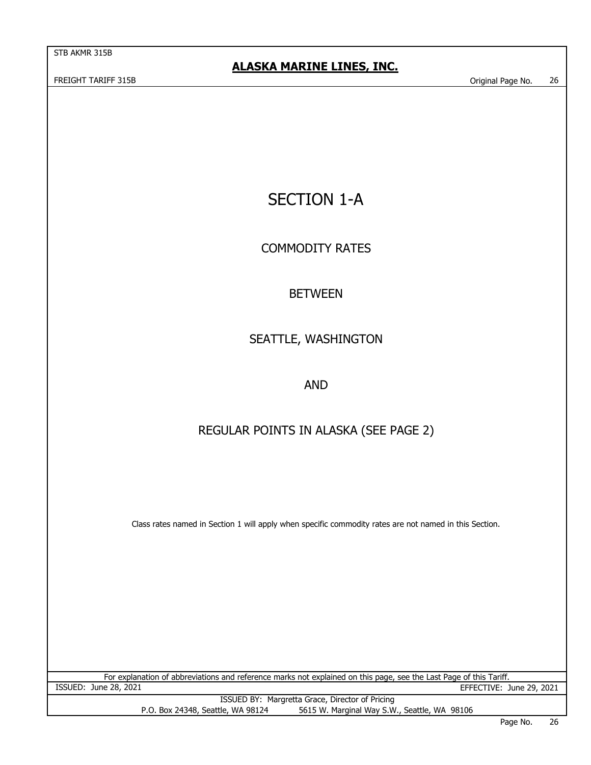FREIGHT TARIFF 315B Original Page No. 26

# SECTION 1-A

# COMMODITY RATES

# BETWEEN

# SEATTLE, WASHINGTON

# AND

# REGULAR POINTS IN ALASKA (SEE PAGE 2)

Class rates named in Section 1 will apply when specific commodity rates are not named in this Section.

ISSUED: June 28, 2021 EFFECTIVE: June 29, 2021 For explanation of abbreviations and reference marks not explained on this page, see the Last Page of this Tariff.

ISSUED BY: Margretta Grace, Director of Pricing P.O. Box 24348, Seattle, WA 98124 5615 W. Marginal Way S.W., Seattle, WA 98106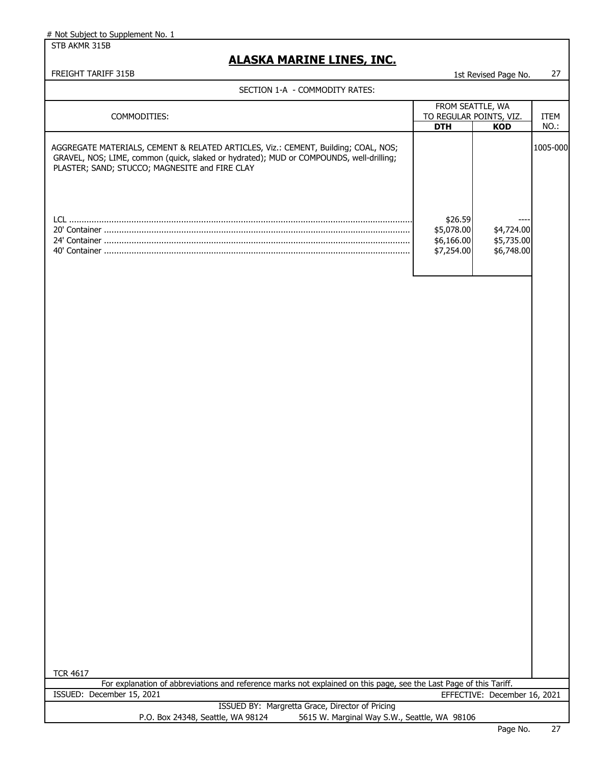STB AKMR 315B

# **ALASKA MARINE LINES, INC.**

FREIGHT TARIFF 315B 1st Revised Page No. 27

### SECTION 1-A - COMMODITY RATES:

| COMMODITIES:                                                                                                                                                                                                                    | FROM SEATTLE, WA                                  | TO REGULAR POINTS, VIZ.                        | ITEM     |
|---------------------------------------------------------------------------------------------------------------------------------------------------------------------------------------------------------------------------------|---------------------------------------------------|------------------------------------------------|----------|
|                                                                                                                                                                                                                                 | <b>DTH</b>                                        | KOD                                            | NO.:     |
| AGGREGATE MATERIALS, CEMENT & RELATED ARTICLES, Viz.: CEMENT, Building; COAL, NOS;<br>GRAVEL, NOS; LIME, common (quick, slaked or hydrated); MUD or COMPOUNDS, well-drilling;<br>PLASTER; SAND; STUCCO; MAGNESITE and FIRE CLAY |                                                   |                                                | 1005-000 |
|                                                                                                                                                                                                                                 | \$26.59<br>\$5,078.00<br>\$6,166.00<br>\$7,254.00 | ----<br>\$4,724.00<br>\$5,735.00<br>\$6,748.00 |          |

|--|

| . |                                   |                                                                                                                    |
|---|-----------------------------------|--------------------------------------------------------------------------------------------------------------------|
|   |                                   | For explanation of abbreviations and reference marks not explained on this page, see the Last Page of this Tariff. |
|   | ISSUED: December 15, 2021         | EFFECTIVE: December 16, 2021                                                                                       |
|   |                                   | ISSUED BY: Margretta Grace, Director of Pricing                                                                    |
|   | P.O. Box 24348, Seattle, WA 98124 | 5615 W. Marginal Way S.W., Seattle, WA 98106                                                                       |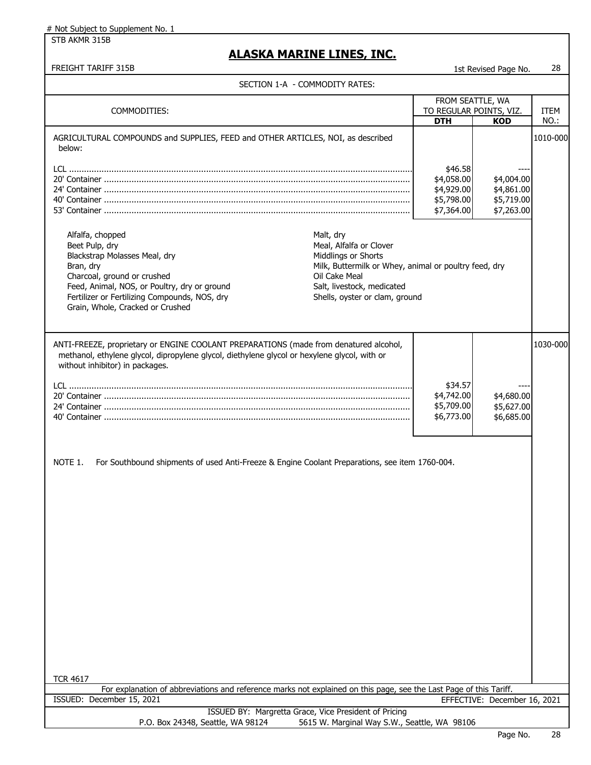STB AKMR 315B

# **ALASKA MARINE LINES, INC.**

## FREIGHT TARIFF 315B 1st Revised Page No. 28

|  | SECTION 1-A  - COMMODITY RATES: |
|--|---------------------------------|
|--|---------------------------------|

| SECTION 1-A - COMMODITY RATES:                                                                                                                                                                                                                       |                                                                                                                                                                                                       |                                                                 |                                                      |              |
|------------------------------------------------------------------------------------------------------------------------------------------------------------------------------------------------------------------------------------------------------|-------------------------------------------------------------------------------------------------------------------------------------------------------------------------------------------------------|-----------------------------------------------------------------|------------------------------------------------------|--------------|
| COMMODITIES:                                                                                                                                                                                                                                         |                                                                                                                                                                                                       | FROM SEATTLE, WA<br>TO REGULAR POINTS, VIZ.<br><b>DTH</b>       | KOD                                                  | ITEM<br>NO.: |
| AGRICULTURAL COMPOUNDS and SUPPLIES, FEED and OTHER ARTICLES, NOI, as described<br>below:                                                                                                                                                            |                                                                                                                                                                                                       | \$46.58<br>\$4,058.00<br>\$4,929.00<br>\$5,798.00<br>\$7,364.00 | \$4,004.00<br>\$4,861.00<br>\$5,719.00<br>\$7,263.00 | 1010-000     |
| Alfalfa, chopped<br>Beet Pulp, dry<br>Blackstrap Molasses Meal, dry<br>Bran, dry<br>Charcoal, ground or crushed<br>Feed, Animal, NOS, or Poultry, dry or ground<br>Fertilizer or Fertilizing Compounds, NOS, dry<br>Grain, Whole, Cracked or Crushed | Malt, dry<br>Meal, Alfalfa or Clover<br>Middlings or Shorts<br>Milk, Buttermilk or Whey, animal or poultry feed, dry<br>Oil Cake Meal<br>Salt, livestock, medicated<br>Shells, oyster or clam, ground |                                                                 |                                                      |              |
| ANTI-FREEZE, proprietary or ENGINE COOLANT PREPARATIONS (made from denatured alcohol,<br>methanol, ethylene glycol, dipropylene glycol, diethylene glycol or hexylene glycol, with or<br>without inhibitor) in packages.                             |                                                                                                                                                                                                       | \$34.57<br>\$4,742.00<br>\$5,709.00<br>\$6,773.00               | \$4,680.00<br>\$5,627.00<br>\$6,685.00               | 1030-000     |
| For Southbound shipments of used Anti-Freeze & Engine Coolant Preparations, see item 1760-004.<br>NOTE 1.<br><b>TCR 4617</b><br>For explanation of abbreviations and reference marks not explained on this page, see the Last Page of this Tariff.   |                                                                                                                                                                                                       |                                                                 |                                                      |              |
| ISSUED: December 15, 2021                                                                                                                                                                                                                            |                                                                                                                                                                                                       |                                                                 | EFFECTIVE: December 16, 2021                         |              |
| ISSUED BY: Margretta Grace, Vice President of Pricing<br>P.O. Box 24348, Seattle, WA 98124                                                                                                                                                           | 5615 W. Marginal Way S.W., Seattle, WA 98106                                                                                                                                                          |                                                                 |                                                      |              |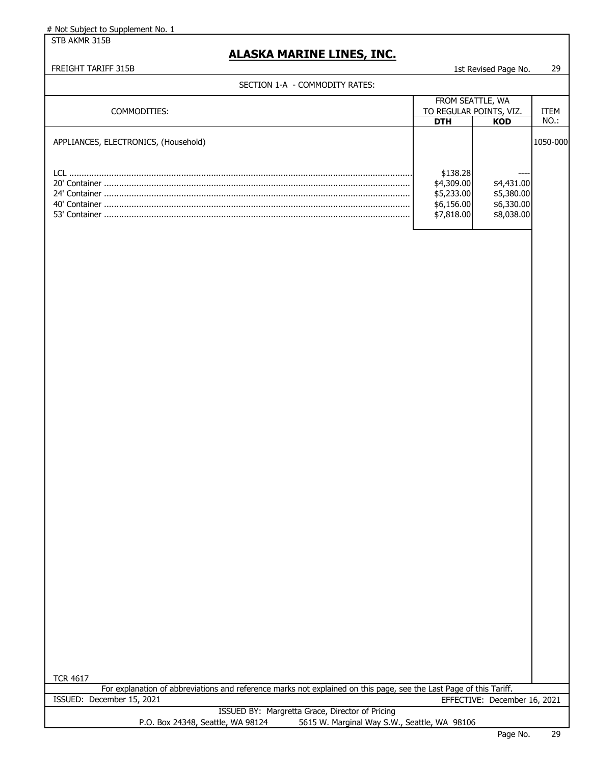STB AKMR 315B

# **ALASKA MARINE LINES, INC.**

## FREIGHT TARIFF 315B 15t Revised Page No. 29

#### SECTION 1-A - COMMODITY RATES:

| ISt Revised Pade No. |  |  |
|----------------------|--|--|
|                      |  |  |

| SECTION 1-A - COMMODITY RATES:                                                                                                        |                          |                              |          |
|---------------------------------------------------------------------------------------------------------------------------------------|--------------------------|------------------------------|----------|
|                                                                                                                                       | FROM SEATTLE, WA         |                              |          |
| COMMODITIES:                                                                                                                          | TO REGULAR POINTS, VIZ.  |                              | ITEM     |
|                                                                                                                                       | <b>DTH</b>               | <b>KOD</b>                   | NO.:     |
| APPLIANCES, ELECTRONICS, (Household)                                                                                                  | \$138.28                 |                              | 1050-000 |
|                                                                                                                                       | \$4,309.00               | \$4,431.00                   |          |
|                                                                                                                                       | \$5,233.00<br>\$6,156.00 | \$5,380.00<br>\$6,330.00     |          |
|                                                                                                                                       | \$7,818.00               | \$8,038.00                   |          |
|                                                                                                                                       |                          |                              |          |
| <b>TCR 4617</b><br>For explanation of abbreviations and reference marks not explained on this page, see the Last Page of this Tariff. |                          |                              |          |
| ISSUED: December 15, 2021                                                                                                             |                          | EFFECTIVE: December 16, 2021 |          |
| ISSUED BY: Margretta Grace, Director of Pricing                                                                                       |                          |                              |          |
| P.O. Box 24348, Seattle, WA 98124<br>5615 W. Marginal Way S.W., Seattle, WA 98106                                                     |                          |                              |          |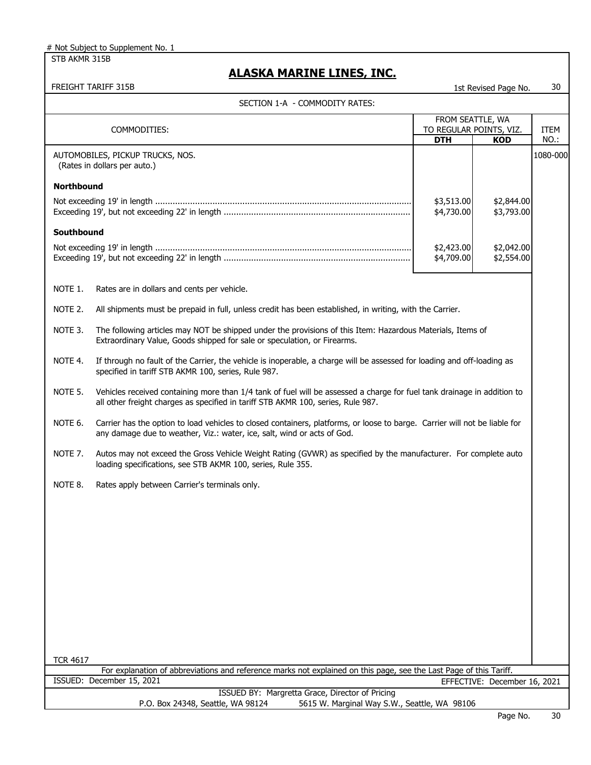STB AKMR 315B

# **ALASKA MARINE LINES, INC.**

| FREIGHT TARIFF 315B 1st Revised Page No. 30

| SECTION 1-A - COMMODITY RATES:                                                                                                                                                                                   |                                                                                                                                                                                                             |                                                           |                          |              |
|------------------------------------------------------------------------------------------------------------------------------------------------------------------------------------------------------------------|-------------------------------------------------------------------------------------------------------------------------------------------------------------------------------------------------------------|-----------------------------------------------------------|--------------------------|--------------|
|                                                                                                                                                                                                                  | COMMODITIES:                                                                                                                                                                                                | FROM SEATTLE, WA<br>TO REGULAR POINTS, VIZ.<br><b>DTH</b> | <b>KOD</b>               | ITEM<br>NO.: |
|                                                                                                                                                                                                                  | AUTOMOBILES, PICKUP TRUCKS, NOS.<br>(Rates in dollars per auto.)                                                                                                                                            |                                                           |                          | 1080-000     |
| <b>Northbound</b>                                                                                                                                                                                                |                                                                                                                                                                                                             |                                                           |                          |              |
|                                                                                                                                                                                                                  |                                                                                                                                                                                                             | \$3,513.00<br>\$4,730.00                                  | \$2,844.00<br>\$3,793.00 |              |
| <b>Southbound</b>                                                                                                                                                                                                |                                                                                                                                                                                                             |                                                           |                          |              |
|                                                                                                                                                                                                                  |                                                                                                                                                                                                             | \$2,423.00<br>\$4,709.00                                  | \$2,042.00<br>\$2,554.00 |              |
| NOTE 1.                                                                                                                                                                                                          | Rates are in dollars and cents per vehicle.                                                                                                                                                                 |                                                           |                          |              |
| NOTE 2.                                                                                                                                                                                                          | All shipments must be prepaid in full, unless credit has been established, in writing, with the Carrier.                                                                                                    |                                                           |                          |              |
| NOTE 3.                                                                                                                                                                                                          | The following articles may NOT be shipped under the provisions of this Item: Hazardous Materials, Items of<br>Extraordinary Value, Goods shipped for sale or speculation, or Firearms.                      |                                                           |                          |              |
| NOTE 4.                                                                                                                                                                                                          | If through no fault of the Carrier, the vehicle is inoperable, a charge will be assessed for loading and off-loading as<br>specified in tariff STB AKMR 100, series, Rule 987.                              |                                                           |                          |              |
| NOTE 5.                                                                                                                                                                                                          | Vehicles received containing more than 1/4 tank of fuel will be assessed a charge for fuel tank drainage in addition to<br>all other freight charges as specified in tariff STB AKMR 100, series, Rule 987. |                                                           |                          |              |
| NOTE 6.<br>Carrier has the option to load vehicles to closed containers, platforms, or loose to barge. Carrier will not be liable for<br>any damage due to weather, Viz.: water, ice, salt, wind or acts of God. |                                                                                                                                                                                                             |                                                           |                          |              |
| NOTE 7.<br>Autos may not exceed the Gross Vehicle Weight Rating (GVWR) as specified by the manufacturer. For complete auto<br>loading specifications, see STB AKMR 100, series, Rule 355.                        |                                                                                                                                                                                                             |                                                           |                          |              |
| NOTE 8.                                                                                                                                                                                                          | Rates apply between Carrier's terminals only.                                                                                                                                                               |                                                           |                          |              |
|                                                                                                                                                                                                                  |                                                                                                                                                                                                             |                                                           |                          |              |
|                                                                                                                                                                                                                  |                                                                                                                                                                                                             |                                                           |                          |              |
|                                                                                                                                                                                                                  |                                                                                                                                                                                                             |                                                           |                          |              |
|                                                                                                                                                                                                                  |                                                                                                                                                                                                             |                                                           |                          |              |
|                                                                                                                                                                                                                  |                                                                                                                                                                                                             |                                                           |                          |              |
|                                                                                                                                                                                                                  |                                                                                                                                                                                                             |                                                           |                          |              |
|                                                                                                                                                                                                                  |                                                                                                                                                                                                             |                                                           |                          |              |
| <b>TCR 4617</b>                                                                                                                                                                                                  |                                                                                                                                                                                                             |                                                           |                          |              |
| For explanation of abbreviations and reference marks not explained on this page, see the Last Page of this Tariff.                                                                                               |                                                                                                                                                                                                             |                                                           |                          |              |
| ISSUED: December 15, 2021<br>EFFECTIVE: December 16, 2021                                                                                                                                                        |                                                                                                                                                                                                             |                                                           |                          |              |
|                                                                                                                                                                                                                  | ISSUED BY: Margretta Grace, Director of Pricing<br>P.O. Box 24348, Seattle, WA 98124<br>5615 W. Marginal Way S.W., Seattle, WA 98106                                                                        |                                                           |                          |              |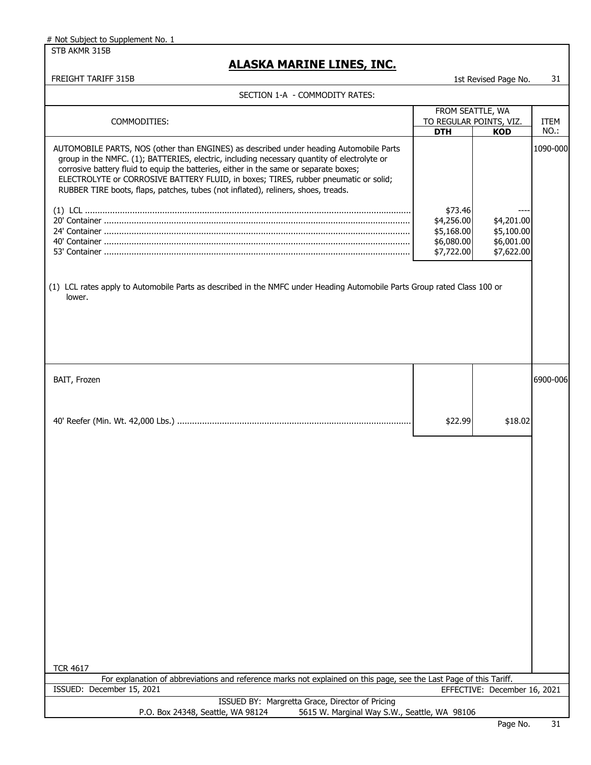STB AKMR 315B

| SECTION 1-A - COMMODITY RATES:<br>FROM SEATTLE, WA<br>TO REGULAR POINTS, VIZ.<br>COMMODITIES:<br><b>ITEM</b><br>NO.:<br><b>DTH</b><br><b>KOD</b><br>AUTOMOBILE PARTS, NOS (other than ENGINES) as described under heading Automobile Parts<br>group in the NMFC. (1); BATTERIES, electric, including necessary quantity of electrolyte or<br>corrosive battery fluid to equip the batteries, either in the same or separate boxes;<br>ELECTROLYTE or CORROSIVE BATTERY FLUID, in boxes; TIRES, rubber pneumatic or solid;<br>RUBBER TIRE boots, flaps, patches, tubes (not inflated), reliners, shoes, treads.<br>\$73.46<br>\$4,256.00<br>\$4,201.00<br>\$5,168.00<br>\$5,100.00<br>\$6,080.00<br>\$6,001.00<br>\$7,722.00<br>\$7,622.00<br>(1) LCL rates apply to Automobile Parts as described in the NMFC under Heading Automobile Parts Group rated Class 100 or<br>lower.<br>BAIT, Frozen<br>6900-006<br>\$22.99<br>\$18.02<br><b>TCR 4617</b><br>For explanation of abbreviations and reference marks not explained on this page, see the Last Page of this Tariff.<br>ISSUED: December 15, 2021<br>EFFECTIVE: December 16, 2021<br>ISSUED BY: Margretta Grace, Director of Pricing | FREIGHT TARIFF 315B | 1st Revised Page No. | 31       |
|--------------------------------------------------------------------------------------------------------------------------------------------------------------------------------------------------------------------------------------------------------------------------------------------------------------------------------------------------------------------------------------------------------------------------------------------------------------------------------------------------------------------------------------------------------------------------------------------------------------------------------------------------------------------------------------------------------------------------------------------------------------------------------------------------------------------------------------------------------------------------------------------------------------------------------------------------------------------------------------------------------------------------------------------------------------------------------------------------------------------------------------------------------------------------------------------|---------------------|----------------------|----------|
|                                                                                                                                                                                                                                                                                                                                                                                                                                                                                                                                                                                                                                                                                                                                                                                                                                                                                                                                                                                                                                                                                                                                                                                            |                     |                      |          |
|                                                                                                                                                                                                                                                                                                                                                                                                                                                                                                                                                                                                                                                                                                                                                                                                                                                                                                                                                                                                                                                                                                                                                                                            |                     |                      |          |
|                                                                                                                                                                                                                                                                                                                                                                                                                                                                                                                                                                                                                                                                                                                                                                                                                                                                                                                                                                                                                                                                                                                                                                                            |                     |                      | 1090-000 |
|                                                                                                                                                                                                                                                                                                                                                                                                                                                                                                                                                                                                                                                                                                                                                                                                                                                                                                                                                                                                                                                                                                                                                                                            |                     |                      |          |
|                                                                                                                                                                                                                                                                                                                                                                                                                                                                                                                                                                                                                                                                                                                                                                                                                                                                                                                                                                                                                                                                                                                                                                                            |                     |                      |          |
|                                                                                                                                                                                                                                                                                                                                                                                                                                                                                                                                                                                                                                                                                                                                                                                                                                                                                                                                                                                                                                                                                                                                                                                            |                     |                      |          |
|                                                                                                                                                                                                                                                                                                                                                                                                                                                                                                                                                                                                                                                                                                                                                                                                                                                                                                                                                                                                                                                                                                                                                                                            |                     |                      |          |
|                                                                                                                                                                                                                                                                                                                                                                                                                                                                                                                                                                                                                                                                                                                                                                                                                                                                                                                                                                                                                                                                                                                                                                                            |                     |                      |          |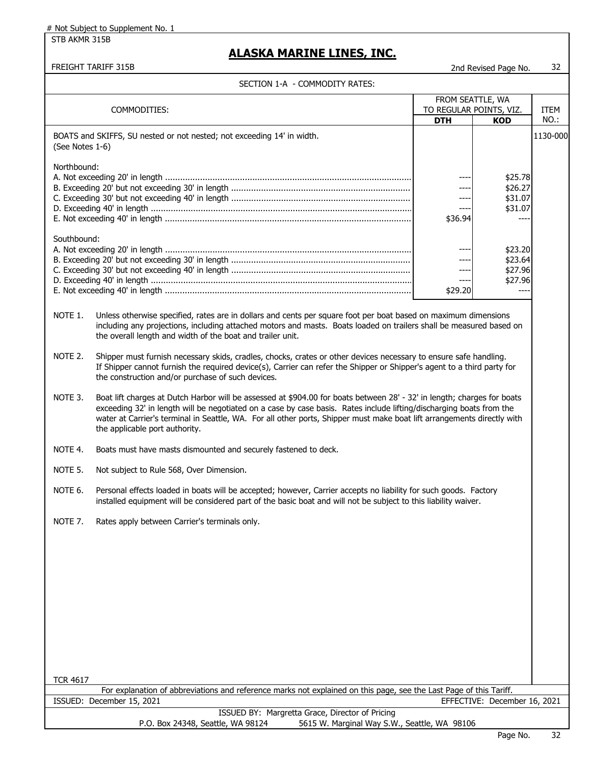STB AKMR 315B

## **ALASKA MARINE LINES, INC.**

FREIGHT TARIFF 315B 2nd Revised Page No. 32

#### SECTION 1-A - COMMODITY RATES:

|                 | COMMODITIES:                                                                                                                                                                                                                                                                                         | FROM SEATTLE, WA<br>TO REGULAR POINTS, VIZ. |                                                 | <b>ITEM</b> |
|-----------------|------------------------------------------------------------------------------------------------------------------------------------------------------------------------------------------------------------------------------------------------------------------------------------------------------|---------------------------------------------|-------------------------------------------------|-------------|
|                 |                                                                                                                                                                                                                                                                                                      | <b>DTH</b>                                  | <b>KOD</b>                                      | NO.:        |
| (See Notes 1-6) | BOATS and SKIFFS, SU nested or not nested; not exceeding 14' in width.                                                                                                                                                                                                                               |                                             |                                                 | 1130-000    |
| Northbound:     |                                                                                                                                                                                                                                                                                                      | ----<br>\$36.94                             | \$25.78<br>\$26.27<br>\$31.07<br>\$31.07<br>--- |             |
| Southbound:     |                                                                                                                                                                                                                                                                                                      | $---$<br>\$29.20                            | \$23.20<br>\$23.64<br>\$27.96<br>\$27.96        |             |
| NOTE 1.         | Unless otherwise specified, rates are in dollars and cents per square foot per boat based on maximum dimensions<br>including any projections, including attached motors and masts. Boats loaded on trailers shall be measured based on<br>the overall length and width of the boat and trailer unit. |                                             |                                                 |             |
| NOTE 2.         | Shipper must furnish necessary skids, cradles, chocks, crates or other devices necessary to ensure safe handling.<br>If Shipper cannot furnish the required device(s), Carrier can refer the Shipper or Shipper's agent to a third party for<br>the construction and/or purchase of such devices.    |                                             |                                                 |             |
| NOTE 3.         | Boat lift charges at Dutch Harbor will be assessed at \$904.00 for boats between 28' - 32' in length; charges for boats<br>exceeding 32' in length will be negotiated on a case by case basis. Rates include lifting/discharging boats from the                                                      |                                             |                                                 |             |

- exceeding 32' in length will be negotiated on a case by case basis. Rates include lifting/discharging boats from the water at Carrier's terminal in Seattle, WA. For all other ports, Shipper must make boat lift arrangements directly with the applicable port authority.
- NOTE 4. Boats must have masts dismounted and securely fastened to deck.

NOTE 5. Not subject to Rule 568, Over Dimension.

- NOTE 6. Personal effects loaded in boats will be accepted; however, Carrier accepts no liability for such goods. Factory installed equipment will be considered part of the basic boat and will not be subject to this liability waiver.
- NOTE 7. Rates apply between Carrier's terminals only.

| <b>TCR 4617</b>                                                                                                    |  |  |  |
|--------------------------------------------------------------------------------------------------------------------|--|--|--|
| For explanation of abbreviations and reference marks not explained on this page, see the Last Page of this Tariff. |  |  |  |
| EFFECTIVE: December 16, 2021<br>ISSUED: December 15, 2021                                                          |  |  |  |
| ISSUED BY: Margretta Grace, Director of Pricing                                                                    |  |  |  |
| 5615 W. Marginal Way S.W., Seattle, WA 98106<br>P.O. Box 24348, Seattle, WA 98124                                  |  |  |  |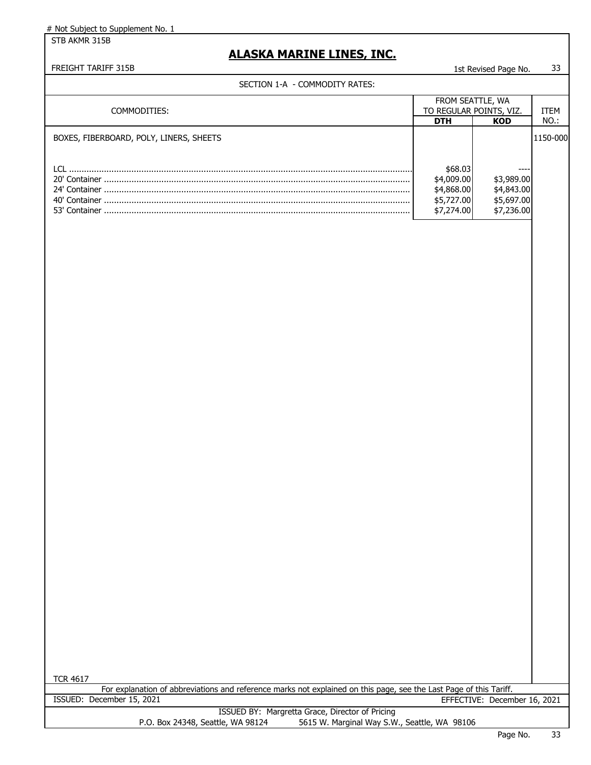STB AKMR 315B

# **ALASKA MARINE LINES, INC.**

# FREIGHT TARIFF 315B 1st Revised Page No. 33

| SECTION 1-A - COMMODITY RATES:                                                                                                        |                                                                 |                                                      |             |
|---------------------------------------------------------------------------------------------------------------------------------------|-----------------------------------------------------------------|------------------------------------------------------|-------------|
|                                                                                                                                       | FROM SEATTLE, WA                                                |                                                      |             |
| COMMODITIES:                                                                                                                          |                                                                 | TO REGULAR POINTS, VIZ.                              | <b>ITEM</b> |
|                                                                                                                                       | <b>DTH</b>                                                      | <b>KOD</b>                                           | NO.:        |
| BOXES, FIBERBOARD, POLY, LINERS, SHEETS                                                                                               | \$68.03<br>\$4,009.00<br>\$4,868.00<br>\$5,727.00<br>\$7,274.00 | \$3,989.00<br>\$4,843.00<br>\$5,697.00<br>\$7,236.00 | 1150-000    |
|                                                                                                                                       |                                                                 |                                                      |             |
| <b>TCR 4617</b><br>For explanation of abbreviations and reference marks not explained on this page, see the Last Page of this Tariff. |                                                                 |                                                      |             |
| ISSUED: December 15, 2021                                                                                                             |                                                                 | EFFECTIVE: December 16, 2021                         |             |
| ISSUED BY: Margretta Grace, Director of Pricing<br>P.O. Box 24348, Seattle, WA 98124<br>5615 W. Marginal Way S.W., Seattle, WA 98106  |                                                                 |                                                      |             |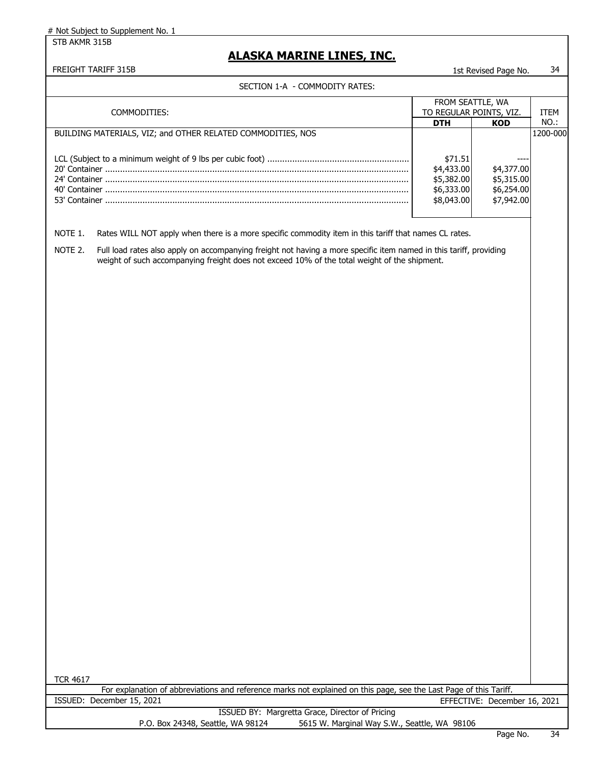STB AKMR 315B

### **ALASKA MARINE LINES, INC.**

#### FREIGHT TARIFF 315B 1st Revised Page No. 34

### SECTION 1-A - COMMODITY RATES:

|                                                                                                                                                                                                                                                                                                                                                                                                                  | FROM SEATTLE, WA                                                              |                                                                    |                     |
|------------------------------------------------------------------------------------------------------------------------------------------------------------------------------------------------------------------------------------------------------------------------------------------------------------------------------------------------------------------------------------------------------------------|-------------------------------------------------------------------------------|--------------------------------------------------------------------|---------------------|
| COMMODITIES:                                                                                                                                                                                                                                                                                                                                                                                                     | TO REGULAR POINTS, VIZ.                                                       |                                                                    | <b>ITEM</b>         |
|                                                                                                                                                                                                                                                                                                                                                                                                                  |                                                                               |                                                                    |                     |
| BUILDING MATERIALS, VIZ; and OTHER RELATED COMMODITIES, NOS<br>Rates WILL NOT apply when there is a more specific commodity item in this tariff that names CL rates.<br>NOTE 1.<br>NOTE 2.<br>Full load rates also apply on accompanying freight not having a more specific item named in this tariff, providing<br>weight of such accompanying freight does not exceed 10% of the total weight of the shipment. | <b>DTH</b><br>\$71.51<br>\$4,433.00<br>\$5,382.00<br>\$6,333.00<br>\$8,043.00 | <b>KOD</b><br>\$4,377.00<br>\$5,315.00<br>\$6,254.00<br>\$7,942.00 | $NO.$ :<br>1200-000 |

TCR 4617

|                           | For explanation of abbreviations and reference marks not explained on this page, see the Last Page of this Tariff. |                              |
|---------------------------|--------------------------------------------------------------------------------------------------------------------|------------------------------|
| ISSUED: December 15, 2021 |                                                                                                                    | EFFECTIVE: December 16, 2021 |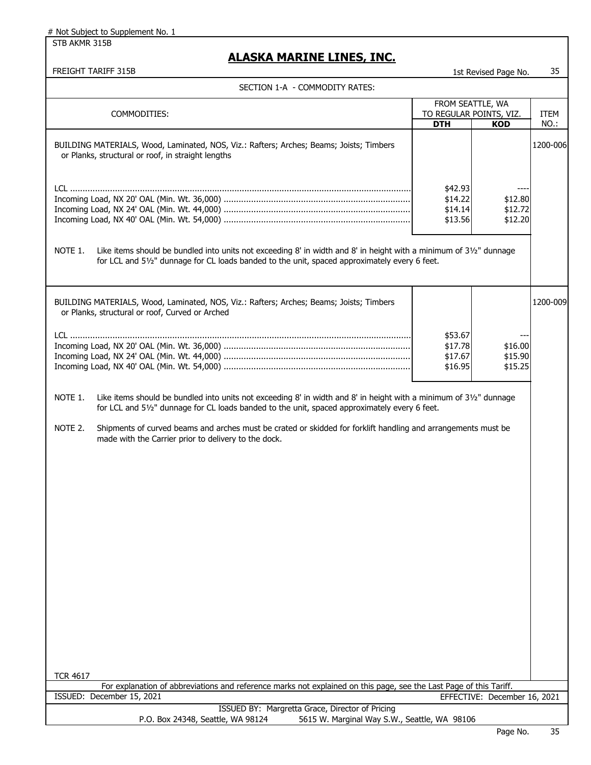STB AKMR 315B

| <u>ALASKA MAKINE LINES, INC.</u>                                                                                                                                                                                                                                                                                                                                                                                   |            |                              |          |
|--------------------------------------------------------------------------------------------------------------------------------------------------------------------------------------------------------------------------------------------------------------------------------------------------------------------------------------------------------------------------------------------------------------------|------------|------------------------------|----------|
| FREIGHT TARIFF 315B                                                                                                                                                                                                                                                                                                                                                                                                |            | 1st Revised Page No.         | 35       |
| SECTION 1-A - COMMODITY RATES:                                                                                                                                                                                                                                                                                                                                                                                     |            |                              |          |
|                                                                                                                                                                                                                                                                                                                                                                                                                    |            | FROM SEATTLE, WA             |          |
| COMMODITIES:                                                                                                                                                                                                                                                                                                                                                                                                       |            | TO REGULAR POINTS, VIZ.      | ITEM     |
|                                                                                                                                                                                                                                                                                                                                                                                                                    | <b>DTH</b> | <b>KOD</b>                   | NO.:     |
| BUILDING MATERIALS, Wood, Laminated, NOS, Viz.: Rafters; Arches; Beams; Joists; Timbers<br>or Planks, structural or roof, in straight lengths                                                                                                                                                                                                                                                                      |            |                              | 1200-006 |
|                                                                                                                                                                                                                                                                                                                                                                                                                    | \$42.93    |                              |          |
|                                                                                                                                                                                                                                                                                                                                                                                                                    | \$14.22    | \$12.80                      |          |
|                                                                                                                                                                                                                                                                                                                                                                                                                    | \$14.14    | \$12.72                      |          |
|                                                                                                                                                                                                                                                                                                                                                                                                                    | \$13.56    | \$12.20                      |          |
|                                                                                                                                                                                                                                                                                                                                                                                                                    |            |                              |          |
| Like items should be bundled into units not exceeding 8' in width and 8' in height with a minimum of 31/2" dunnage<br>NOTE 1.<br>for LCL and 51/2" dunnage for CL loads banded to the unit, spaced approximately every 6 feet.                                                                                                                                                                                     |            |                              |          |
| BUILDING MATERIALS, Wood, Laminated, NOS, Viz.: Rafters; Arches; Beams; Joists; Timbers<br>or Planks, structural or roof, Curved or Arched                                                                                                                                                                                                                                                                         |            |                              | 1200-009 |
|                                                                                                                                                                                                                                                                                                                                                                                                                    | \$53.67    |                              |          |
|                                                                                                                                                                                                                                                                                                                                                                                                                    | \$17.78    | \$16.00                      |          |
|                                                                                                                                                                                                                                                                                                                                                                                                                    | \$17.67    | \$15.90                      |          |
|                                                                                                                                                                                                                                                                                                                                                                                                                    | \$16.95    | \$15.25                      |          |
| NOTE 1.<br>Like items should be bundled into units not exceeding 8' in width and 8' in height with a minimum of 31/2" dunnage<br>for LCL and 51/2" dunnage for CL loads banded to the unit, spaced approximately every 6 feet.<br>NOTE 2.<br>Shipments of curved beams and arches must be crated or skidded for forklift handling and arrangements must be<br>made with the Carrier prior to delivery to the dock. |            |                              |          |
| <b>TCR 4617</b><br>For explanation of abbreviations and reference marks not explained on this page, see the Last Page of this Tariff.                                                                                                                                                                                                                                                                              |            |                              |          |
| ISSUED: December 15, 2021                                                                                                                                                                                                                                                                                                                                                                                          |            | EFFECTIVE: December 16, 2021 |          |

|                                   | ISSUED BY: Margretta Grace, Director of Pricing |  |
|-----------------------------------|-------------------------------------------------|--|
| P.O. Box 24348, Seattle, WA 98124 | 5615 W. Marginal Way S.W., Seattle, WA 98106    |  |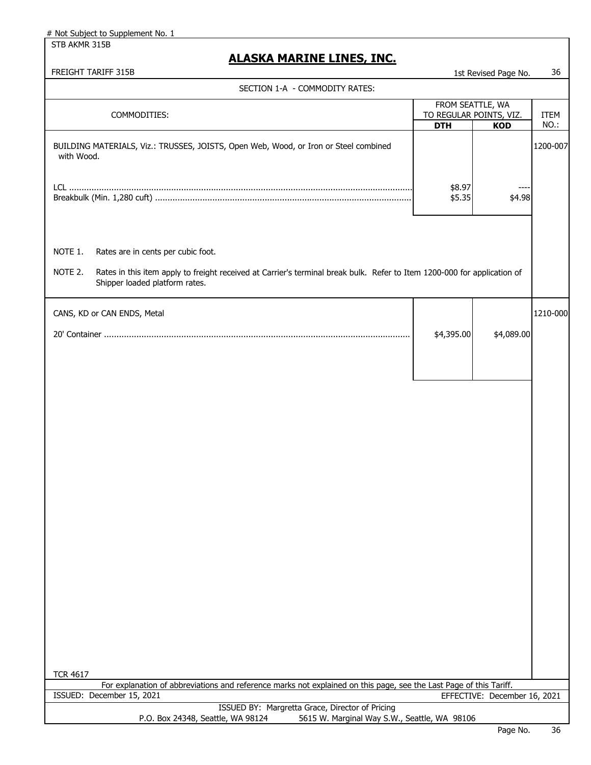STB AKMR 315B

| <b>FREIGHT TARIFF 315B</b> | Page No.<br>Ist Revised | 36 |
|----------------------------|-------------------------|----|
|                            |                         |    |

| SECTION 1-A - COMMODITY RATES:                                                                                                                                                                                         |                                       |                              |                     |
|------------------------------------------------------------------------------------------------------------------------------------------------------------------------------------------------------------------------|---------------------------------------|------------------------------|---------------------|
|                                                                                                                                                                                                                        |                                       | FROM SEATTLE, WA             |                     |
| COMMODITIES:                                                                                                                                                                                                           | TO REGULAR POINTS, VIZ.<br><b>DTH</b> | <b>KOD</b>                   | <b>ITEM</b><br>NO.: |
| BUILDING MATERIALS, Viz.: TRUSSES, JOISTS, Open Web, Wood, or Iron or Steel combined<br>with Wood.                                                                                                                     |                                       |                              | 1200-007            |
|                                                                                                                                                                                                                        | \$8.97<br>\$5.35                      | \$4.98                       |                     |
| NOTE 1.<br>Rates are in cents per cubic foot.<br>Rates in this item apply to freight received at Carrier's terminal break bulk. Refer to Item 1200-000 for application of<br>NOTE 2.<br>Shipper loaded platform rates. |                                       |                              |                     |
| CANS, KD or CAN ENDS, Metal                                                                                                                                                                                            | \$4,395.00                            | \$4,089.00                   | 1210-000            |
| <b>TCR 4617</b>                                                                                                                                                                                                        |                                       |                              |                     |
| For explanation of abbreviations and reference marks not explained on this page, see the Last Page of this Tariff.<br>ISSUED: December 15, 2021                                                                        |                                       | EFFECTIVE: December 16, 2021 |                     |
| ISSUED BY: Margretta Grace, Director of Pricing<br>P.O. Box 24348, Seattle, WA 98124<br>5615 W. Marginal Way S.W., Seattle, WA 98106                                                                                   |                                       |                              |                     |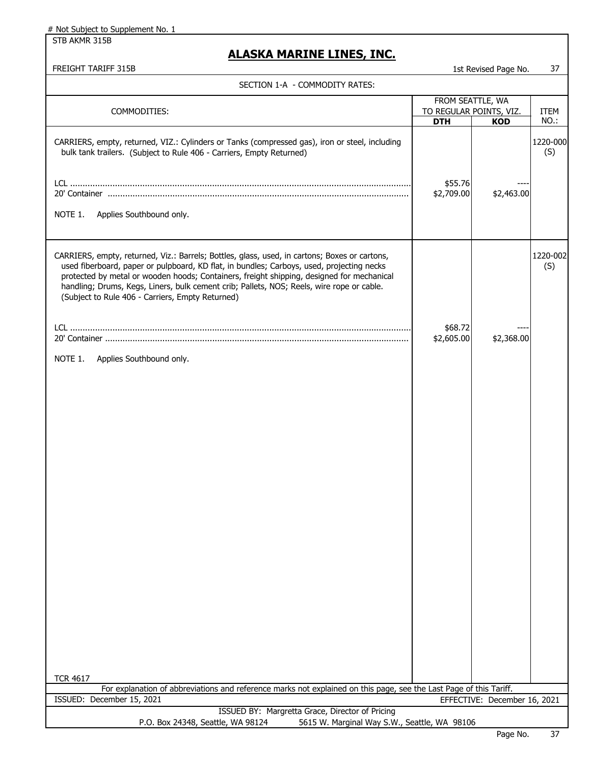STB AKMR 315B

### **ALASKA MARINE LINES, INC.**

| SECTION 1-A  - COMMODITY RATES: |  |
|---------------------------------|--|
|---------------------------------|--|

| SECTION I-A - COMMODITY RATES:                                                                                                                                                                                                                                                                                                                                                                                                           |                         |                              |                 |
|------------------------------------------------------------------------------------------------------------------------------------------------------------------------------------------------------------------------------------------------------------------------------------------------------------------------------------------------------------------------------------------------------------------------------------------|-------------------------|------------------------------|-----------------|
|                                                                                                                                                                                                                                                                                                                                                                                                                                          | FROM SEATTLE, WA        |                              |                 |
| COMMODITIES:                                                                                                                                                                                                                                                                                                                                                                                                                             | TO REGULAR POINTS, VIZ. |                              | <b>ITEM</b>     |
|                                                                                                                                                                                                                                                                                                                                                                                                                                          | <b>DTH</b>              | <b>KOD</b>                   | NO.:            |
| CARRIERS, empty, returned, VIZ.: Cylinders or Tanks (compressed gas), iron or steel, including<br>bulk tank trailers. (Subject to Rule 406 - Carriers, Empty Returned)<br>Applies Southbound only.<br>NOTE 1.                                                                                                                                                                                                                            | \$55.76<br>\$2,709.00   | \$2,463.00                   | 1220-000<br>(S) |
| CARRIERS, empty, returned, Viz.: Barrels; Bottles, glass, used, in cartons; Boxes or cartons,<br>used fiberboard, paper or pulpboard, KD flat, in bundles; Carboys, used, projecting necks<br>protected by metal or wooden hoods; Containers, freight shipping, designed for mechanical<br>handling; Drums, Kegs, Liners, bulk cement crib; Pallets, NOS; Reels, wire rope or cable.<br>(Subject to Rule 406 - Carriers, Empty Returned) |                         |                              | 1220-002<br>(S) |
|                                                                                                                                                                                                                                                                                                                                                                                                                                          | \$68.72                 |                              |                 |
|                                                                                                                                                                                                                                                                                                                                                                                                                                          | \$2,605.00              | \$2,368.00                   |                 |
| NOTE 1.<br>Applies Southbound only.                                                                                                                                                                                                                                                                                                                                                                                                      |                         |                              |                 |
|                                                                                                                                                                                                                                                                                                                                                                                                                                          |                         |                              |                 |
| <b>TCR 4617</b>                                                                                                                                                                                                                                                                                                                                                                                                                          |                         |                              |                 |
| For explanation of abbreviations and reference marks not explained on this page, see the Last Page of this Tariff.                                                                                                                                                                                                                                                                                                                       |                         |                              |                 |
| ISSUED: December 15, 2021                                                                                                                                                                                                                                                                                                                                                                                                                |                         | EFFECTIVE: December 16, 2021 |                 |
| ISSUED BY: Margretta Grace, Director of Pricing<br>P.O. Box 24348, Seattle, WA 98124<br>5615 W. Marginal Way S.W., Seattle, WA 98106                                                                                                                                                                                                                                                                                                     |                         |                              |                 |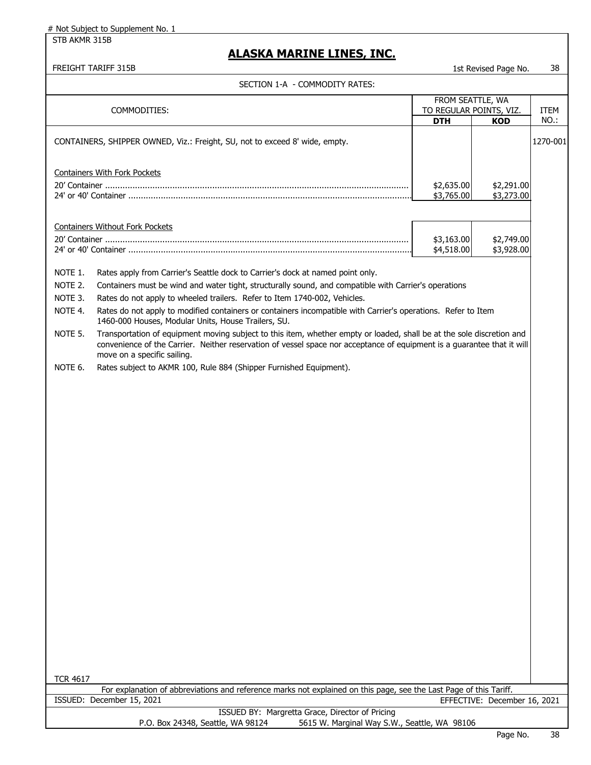STB AKMR 315B

| FREIGHT TARIFF 315B                                                                                                                                                                                                                                                                                                                                                                                                                                                                                                                                                                                                                                                                                                                                                                                                                                                                        |                                                           | 1st Revised Page No.         | 38           |
|--------------------------------------------------------------------------------------------------------------------------------------------------------------------------------------------------------------------------------------------------------------------------------------------------------------------------------------------------------------------------------------------------------------------------------------------------------------------------------------------------------------------------------------------------------------------------------------------------------------------------------------------------------------------------------------------------------------------------------------------------------------------------------------------------------------------------------------------------------------------------------------------|-----------------------------------------------------------|------------------------------|--------------|
| SECTION 1-A - COMMODITY RATES:                                                                                                                                                                                                                                                                                                                                                                                                                                                                                                                                                                                                                                                                                                                                                                                                                                                             |                                                           |                              |              |
| COMMODITIES:                                                                                                                                                                                                                                                                                                                                                                                                                                                                                                                                                                                                                                                                                                                                                                                                                                                                               | FROM SEATTLE, WA<br>TO REGULAR POINTS, VIZ.<br><b>DTH</b> | <b>KOD</b>                   | ITEM<br>NO.: |
| CONTAINERS, SHIPPER OWNED, Viz.: Freight, SU, not to exceed 8' wide, empty.                                                                                                                                                                                                                                                                                                                                                                                                                                                                                                                                                                                                                                                                                                                                                                                                                |                                                           |                              | 1270-001     |
| <b>Containers With Fork Pockets</b>                                                                                                                                                                                                                                                                                                                                                                                                                                                                                                                                                                                                                                                                                                                                                                                                                                                        | \$2,635.00<br>\$3,765.00                                  | \$2,291.00<br>\$3,273.00     |              |
| <b>Containers Without Fork Pockets</b>                                                                                                                                                                                                                                                                                                                                                                                                                                                                                                                                                                                                                                                                                                                                                                                                                                                     | \$3,163.00<br>\$4,518.00                                  | \$2,749.00<br>\$3,928.00     |              |
| NOTE 1.<br>Rates apply from Carrier's Seattle dock to Carrier's dock at named point only.<br>NOTE 2.<br>Containers must be wind and water tight, structurally sound, and compatible with Carrier's operations<br>NOTE 3.<br>Rates do not apply to wheeled trailers. Refer to Item 1740-002, Vehicles.<br>NOTE 4.<br>Rates do not apply to modified containers or containers incompatible with Carrier's operations. Refer to Item<br>1460-000 Houses, Modular Units, House Trailers, SU.<br>Transportation of equipment moving subject to this item, whether empty or loaded, shall be at the sole discretion and<br>NOTE 5.<br>convenience of the Carrier. Neither reservation of vessel space nor acceptance of equipment is a guarantee that it will<br>move on a specific sailing.<br>NOTE 6.<br>Rates subject to AKMR 100, Rule 884 (Shipper Furnished Equipment).<br><b>TCR 4617</b> |                                                           |                              |              |
| For explanation of abbreviations and reference marks not explained on this page, see the Last Page of this Tariff.                                                                                                                                                                                                                                                                                                                                                                                                                                                                                                                                                                                                                                                                                                                                                                         |                                                           |                              |              |
| ISSUED: December 15, 2021                                                                                                                                                                                                                                                                                                                                                                                                                                                                                                                                                                                                                                                                                                                                                                                                                                                                  |                                                           | EFFECTIVE: December 16, 2021 |              |
| ISSUED BY: Margretta Grace, Director of Pricing<br>5615 W. Marginal Way S.W., Seattle, WA 98106<br>P.O. Box 24348, Seattle, WA 98124                                                                                                                                                                                                                                                                                                                                                                                                                                                                                                                                                                                                                                                                                                                                                       |                                                           |                              |              |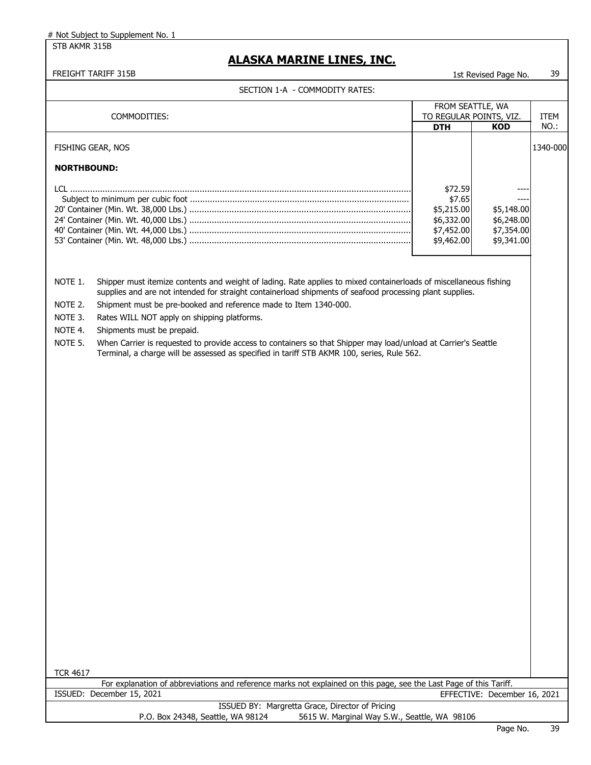STB AKMR 315B

### **ALASKA MARINE LINES, INC.**

FREIGHT TARIFF 315B 1st Revised Page No. 39

|                                                                        | SECTION 1-A - COMMODITY RATES:                                                                                                                                                                                                                                                                                                                                                                                                                                                                                                                                                                 |                          |                              |          |
|------------------------------------------------------------------------|------------------------------------------------------------------------------------------------------------------------------------------------------------------------------------------------------------------------------------------------------------------------------------------------------------------------------------------------------------------------------------------------------------------------------------------------------------------------------------------------------------------------------------------------------------------------------------------------|--------------------------|------------------------------|----------|
|                                                                        |                                                                                                                                                                                                                                                                                                                                                                                                                                                                                                                                                                                                | FROM SEATTLE, WA         |                              |          |
|                                                                        | COMMODITIES:                                                                                                                                                                                                                                                                                                                                                                                                                                                                                                                                                                                   | TO REGULAR POINTS, VIZ.  |                              | ITEM     |
|                                                                        |                                                                                                                                                                                                                                                                                                                                                                                                                                                                                                                                                                                                | <b>DTH</b>               | <b>KOD</b>                   | NO.:     |
| FISHING GEAR, NOS                                                      |                                                                                                                                                                                                                                                                                                                                                                                                                                                                                                                                                                                                |                          |                              | 1340-000 |
| <b>NORTHBOUND:</b>                                                     |                                                                                                                                                                                                                                                                                                                                                                                                                                                                                                                                                                                                |                          |                              |          |
|                                                                        |                                                                                                                                                                                                                                                                                                                                                                                                                                                                                                                                                                                                | \$72.59                  |                              |          |
|                                                                        |                                                                                                                                                                                                                                                                                                                                                                                                                                                                                                                                                                                                | \$7.65                   |                              |          |
|                                                                        |                                                                                                                                                                                                                                                                                                                                                                                                                                                                                                                                                                                                | \$5,215.00               | \$5,148.00                   |          |
|                                                                        |                                                                                                                                                                                                                                                                                                                                                                                                                                                                                                                                                                                                | \$6,332.00               | \$6,248.00                   |          |
|                                                                        |                                                                                                                                                                                                                                                                                                                                                                                                                                                                                                                                                                                                | \$7,452.00<br>\$9,462.00 | \$7,354.00<br>\$9,341.00     |          |
|                                                                        |                                                                                                                                                                                                                                                                                                                                                                                                                                                                                                                                                                                                |                          |                              |          |
| NOTE 1.<br>NOTE 2.<br>NOTE 3.<br>NOTE 4.<br>NOTE 5.<br><b>TCR 4617</b> | Shipper must itemize contents and weight of lading. Rate applies to mixed containerloads of miscellaneous fishing<br>supplies and are not intended for straight containerload shipments of seafood processing plant supplies.<br>Shipment must be pre-booked and reference made to Item 1340-000.<br>Rates WILL NOT apply on shipping platforms.<br>Shipments must be prepaid.<br>When Carrier is requested to provide access to containers so that Shipper may load/unload at Carrier's Seattle<br>Terminal, a charge will be assessed as specified in tariff STB AKMR 100, series, Rule 562. |                          |                              |          |
|                                                                        | For explanation of abbreviations and reference marks not explained on this page, see the Last Page of this Tariff.                                                                                                                                                                                                                                                                                                                                                                                                                                                                             |                          |                              |          |
|                                                                        | ISSUED: December 15, 2021<br>ICCUED DV: Morgrotto Cross, Director of Drigin                                                                                                                                                                                                                                                                                                                                                                                                                                                                                                                    |                          | EFFECTIVE: December 16, 2021 |          |

ISSUED BY: Margretta Grace, Director of Pricing P.O. Box 24348, Seattle, WA 98124 5615 W. Marginal Way S.W., Seattle, WA 98106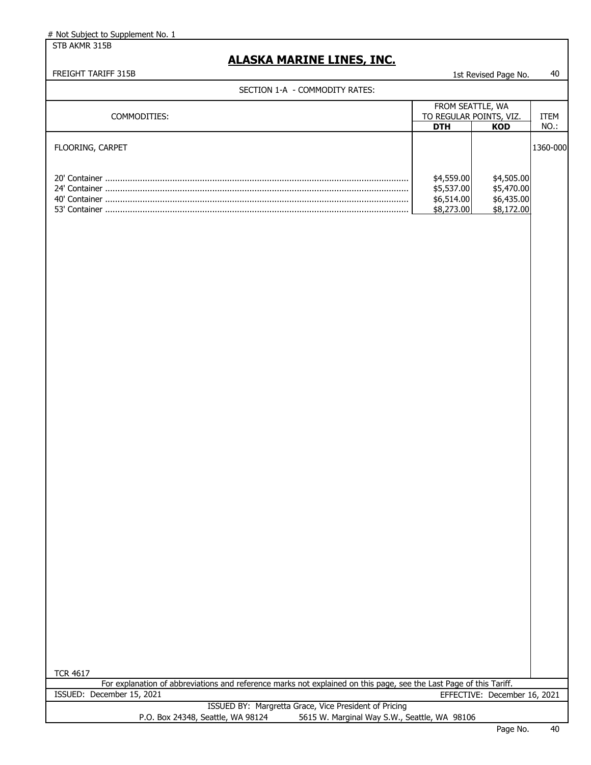STB AKMR 315B

### **ALASKA MARINE LINES, INC.**

| SECTION 1-A - COMMODITY RATES:                                                                                     |                          |                              |          |
|--------------------------------------------------------------------------------------------------------------------|--------------------------|------------------------------|----------|
|                                                                                                                    | FROM SEATTLE, WA         |                              |          |
| COMMODITIES:                                                                                                       |                          | TO REGULAR POINTS, VIZ.      | ITEM     |
|                                                                                                                    | <b>DTH</b>               | <b>KOD</b>                   | NO.:     |
| FLOORING, CARPET                                                                                                   |                          |                              | 1360-000 |
|                                                                                                                    |                          |                              |          |
|                                                                                                                    | \$4,559.00               | \$4,505.00                   |          |
|                                                                                                                    | \$5,537.00               | \$5,470.00                   |          |
|                                                                                                                    | \$6,514.00<br>\$8,273.00 | \$6,435.00<br>\$8,172.00     |          |
|                                                                                                                    |                          |                              |          |
|                                                                                                                    |                          |                              |          |
|                                                                                                                    |                          |                              |          |
|                                                                                                                    |                          |                              |          |
|                                                                                                                    |                          |                              |          |
|                                                                                                                    |                          |                              |          |
|                                                                                                                    |                          |                              |          |
|                                                                                                                    |                          |                              |          |
|                                                                                                                    |                          |                              |          |
|                                                                                                                    |                          |                              |          |
|                                                                                                                    |                          |                              |          |
|                                                                                                                    |                          |                              |          |
|                                                                                                                    |                          |                              |          |
|                                                                                                                    |                          |                              |          |
|                                                                                                                    |                          |                              |          |
|                                                                                                                    |                          |                              |          |
|                                                                                                                    |                          |                              |          |
|                                                                                                                    |                          |                              |          |
|                                                                                                                    |                          |                              |          |
|                                                                                                                    |                          |                              |          |
|                                                                                                                    |                          |                              |          |
|                                                                                                                    |                          |                              |          |
|                                                                                                                    |                          |                              |          |
|                                                                                                                    |                          |                              |          |
|                                                                                                                    |                          |                              |          |
|                                                                                                                    |                          |                              |          |
|                                                                                                                    |                          |                              |          |
|                                                                                                                    |                          |                              |          |
|                                                                                                                    |                          |                              |          |
|                                                                                                                    |                          |                              |          |
|                                                                                                                    |                          |                              |          |
|                                                                                                                    |                          |                              |          |
|                                                                                                                    |                          |                              |          |
|                                                                                                                    |                          |                              |          |
|                                                                                                                    |                          |                              |          |
|                                                                                                                    |                          |                              |          |
| <b>TCR 4617</b>                                                                                                    |                          |                              |          |
| For explanation of abbreviations and reference marks not explained on this page, see the Last Page of this Tariff. |                          |                              |          |
| ISSUED: December 15, 2021                                                                                          |                          | EFFECTIVE: December 16, 2021 |          |
| ISSUED BY: Margretta Grace, Vice President of Pricing                                                              |                          |                              |          |
| P.O. Box 24348, Seattle, WA 98124<br>5615 W. Marginal Way S.W., Seattle, WA 98106                                  |                          |                              |          |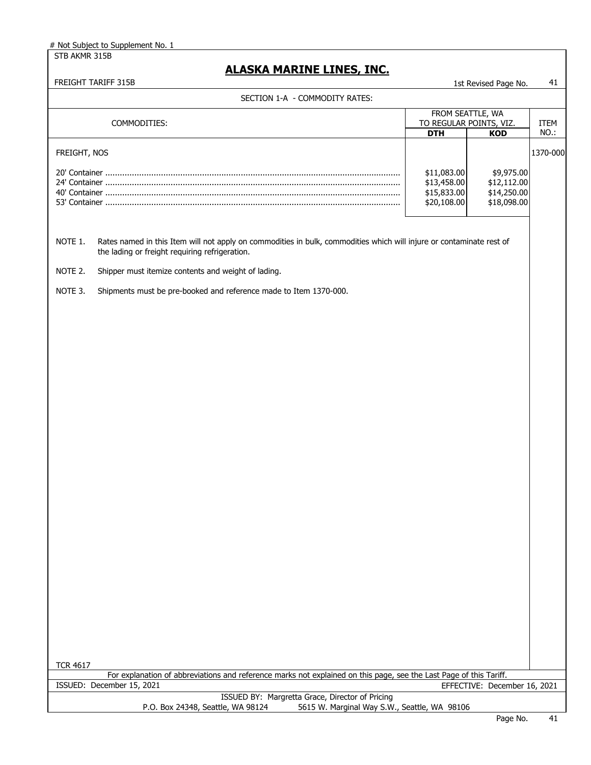STB AKMR 315B # Not Subject to Supplement No. 1

### **ALASKA MARINE LINES, INC.**

| COMMODITIES:<br>FREIGHT, NOS                                                                                                                                                      | FROM SEATTLE, WA<br>TO REGULAR POINTS, VIZ.<br><b>DTH</b> |                              |          |
|-----------------------------------------------------------------------------------------------------------------------------------------------------------------------------------|-----------------------------------------------------------|------------------------------|----------|
|                                                                                                                                                                                   |                                                           |                              | ITEM     |
|                                                                                                                                                                                   |                                                           | <b>KOD</b>                   | NO.:     |
|                                                                                                                                                                                   |                                                           |                              |          |
|                                                                                                                                                                                   |                                                           |                              | 1370-000 |
|                                                                                                                                                                                   | \$11,083.00                                               | \$9,975.00                   |          |
|                                                                                                                                                                                   | \$13,458.00                                               | \$12,112.00                  |          |
|                                                                                                                                                                                   | \$15,833.00                                               | \$14,250.00                  |          |
|                                                                                                                                                                                   | \$20,108.00                                               | \$18,098.00                  |          |
| NOTE 1.<br>Rates named in this Item will not apply on commodities in bulk, commodities which will injure or contaminate rest of<br>the lading or freight requiring refrigeration. |                                                           |                              |          |
| NOTE 2.<br>Shipper must itemize contents and weight of lading.                                                                                                                    |                                                           |                              |          |
| NOTE 3.<br>Shipments must be pre-booked and reference made to Item 1370-000.                                                                                                      |                                                           |                              |          |
|                                                                                                                                                                                   |                                                           |                              |          |
|                                                                                                                                                                                   |                                                           |                              |          |
|                                                                                                                                                                                   |                                                           |                              |          |
|                                                                                                                                                                                   |                                                           |                              |          |
|                                                                                                                                                                                   |                                                           |                              |          |
|                                                                                                                                                                                   |                                                           |                              |          |
|                                                                                                                                                                                   |                                                           |                              |          |
|                                                                                                                                                                                   |                                                           |                              |          |
|                                                                                                                                                                                   |                                                           |                              |          |
|                                                                                                                                                                                   |                                                           |                              |          |
|                                                                                                                                                                                   |                                                           |                              |          |
|                                                                                                                                                                                   |                                                           |                              |          |
|                                                                                                                                                                                   |                                                           |                              |          |
|                                                                                                                                                                                   |                                                           |                              |          |
|                                                                                                                                                                                   |                                                           |                              |          |
|                                                                                                                                                                                   |                                                           |                              |          |
|                                                                                                                                                                                   |                                                           |                              |          |
|                                                                                                                                                                                   |                                                           |                              |          |
|                                                                                                                                                                                   |                                                           |                              |          |
|                                                                                                                                                                                   |                                                           |                              |          |
|                                                                                                                                                                                   |                                                           |                              |          |
|                                                                                                                                                                                   |                                                           |                              |          |
|                                                                                                                                                                                   |                                                           |                              |          |
|                                                                                                                                                                                   |                                                           |                              |          |
|                                                                                                                                                                                   |                                                           |                              |          |
| <b>TCR 4617</b>                                                                                                                                                                   |                                                           |                              |          |
| For explanation of abbreviations and reference marks not explained on this page, see the Last Page of this Tariff.                                                                |                                                           |                              |          |
| ISSUED: December 15, 2021<br>ISSUED BY: Margretta Grace, Director of Pricing                                                                                                      |                                                           | EFFECTIVE: December 16, 2021 |          |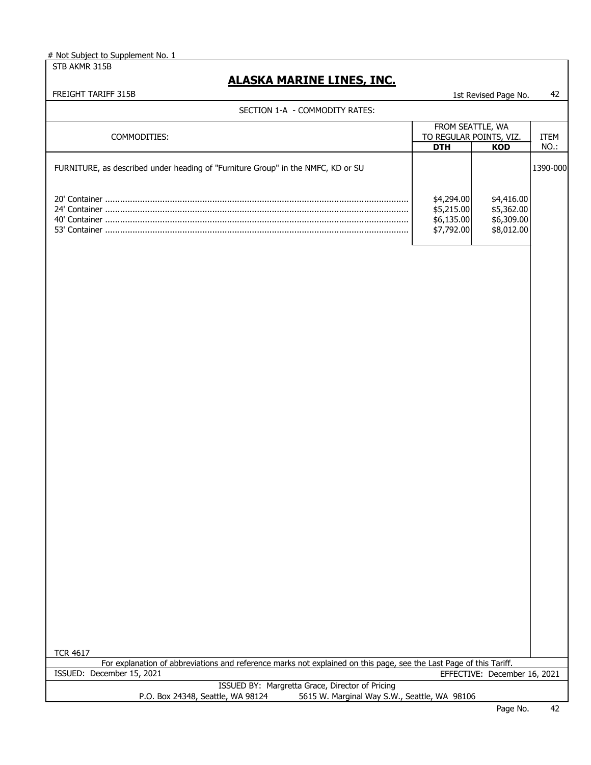STB AKMR 315B

| FREIGHT TARIFF 315B                                                                                                                             |                                                           | 1st Revised Page No.                                 | 42           |
|-------------------------------------------------------------------------------------------------------------------------------------------------|-----------------------------------------------------------|------------------------------------------------------|--------------|
| SECTION 1-A - COMMODITY RATES:                                                                                                                  |                                                           |                                                      |              |
| COMMODITIES:                                                                                                                                    | FROM SEATTLE, WA<br>TO REGULAR POINTS, VIZ.<br><b>DTH</b> | <b>KOD</b>                                           | ITEM<br>NO.: |
| FURNITURE, as described under heading of "Furniture Group" in the NMFC, KD or SU                                                                |                                                           |                                                      | 1390-000     |
|                                                                                                                                                 | \$4,294.00<br>\$5,215.00<br>\$6,135.00<br>\$7,792.00      | \$4,416.00<br>\$5,362.00<br>\$6,309.00<br>\$8,012.00 |              |
|                                                                                                                                                 |                                                           |                                                      |              |
|                                                                                                                                                 |                                                           |                                                      |              |
|                                                                                                                                                 |                                                           |                                                      |              |
|                                                                                                                                                 |                                                           |                                                      |              |
|                                                                                                                                                 |                                                           |                                                      |              |
|                                                                                                                                                 |                                                           |                                                      |              |
|                                                                                                                                                 |                                                           |                                                      |              |
|                                                                                                                                                 |                                                           |                                                      |              |
|                                                                                                                                                 |                                                           |                                                      |              |
|                                                                                                                                                 |                                                           |                                                      |              |
| <b>TCR 4617</b>                                                                                                                                 |                                                           |                                                      |              |
| For explanation of abbreviations and reference marks not explained on this page, see the Last Page of this Tariff.<br>ISSUED: December 15, 2021 |                                                           | EFFECTIVE: December 16, 2021                         |              |
| ISSUED BY: Margretta Grace, Director of Pricing<br>5615 W. Marginal Way S.W., Seattle, WA 98106<br>P.O. Box 24348, Seattle, WA 98124            |                                                           |                                                      |              |
|                                                                                                                                                 |                                                           | Page No.                                             | 42           |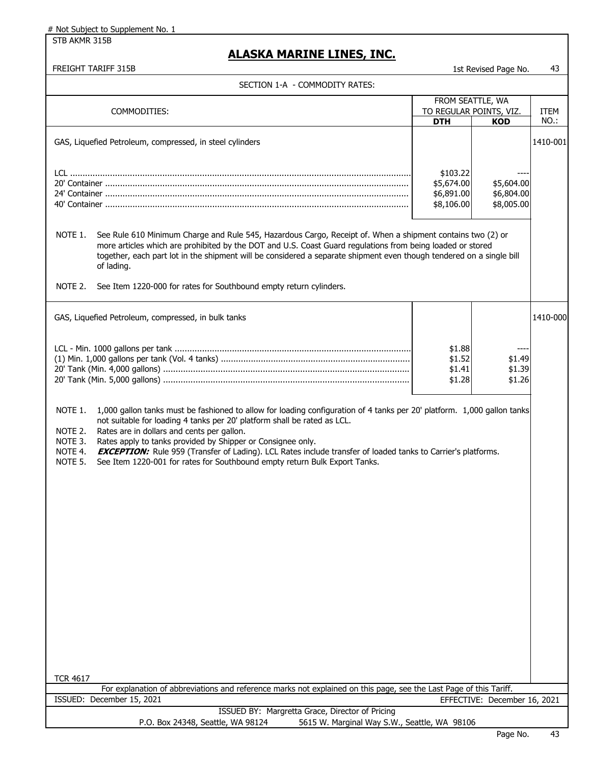STB AKMR 315B

### **ALASKA MARINE LINES, INC.**

| ECTION 1-A  - COMMODITY RATES: |  |
|--------------------------------|--|
|                                |  |

|                                          | SECTION 1-A - COMMODITY RATES:                                                                                                                                                                                                                                                                                 |                        |                                       |                     |
|------------------------------------------|----------------------------------------------------------------------------------------------------------------------------------------------------------------------------------------------------------------------------------------------------------------------------------------------------------------|------------------------|---------------------------------------|---------------------|
|                                          |                                                                                                                                                                                                                                                                                                                |                        | FROM SEATTLE, WA                      |                     |
|                                          | COMMODITIES:                                                                                                                                                                                                                                                                                                   | <b>DTH</b>             | TO REGULAR POINTS, VIZ.<br><b>KOD</b> | <b>ITEM</b><br>NO.: |
|                                          |                                                                                                                                                                                                                                                                                                                |                        |                                       |                     |
|                                          | GAS, Liquefied Petroleum, compressed, in steel cylinders                                                                                                                                                                                                                                                       |                        |                                       | 1410-001            |
|                                          |                                                                                                                                                                                                                                                                                                                |                        |                                       |                     |
|                                          |                                                                                                                                                                                                                                                                                                                |                        |                                       |                     |
|                                          |                                                                                                                                                                                                                                                                                                                | \$103.22<br>\$5,674.00 | \$5,604.00                            |                     |
|                                          |                                                                                                                                                                                                                                                                                                                | \$6,891.00             | \$6,804.00                            |                     |
|                                          |                                                                                                                                                                                                                                                                                                                | \$8,106.00             | \$8,005.00                            |                     |
|                                          |                                                                                                                                                                                                                                                                                                                |                        |                                       |                     |
| NOTE 1.                                  | See Rule 610 Minimum Charge and Rule 545, Hazardous Cargo, Receipt of. When a shipment contains two (2) or<br>more articles which are prohibited by the DOT and U.S. Coast Guard regulations from being loaded or stored                                                                                       |                        |                                       |                     |
|                                          | together, each part lot in the shipment will be considered a separate shipment even though tendered on a single bill<br>of lading.                                                                                                                                                                             |                        |                                       |                     |
| NOTE 2.                                  | See Item 1220-000 for rates for Southbound empty return cylinders.                                                                                                                                                                                                                                             |                        |                                       |                     |
|                                          | GAS, Liquefied Petroleum, compressed, in bulk tanks                                                                                                                                                                                                                                                            |                        |                                       | 1410-000            |
|                                          |                                                                                                                                                                                                                                                                                                                |                        |                                       |                     |
|                                          |                                                                                                                                                                                                                                                                                                                | \$1.88                 |                                       |                     |
|                                          |                                                                                                                                                                                                                                                                                                                | \$1.52                 | \$1.49                                |                     |
|                                          |                                                                                                                                                                                                                                                                                                                | \$1.41                 | \$1.39                                |                     |
|                                          |                                                                                                                                                                                                                                                                                                                | \$1.28                 | \$1.26                                |                     |
| NOTE 2.<br>NOTE 3.<br>NOTE 4.<br>NOTE 5. | Rates are in dollars and cents per gallon.<br>Rates apply to tanks provided by Shipper or Consignee only.<br><b>EXCEPTION:</b> Rule 959 (Transfer of Lading). LCL Rates include transfer of loaded tanks to Carrier's platforms.<br>See Item 1220-001 for rates for Southbound empty return Bulk Export Tanks. |                        |                                       |                     |
| <b>TCR 4617</b>                          |                                                                                                                                                                                                                                                                                                                |                        |                                       |                     |
|                                          | For explanation of abbreviations and reference marks not explained on this page, see the Last Page of this Tariff.<br>ISSUED: December 15, 2021                                                                                                                                                                |                        | EFFECTIVE: December 16, 2021          |                     |
|                                          | ISSUED BY: Margretta Grace, Director of Pricing                                                                                                                                                                                                                                                                |                        |                                       |                     |
|                                          | P.O. Box 24348, Seattle, WA 98124<br>5615 W. Marginal Way S.W., Seattle, WA 98106                                                                                                                                                                                                                              |                        |                                       |                     |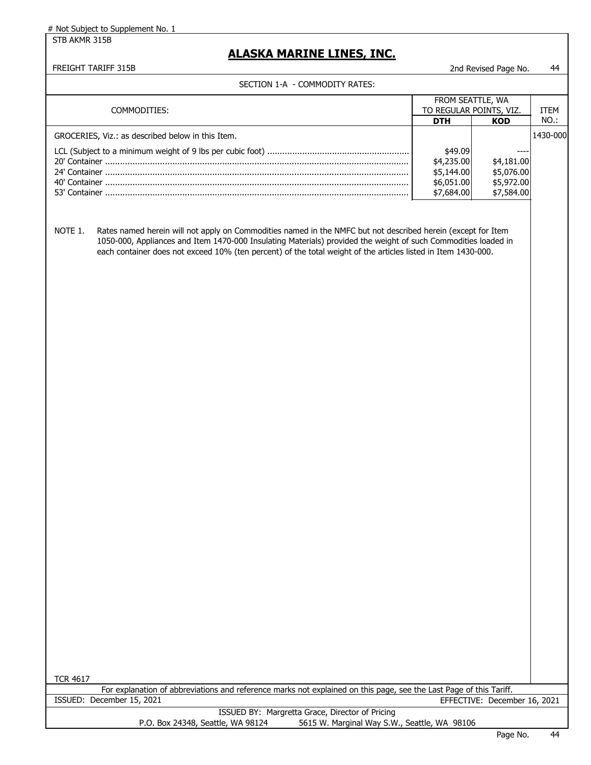STB AKMR 315B

### **ALASKA MARINE LINES, INC.**

#### FREIGHT TARIFF 315B 2nd Revised Page No. 44

|  |  |  | - |  |  |
|--|--|--|---|--|--|
|  |  |  |   |  |  |
|  |  |  |   |  |  |
|  |  |  |   |  |  |
|  |  |  |   |  |  |
|  |  |  |   |  |  |
|  |  |  |   |  |  |

| SECTION I-A - COMMODITI RATES.                                                                                                                                                                                                                                                                                                                             |                         |                              |             |
|------------------------------------------------------------------------------------------------------------------------------------------------------------------------------------------------------------------------------------------------------------------------------------------------------------------------------------------------------------|-------------------------|------------------------------|-------------|
|                                                                                                                                                                                                                                                                                                                                                            | FROM SEATTLE, WA        |                              |             |
| COMMODITIES:                                                                                                                                                                                                                                                                                                                                               | TO REGULAR POINTS, VIZ. |                              | <b>ITEM</b> |
|                                                                                                                                                                                                                                                                                                                                                            | <b>DTH</b>              | <b>KOD</b>                   | NO.:        |
|                                                                                                                                                                                                                                                                                                                                                            |                         |                              | 1430-000    |
| GROCERIES, Viz.: as described below in this Item.                                                                                                                                                                                                                                                                                                          |                         |                              |             |
|                                                                                                                                                                                                                                                                                                                                                            | \$49.09                 |                              |             |
|                                                                                                                                                                                                                                                                                                                                                            | \$4,235.00              | \$4,181.00                   |             |
|                                                                                                                                                                                                                                                                                                                                                            | \$5,144.00              | \$5,076.00                   |             |
|                                                                                                                                                                                                                                                                                                                                                            | \$6,051.00              | \$5,972.00                   |             |
|                                                                                                                                                                                                                                                                                                                                                            | \$7,684.00              | \$7,584.00                   |             |
|                                                                                                                                                                                                                                                                                                                                                            |                         |                              |             |
|                                                                                                                                                                                                                                                                                                                                                            |                         |                              |             |
| NOTE 1.<br>Rates named herein will not apply on Commodities named in the NMFC but not described herein (except for Item<br>1050-000, Appliances and Item 1470-000 Insulating Materials) provided the weight of such Commodities loaded in<br>each container does not exceed 10% (ten percent) of the total weight of the articles listed in Item 1430-000. |                         |                              |             |
|                                                                                                                                                                                                                                                                                                                                                            |                         |                              |             |
|                                                                                                                                                                                                                                                                                                                                                            |                         |                              |             |
|                                                                                                                                                                                                                                                                                                                                                            |                         |                              |             |
|                                                                                                                                                                                                                                                                                                                                                            |                         |                              |             |
| <b>TCR 4617</b>                                                                                                                                                                                                                                                                                                                                            |                         |                              |             |
| For explanation of abbreviations and reference marks not explained on this page, see the Last Page of this Tariff.                                                                                                                                                                                                                                         |                         |                              |             |
| ISSUED: December 15, 2021                                                                                                                                                                                                                                                                                                                                  |                         | EFFECTIVE: December 16, 2021 |             |
| ISSUED BY: Margretta Grace, Director of Pricing                                                                                                                                                                                                                                                                                                            |                         |                              |             |
| 5615 W. Marginal Way S.W., Seattle, WA 98106<br>P.O. Box 24348, Seattle, WA 98124                                                                                                                                                                                                                                                                          |                         |                              |             |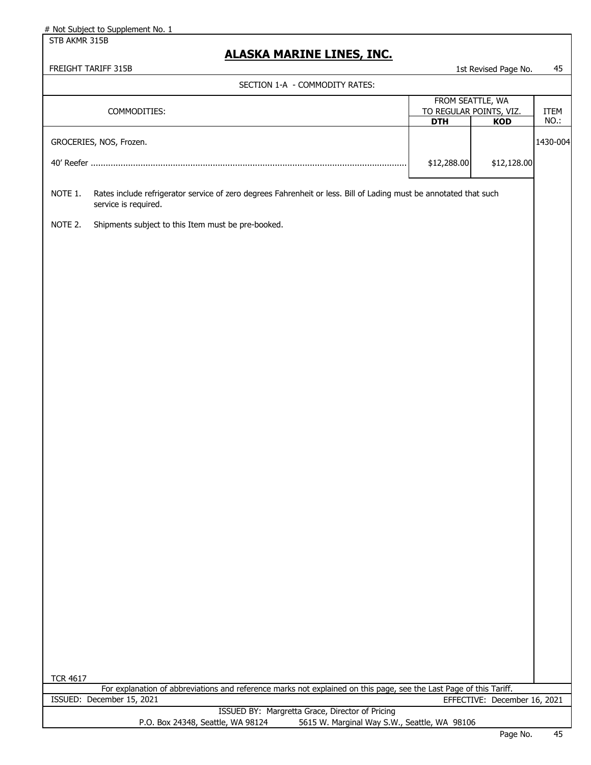STB AKMR 315B

| FREIGHT TARIFF 315B                                                                                                                                  |                                       | 1st Revised Page No.         | 45           |
|------------------------------------------------------------------------------------------------------------------------------------------------------|---------------------------------------|------------------------------|--------------|
| SECTION 1-A - COMMODITY RATES:                                                                                                                       |                                       |                              |              |
|                                                                                                                                                      | FROM SEATTLE, WA                      |                              |              |
| COMMODITIES:                                                                                                                                         | TO REGULAR POINTS, VIZ.<br><b>DTH</b> | <b>KOD</b>                   | ITEM<br>NO.: |
| GROCERIES, NOS, Frozen.                                                                                                                              |                                       |                              | 1430-004     |
|                                                                                                                                                      |                                       |                              |              |
|                                                                                                                                                      | \$12,288.00                           | \$12,128.00                  |              |
| NOTE 1.<br>Rates include refrigerator service of zero degrees Fahrenheit or less. Bill of Lading must be annotated that such<br>service is required. |                                       |                              |              |
| NOTE 2.<br>Shipments subject to this Item must be pre-booked.                                                                                        |                                       |                              |              |
|                                                                                                                                                      |                                       |                              |              |
|                                                                                                                                                      |                                       |                              |              |
|                                                                                                                                                      |                                       |                              |              |
|                                                                                                                                                      |                                       |                              |              |
|                                                                                                                                                      |                                       |                              |              |
|                                                                                                                                                      |                                       |                              |              |
|                                                                                                                                                      |                                       |                              |              |
|                                                                                                                                                      |                                       |                              |              |
|                                                                                                                                                      |                                       |                              |              |
|                                                                                                                                                      |                                       |                              |              |
|                                                                                                                                                      |                                       |                              |              |
|                                                                                                                                                      |                                       |                              |              |
|                                                                                                                                                      |                                       |                              |              |
|                                                                                                                                                      |                                       |                              |              |
|                                                                                                                                                      |                                       |                              |              |
|                                                                                                                                                      |                                       |                              |              |
|                                                                                                                                                      |                                       |                              |              |
|                                                                                                                                                      |                                       |                              |              |
|                                                                                                                                                      |                                       |                              |              |
|                                                                                                                                                      |                                       |                              |              |
|                                                                                                                                                      |                                       |                              |              |
|                                                                                                                                                      |                                       |                              |              |
|                                                                                                                                                      |                                       |                              |              |
|                                                                                                                                                      |                                       |                              |              |
|                                                                                                                                                      |                                       |                              |              |
|                                                                                                                                                      |                                       |                              |              |
| <b>TCR 4617</b>                                                                                                                                      |                                       |                              |              |
| For explanation of abbreviations and reference marks not explained on this page, see the Last Page of this Tariff.<br>ISSUED: December 15, 2021      |                                       | EFFECTIVE: December 16, 2021 |              |
| ISSUED BY: Margretta Grace, Director of Pricing                                                                                                      |                                       |                              |              |
| P.O. Box 24348, Seattle, WA 98124<br>5615 W. Marginal Way S.W., Seattle, WA 98106                                                                    |                                       |                              |              |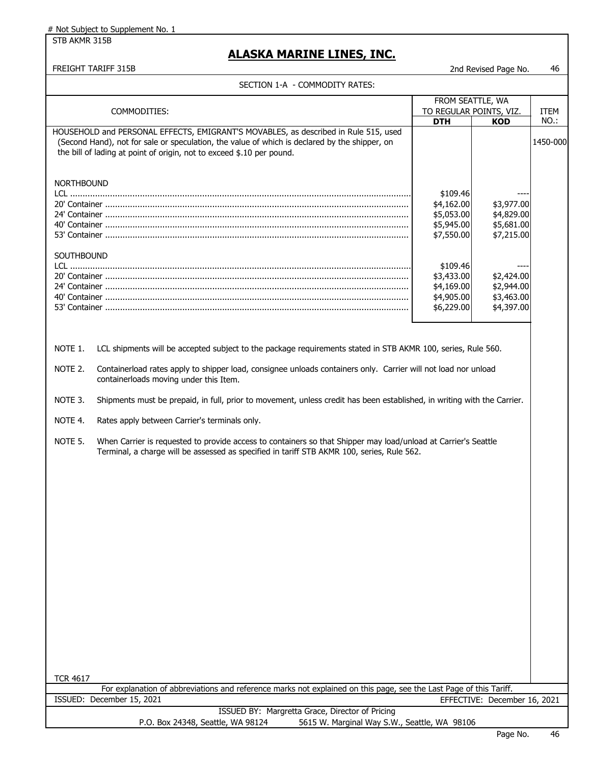STB AKMR 315B

### **ALASKA MARINE LINES, INC.**

FREIGHT TARIFF 315B **2nd Revised Page No.** 46

#### SECTION 1-A - COMMODITY RATES:

|                                 | SECTION I-A - COMMODITY RATES:                                                                                                                                                                                                                                |                                                                                                                                      |                                                                                                              |                  |
|---------------------------------|---------------------------------------------------------------------------------------------------------------------------------------------------------------------------------------------------------------------------------------------------------------|--------------------------------------------------------------------------------------------------------------------------------------|--------------------------------------------------------------------------------------------------------------|------------------|
|                                 |                                                                                                                                                                                                                                                               | FROM SEATTLE, WA                                                                                                                     |                                                                                                              |                  |
|                                 | COMMODITIES:                                                                                                                                                                                                                                                  | TO REGULAR POINTS, VIZ.                                                                                                              |                                                                                                              | <b>ITEM</b>      |
|                                 | HOUSEHOLD and PERSONAL EFFECTS, EMIGRANT'S MOVABLES, as described in Rule 515, used<br>(Second Hand), not for sale or speculation, the value of which is declared by the shipper, on<br>the bill of lading at point of origin, not to exceed \$.10 per pound. | <b>DTH</b>                                                                                                                           | <b>KOD</b>                                                                                                   | NO.:<br>1450-000 |
| <b>NORTHBOUND</b><br>SOUTHBOUND |                                                                                                                                                                                                                                                               | \$109.46<br>\$4,162.00<br>\$5,053.00<br>\$5,945.00<br>\$7,550.00<br>\$109.46<br>\$3,433.00<br>\$4,169.00<br>\$4,905.00<br>\$6,229.00 | \$3,977.00<br>\$4,829.00<br>\$5,681.00<br>\$7,215.00<br>\$2,424.00<br>\$2,944.00<br>\$3,463.00<br>\$4,397.00 |                  |
| NOTE 1.                         | LCL shipments will be accepted subject to the package requirements stated in STB AKMR 100, series, Rule 560.                                                                                                                                                  |                                                                                                                                      |                                                                                                              |                  |
| NOTE 2.                         | Containerload rates apply to shipper load, consignee unloads containers only. Carrier will not load nor unload<br>containerloads moving under this Item.                                                                                                      |                                                                                                                                      |                                                                                                              |                  |
| NOTE 3.                         | Shipments must be prepaid, in full, prior to movement, unless credit has been established, in writing with the Carrier.                                                                                                                                       |                                                                                                                                      |                                                                                                              |                  |
| NOTE 4.                         | Rates apply between Carrier's terminals only.                                                                                                                                                                                                                 |                                                                                                                                      |                                                                                                              |                  |
| NOTE 5.                         | When Carrier is requested to provide access to containers so that Shipper may load/unload at Carrier's Seattle<br>Terminal, a charge will be assessed as specified in tariff STB AKMR 100, series, Rule 562.                                                  |                                                                                                                                      |                                                                                                              |                  |
|                                 |                                                                                                                                                                                                                                                               |                                                                                                                                      |                                                                                                              |                  |
|                                 |                                                                                                                                                                                                                                                               |                                                                                                                                      |                                                                                                              |                  |
|                                 |                                                                                                                                                                                                                                                               |                                                                                                                                      |                                                                                                              |                  |
|                                 |                                                                                                                                                                                                                                                               |                                                                                                                                      |                                                                                                              |                  |
|                                 |                                                                                                                                                                                                                                                               |                                                                                                                                      |                                                                                                              |                  |

TCR 4617

For explanation of abbreviations and reference marks not explained on this page, see the Last Page of this Tariff. EFFECTIVE: December 16, 2021 ISSUED: December 15, 2021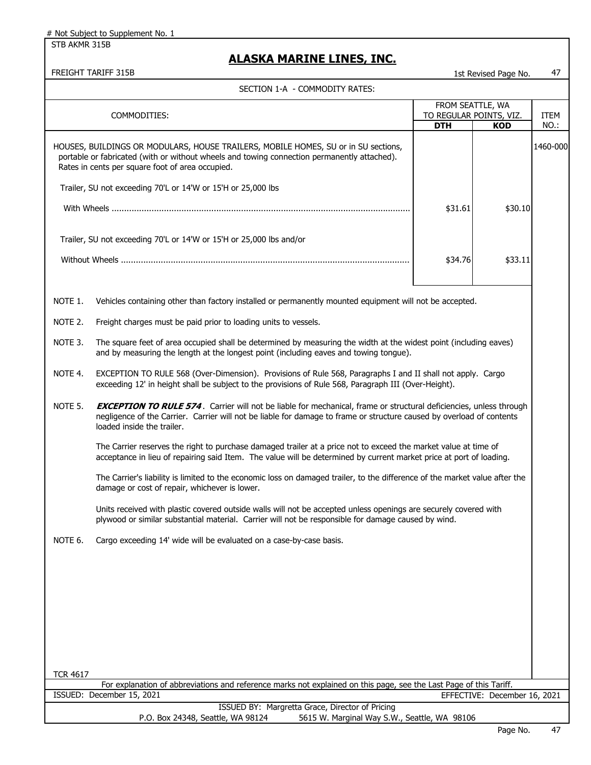STB AKMR 315B

## **ALASKA MARINE LINES, INC.**

FREIGHT TARIFF 315B 1st Revised Page No. 47

|                 |                                                                                                                                                                                                                                                                                                       | FROM SEATTLE, WA        |                              |          |
|-----------------|-------------------------------------------------------------------------------------------------------------------------------------------------------------------------------------------------------------------------------------------------------------------------------------------------------|-------------------------|------------------------------|----------|
|                 | COMMODITIES:                                                                                                                                                                                                                                                                                          | TO REGULAR POINTS, VIZ. |                              | ITEM     |
|                 |                                                                                                                                                                                                                                                                                                       | <b>DTH</b>              | <b>KOD</b>                   | NO.:     |
|                 | HOUSES, BUILDINGS OR MODULARS, HOUSE TRAILERS, MOBILE HOMES, SU or in SU sections,<br>portable or fabricated (with or without wheels and towing connection permanently attached).<br>Rates in cents per square foot of area occupied.<br>Trailer, SU not exceeding 70'L or 14'W or 15'H or 25,000 lbs |                         |                              | 1460-000 |
|                 |                                                                                                                                                                                                                                                                                                       | \$31.61                 | \$30.10                      |          |
|                 | Trailer, SU not exceeding 70'L or 14'W or 15'H or 25,000 lbs and/or                                                                                                                                                                                                                                   | \$34.76                 | \$33.11                      |          |
| NOTE 1.         | Vehicles containing other than factory installed or permanently mounted equipment will not be accepted.                                                                                                                                                                                               |                         |                              |          |
| NOTE 2.         | Freight charges must be paid prior to loading units to vessels.                                                                                                                                                                                                                                       |                         |                              |          |
| NOTE 3.         | The square feet of area occupied shall be determined by measuring the width at the widest point (including eaves)<br>and by measuring the length at the longest point (including eaves and towing tongue).                                                                                            |                         |                              |          |
| NOTE 4.         | EXCEPTION TO RULE 568 (Over-Dimension). Provisions of Rule 568, Paragraphs I and II shall not apply. Cargo<br>exceeding 12' in height shall be subject to the provisions of Rule 568, Paragraph III (Over-Height).                                                                                    |                         |                              |          |
| NOTE 5.         | <b>EXCEPTION TO RULE 574.</b> Carrier will not be liable for mechanical, frame or structural deficiencies, unless through<br>negligence of the Carrier. Carrier will not be liable for damage to frame or structure caused by overload of contents<br>loaded inside the trailer.                      |                         |                              |          |
|                 | The Carrier reserves the right to purchase damaged trailer at a price not to exceed the market value at time of<br>acceptance in lieu of repairing said Item. The value will be determined by current market price at port of loading.                                                                |                         |                              |          |
|                 | The Carrier's liability is limited to the economic loss on damaged trailer, to the difference of the market value after the<br>damage or cost of repair, whichever is lower.                                                                                                                          |                         |                              |          |
|                 | Units received with plastic covered outside walls will not be accepted unless openings are securely covered with<br>plywood or similar substantial material. Carrier will not be responsible for damage caused by wind.                                                                               |                         |                              |          |
| NOTE 6.         | Cargo exceeding 14' wide will be evaluated on a case-by-case basis.                                                                                                                                                                                                                                   |                         |                              |          |
|                 |                                                                                                                                                                                                                                                                                                       |                         |                              |          |
|                 |                                                                                                                                                                                                                                                                                                       |                         |                              |          |
|                 |                                                                                                                                                                                                                                                                                                       |                         |                              |          |
|                 |                                                                                                                                                                                                                                                                                                       |                         |                              |          |
| <b>TCR 4617</b> | For explanation of abbreviations and reference marks not explained on this page, see the Last Page of this Tariff.                                                                                                                                                                                    |                         |                              |          |
|                 | ISSUED: December 15, 2021                                                                                                                                                                                                                                                                             |                         | EFFECTIVE: December 16, 2021 |          |
|                 | ISSUED BY: Margretta Grace, Director of Pricing                                                                                                                                                                                                                                                       |                         |                              |          |
|                 | P.O. Box 24348, Seattle, WA 98124<br>5615 W. Marginal Way S.W., Seattle, WA 98106                                                                                                                                                                                                                     |                         |                              |          |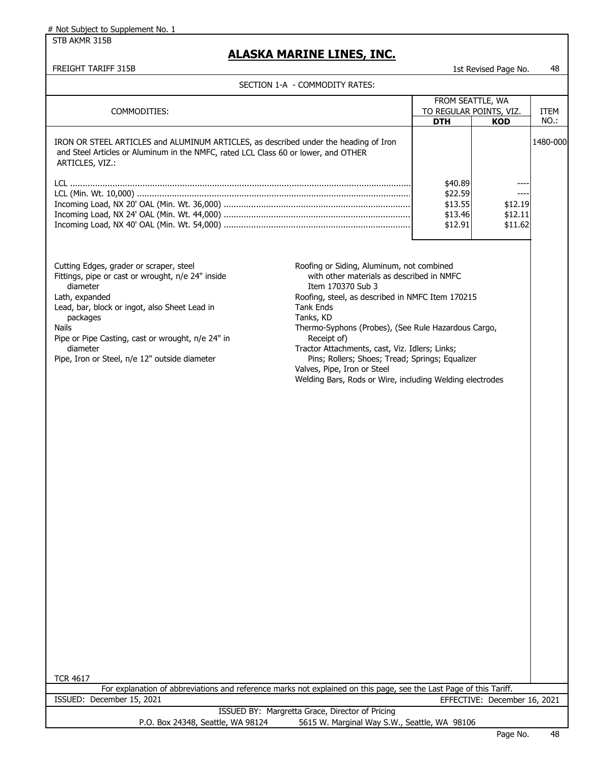STB AKMR 315B

### **ALASKA MARINE LINES, INC.**

|  | SECTION 1-A  - COMMODITY RATES: |
|--|---------------------------------|
|--|---------------------------------|

|                                                                                                                                                                                                                                                                                                                           | JLCIION I-A - COPINODITI INATLJ.                                                                                                                                                                                                                                                                                                                                                                                                                                       |                         |                              |             |
|---------------------------------------------------------------------------------------------------------------------------------------------------------------------------------------------------------------------------------------------------------------------------------------------------------------------------|------------------------------------------------------------------------------------------------------------------------------------------------------------------------------------------------------------------------------------------------------------------------------------------------------------------------------------------------------------------------------------------------------------------------------------------------------------------------|-------------------------|------------------------------|-------------|
|                                                                                                                                                                                                                                                                                                                           |                                                                                                                                                                                                                                                                                                                                                                                                                                                                        | FROM SEATTLE, WA        |                              |             |
| COMMODITIES:                                                                                                                                                                                                                                                                                                              |                                                                                                                                                                                                                                                                                                                                                                                                                                                                        | TO REGULAR POINTS, VIZ. |                              | <b>ITEM</b> |
|                                                                                                                                                                                                                                                                                                                           |                                                                                                                                                                                                                                                                                                                                                                                                                                                                        | <b>DTH</b>              | <b>KOD</b>                   | NO.:        |
| IRON OR STEEL ARTICLES and ALUMINUM ARTICLES, as described under the heading of Iron<br>and Steel Articles or Aluminum in the NMFC, rated LCL Class 60 or lower, and OTHER<br>ARTICLES, VIZ.:                                                                                                                             |                                                                                                                                                                                                                                                                                                                                                                                                                                                                        |                         |                              | 1480-000    |
|                                                                                                                                                                                                                                                                                                                           |                                                                                                                                                                                                                                                                                                                                                                                                                                                                        | \$40.89<br>\$22.59      |                              |             |
|                                                                                                                                                                                                                                                                                                                           |                                                                                                                                                                                                                                                                                                                                                                                                                                                                        | \$13.55                 | \$12.19                      |             |
|                                                                                                                                                                                                                                                                                                                           |                                                                                                                                                                                                                                                                                                                                                                                                                                                                        | \$13.46                 | \$12.11                      |             |
|                                                                                                                                                                                                                                                                                                                           |                                                                                                                                                                                                                                                                                                                                                                                                                                                                        | \$12.91                 | \$11.62                      |             |
|                                                                                                                                                                                                                                                                                                                           |                                                                                                                                                                                                                                                                                                                                                                                                                                                                        |                         |                              |             |
| Cutting Edges, grader or scraper, steel<br>Fittings, pipe or cast or wrought, n/e 24" inside<br>diameter<br>Lath, expanded<br>Lead, bar, block or ingot, also Sheet Lead in<br>packages<br><b>Nails</b><br>Pipe or Pipe Casting, cast or wrought, n/e 24" in<br>diameter<br>Pipe, Iron or Steel, n/e 12" outside diameter | Roofing or Siding, Aluminum, not combined<br>with other materials as described in NMFC<br>Item 170370 Sub 3<br>Roofing, steel, as described in NMFC Item 170215<br><b>Tank Ends</b><br>Tanks, KD<br>Thermo-Syphons (Probes), (See Rule Hazardous Cargo,<br>Receipt of)<br>Tractor Attachments, cast, Viz. Idlers; Links;<br>Pins; Rollers; Shoes; Tread; Springs; Equalizer<br>Valves, Pipe, Iron or Steel<br>Welding Bars, Rods or Wire, including Welding electrodes |                         |                              |             |
| <b>TCR 4617</b>                                                                                                                                                                                                                                                                                                           |                                                                                                                                                                                                                                                                                                                                                                                                                                                                        |                         |                              |             |
| For explanation of abbreviations and reference marks not explained on this page, see the Last Page of this Tariff.                                                                                                                                                                                                        |                                                                                                                                                                                                                                                                                                                                                                                                                                                                        |                         |                              |             |
| ISSUED: December 15, 2021                                                                                                                                                                                                                                                                                                 |                                                                                                                                                                                                                                                                                                                                                                                                                                                                        |                         | EFFECTIVE: December 16, 2021 |             |
|                                                                                                                                                                                                                                                                                                                           | ISSUED BY: Margretta Grace, Director of Pricing                                                                                                                                                                                                                                                                                                                                                                                                                        |                         |                              |             |
| P.O. Box 24348, Seattle, WA 98124                                                                                                                                                                                                                                                                                         | 5615 W. Marginal Way S.W., Seattle, WA 98106                                                                                                                                                                                                                                                                                                                                                                                                                           |                         |                              |             |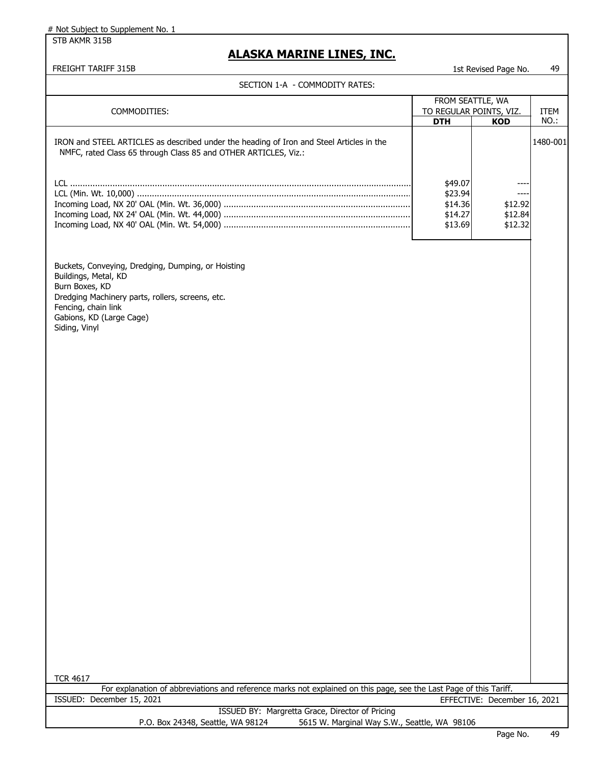STB AKMR 315B

### **ALASKA MARINE LINES, INC.**

#### FREIGHT TARIFF 315B 1st Revised Page No. 49

|                                                                                                                                                                                                                      | FROM SEATTLE, WA                                    |                                        |             |
|----------------------------------------------------------------------------------------------------------------------------------------------------------------------------------------------------------------------|-----------------------------------------------------|----------------------------------------|-------------|
| COMMODITIES:                                                                                                                                                                                                         | TO REGULAR POINTS, VIZ.                             |                                        | <b>ITEM</b> |
|                                                                                                                                                                                                                      | <b>DTH</b>                                          | <b>KOD</b>                             | NO.:        |
| IRON and STEEL ARTICLES as described under the heading of Iron and Steel Articles in the<br>NMFC, rated Class 65 through Class 85 and OTHER ARTICLES, Viz.:                                                          |                                                     |                                        | 1480-001    |
|                                                                                                                                                                                                                      | \$49.07<br>\$23.94<br>\$14.36<br>\$14.27<br>\$13.69 | $---$<br>\$12.92<br>\$12.84<br>\$12.32 |             |
| Buckets, Conveying, Dredging, Dumping, or Hoisting<br>Buildings, Metal, KD<br>Burn Boxes, KD<br>Dredging Machinery parts, rollers, screens, etc.<br>Fencing, chain link<br>Gabions, KD (Large Cage)<br>Siding, Vinyl |                                                     |                                        |             |
| <b>TCR 4617</b>                                                                                                                                                                                                      |                                                     |                                        |             |
| For explanation of abbreviations and reference marks not explained on this page, see the Last Page of this Tariff.                                                                                                   |                                                     |                                        |             |
|                                                                                                                                                                                                                      |                                                     |                                        |             |
| ISSUED: December 15, 2021                                                                                                                                                                                            |                                                     | EFFECTIVE: December 16, 2021           |             |
| ISSUED BY: Margretta Grace, Director of Pricing<br>5615 W. Marginal Way S.W., Seattle, WA 98106<br>P.O. Box 24348, Seattle, WA 98124                                                                                 |                                                     |                                        |             |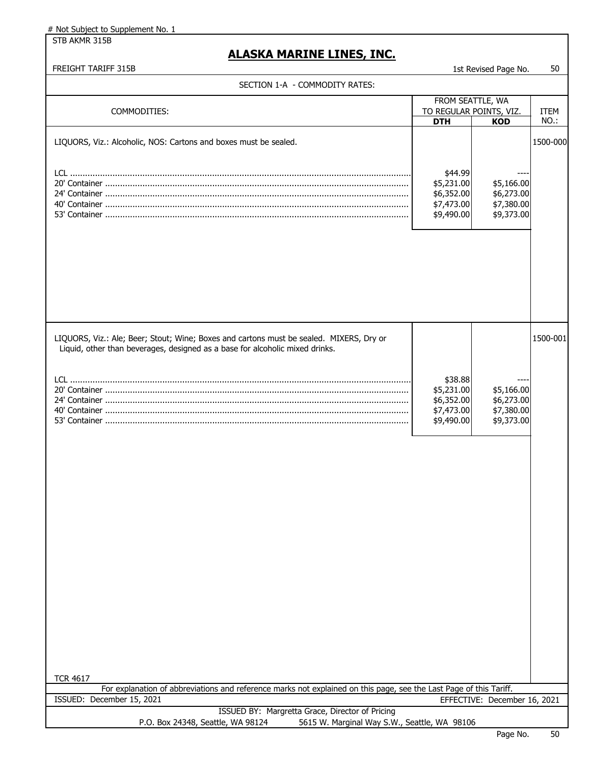STB AKMR 315B

### **ALASKA MARINE LINES, INC.**

#### FREIGHT TARIFF 315B 1st Revised Page No. 50

| FROM SEATTLE, WA<br>COMMODITIES:<br>TO REGULAR POINTS, VIZ.<br><b>ITEM</b><br>NO.:<br><b>DTH</b><br><b>KOD</b><br>LIQUORS, Viz.: Alcoholic, NOS: Cartons and boxes must be sealed.<br>1500-000<br>\$44.99<br>\$5,231.00<br>\$5,166.00<br>\$6,352.00<br>\$6,273.00<br>\$7,380.00<br>\$7,473.00<br>\$9,373.00<br>\$9,490.00<br>LIQUORS, Viz.: Ale; Beer; Stout; Wine; Boxes and cartons must be sealed. MIXERS, Dry or<br>1500-001<br>Liquid, other than beverages, designed as a base for alcoholic mixed drinks.<br>\$38.88<br>\$5,231.00<br>\$5,166.00<br>\$6,273.00<br>\$6,352.00<br>\$7,380.00<br>\$7,473.00<br>\$9,490.00<br>\$9,373.00 | SECTION 1-A - COMMODITY RATES: |  |  |  |  |  |
|---------------------------------------------------------------------------------------------------------------------------------------------------------------------------------------------------------------------------------------------------------------------------------------------------------------------------------------------------------------------------------------------------------------------------------------------------------------------------------------------------------------------------------------------------------------------------------------------------------------------------------------------|--------------------------------|--|--|--|--|--|
|                                                                                                                                                                                                                                                                                                                                                                                                                                                                                                                                                                                                                                             |                                |  |  |  |  |  |
|                                                                                                                                                                                                                                                                                                                                                                                                                                                                                                                                                                                                                                             |                                |  |  |  |  |  |
|                                                                                                                                                                                                                                                                                                                                                                                                                                                                                                                                                                                                                                             |                                |  |  |  |  |  |
|                                                                                                                                                                                                                                                                                                                                                                                                                                                                                                                                                                                                                                             |                                |  |  |  |  |  |
|                                                                                                                                                                                                                                                                                                                                                                                                                                                                                                                                                                                                                                             |                                |  |  |  |  |  |
|                                                                                                                                                                                                                                                                                                                                                                                                                                                                                                                                                                                                                                             |                                |  |  |  |  |  |
|                                                                                                                                                                                                                                                                                                                                                                                                                                                                                                                                                                                                                                             |                                |  |  |  |  |  |
|                                                                                                                                                                                                                                                                                                                                                                                                                                                                                                                                                                                                                                             |                                |  |  |  |  |  |
|                                                                                                                                                                                                                                                                                                                                                                                                                                                                                                                                                                                                                                             |                                |  |  |  |  |  |

TCR 4617

For explanation of abbreviations and reference marks not explained on this page, see the Last Page of this Tariff. ISSUED: December 15, 2021 EFFECTIVE: December 16, 2021

| ISSUED BY: Margretta Grace, Director of Pricing |                                              |  |  |  |
|-------------------------------------------------|----------------------------------------------|--|--|--|
| P.O. Box 24348, Seattle, WA 98124               | 5615 W. Marginal Way S.W., Seattle, WA 98106 |  |  |  |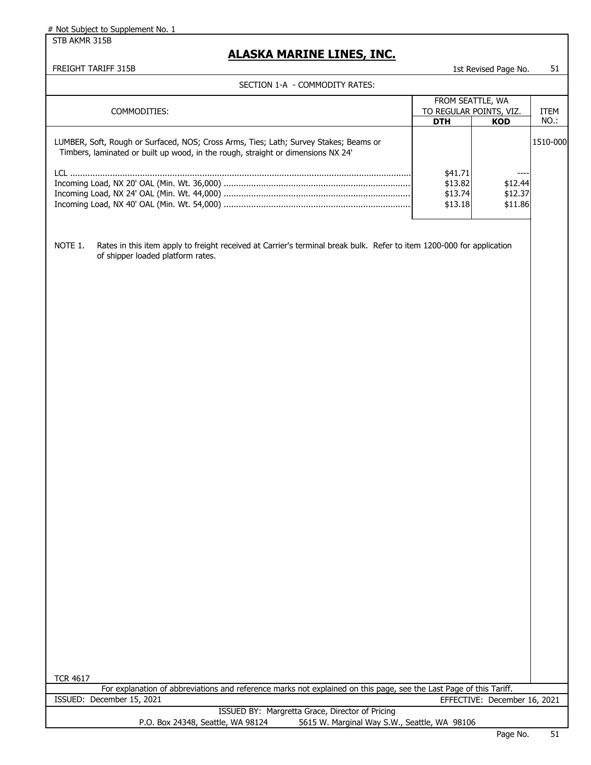STB AKMR 315B

### **ALASKA MARINE LINES, INC.**

| SECTION 1-A - COMMODITY RATES:                                                                                                                                                                                                                                                                                 |                                                           |                                        |              |
|----------------------------------------------------------------------------------------------------------------------------------------------------------------------------------------------------------------------------------------------------------------------------------------------------------------|-----------------------------------------------------------|----------------------------------------|--------------|
| COMMODITIES:                                                                                                                                                                                                                                                                                                   | FROM SEATTLE, WA<br>TO REGULAR POINTS, VIZ.<br><b>DTH</b> | <b>KOD</b>                             | ITEM<br>NO.: |
| LUMBER, Soft, Rough or Surfaced, NOS; Cross Arms, Ties; Lath; Survey Stakes; Beams or<br>Timbers, laminated or built up wood, in the rough, straight or dimensions NX 24'                                                                                                                                      | \$41.71<br>\$13.82<br>\$13.74<br>\$13.18                  | $---$<br>\$12.44<br>\$12.37<br>\$11.86 | 1510-000     |
| NOTE 1.<br>Rates in this item apply to freight received at Carrier's terminal break bulk. Refer to item 1200-000 for application<br>of shipper loaded platform rates.<br><b>TCR 4617</b><br>For explanation of abbreviations and reference marks not explained on this page, see the Last Page of this Tariff. |                                                           |                                        |              |
| ISSUED: December 15, 2021                                                                                                                                                                                                                                                                                      |                                                           | EFFECTIVE: December 16, 2021           |              |
| ISSUED BY: Margretta Grace, Director of Pricing<br>P.O. Box 24348, Seattle, WA 98124<br>5615 W. Marginal Way S.W., Seattle, WA 98106                                                                                                                                                                           |                                                           |                                        |              |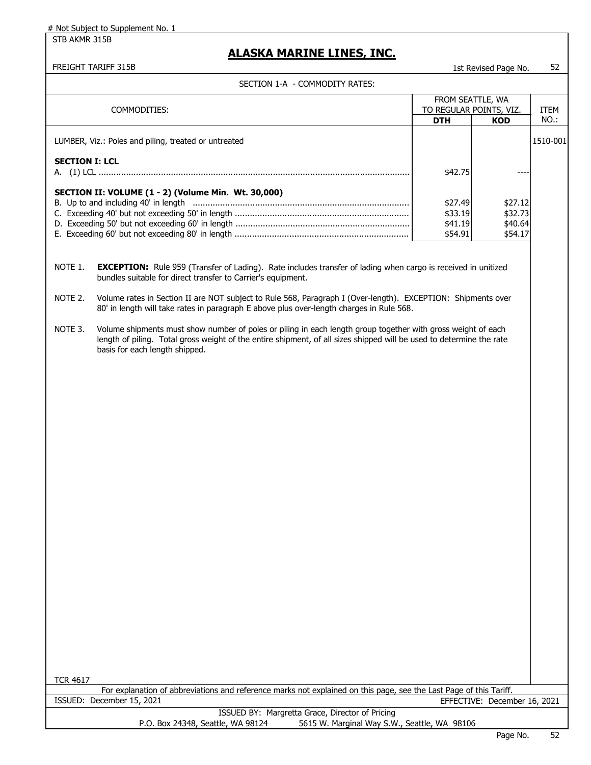STB AKMR 315B

### **ALASKA MARINE LINES, INC.**

#### FREIGHT TARIFF 315B 1st Revised Page No. 52

|                       | FROM SEATTLE, WA<br>TO REGULAR POINTS, VIZ.<br>COMMODITIES:                                                                                                                                                                                                            |                                          |                                          | <b>ITEM</b> |
|-----------------------|------------------------------------------------------------------------------------------------------------------------------------------------------------------------------------------------------------------------------------------------------------------------|------------------------------------------|------------------------------------------|-------------|
|                       |                                                                                                                                                                                                                                                                        | <b>DTH</b>                               | <b>KOD</b>                               | NO.:        |
|                       | LUMBER, Viz.: Poles and piling, treated or untreated                                                                                                                                                                                                                   |                                          |                                          | 1510-001    |
| <b>SECTION I: LCL</b> |                                                                                                                                                                                                                                                                        | \$42.75                                  |                                          |             |
|                       | SECTION II: VOLUME (1 - 2) (Volume Min. Wt. 30,000)                                                                                                                                                                                                                    | \$27.49<br>\$33.19<br>\$41.19<br>\$54.91 | \$27.12<br>\$32.73<br>\$40.64<br>\$54.17 |             |
| NOTE 1.               | <b>EXCEPTION:</b> Rule 959 (Transfer of Lading). Rate includes transfer of lading when cargo is received in unitized<br>bundles suitable for direct transfer to Carrier's equipment.                                                                                   |                                          |                                          |             |
| NOTE 2.               | Volume rates in Section II are NOT subject to Rule 568, Paragraph I (Over-length). EXCEPTION: Shipments over<br>80' in length will take rates in paragraph E above plus over-length charges in Rule 568.                                                               |                                          |                                          |             |
| NOTE 3.               | Volume shipments must show number of poles or piling in each length group together with gross weight of each<br>length of piling. Total gross weight of the entire shipment, of all sizes shipped will be used to determine the rate<br>basis for each length shipped. |                                          |                                          |             |
|                       |                                                                                                                                                                                                                                                                        |                                          |                                          |             |
|                       |                                                                                                                                                                                                                                                                        |                                          |                                          |             |
|                       |                                                                                                                                                                                                                                                                        |                                          |                                          |             |
|                       |                                                                                                                                                                                                                                                                        |                                          |                                          |             |
|                       |                                                                                                                                                                                                                                                                        |                                          |                                          |             |
|                       |                                                                                                                                                                                                                                                                        |                                          |                                          |             |
|                       |                                                                                                                                                                                                                                                                        |                                          |                                          |             |
|                       |                                                                                                                                                                                                                                                                        |                                          |                                          |             |
|                       |                                                                                                                                                                                                                                                                        |                                          |                                          |             |
| <b>TCR 4617</b>       |                                                                                                                                                                                                                                                                        |                                          |                                          |             |
|                       | For explanation of abbreviations and reference marks not explained on this page, see the Last Page of this Tariff.<br>ISSUED: December 15, 2021                                                                                                                        |                                          |                                          |             |
|                       | ISSUED BY: Margretta Grace, Director of Pricing                                                                                                                                                                                                                        |                                          | EFFECTIVE: December 16, 2021             |             |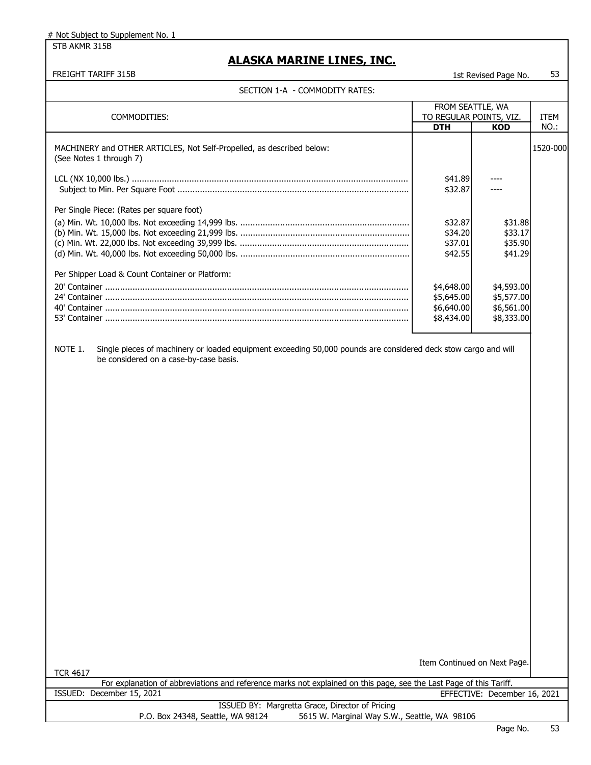STB AKMR 315B

### **ALASKA MARINE LINES, INC.**

### SECTION 1-A - COMMODITY RATES:

| SECTION 1-A - COMMODITY RATES:                                                                                                                                      |                                                      |                                                      |             |
|---------------------------------------------------------------------------------------------------------------------------------------------------------------------|------------------------------------------------------|------------------------------------------------------|-------------|
|                                                                                                                                                                     |                                                      | FROM SEATTLE, WA                                     |             |
|                                                                                                                                                                     |                                                      |                                                      |             |
| COMMODITIES:                                                                                                                                                        | TO REGULAR POINTS, VIZ.                              |                                                      | <b>ITEM</b> |
|                                                                                                                                                                     | <b>DTH</b>                                           | <b>KOD</b>                                           | NO.:        |
| MACHINERY and OTHER ARTICLES, Not Self-Propelled, as described below:<br>(See Notes 1 through 7)                                                                    |                                                      |                                                      | 1520-000    |
|                                                                                                                                                                     | \$41.89<br>\$32.87                                   |                                                      |             |
| Per Single Piece: (Rates per square foot)                                                                                                                           | \$32.87<br>\$34.20<br>\$37.01<br>\$42.55             | \$31.88<br>\$33.17<br>\$35.90<br>\$41.29             |             |
| Per Shipper Load & Count Container or Platform:                                                                                                                     | \$4,648.00<br>\$5,645.00<br>\$6,640.00<br>\$8,434.00 | \$4,593.00<br>\$5,577.00<br>\$6,561.00<br>\$8,333.00 |             |
| Single pieces of machinery or loaded equipment exceeding 50,000 pounds are considered deck stow cargo and will<br>NOTE 1.<br>be considered on a case-by-case basis. |                                                      | Item Continued on Next Page.                         |             |
| <b>TCR 4617</b><br>For explanation of abbreviations and reference marks not explained on this page, see the Last Page of this Tariff.                               |                                                      |                                                      |             |
| ISSUED: December 15, 2021                                                                                                                                           |                                                      |                                                      |             |
|                                                                                                                                                                     |                                                      | EFFECTIVE: December 16, 2021                         |             |
| ISSUED BY: Margretta Grace, Director of Pricing<br>5615 W. Marginal Way S.W., Seattle, WA 98106<br>P.O. Box 24348, Seattle, WA 98124                                |                                                      |                                                      |             |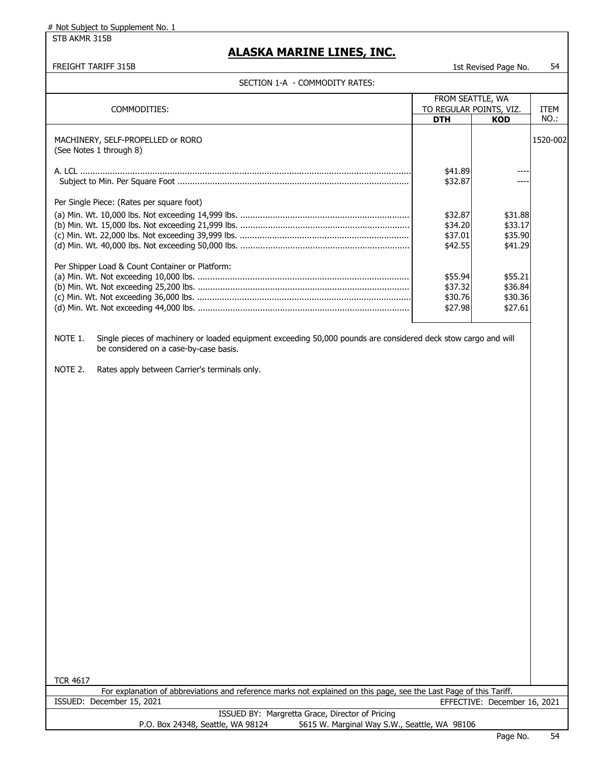STB AKMR 315B

### **ALASKA MARINE LINES, INC.**

FREIGHT TARIFF 315B 1st Revised Page No. 54

| SECTION I-A - COMMODITY RATES:                                                                                            |                         |                              |          |
|---------------------------------------------------------------------------------------------------------------------------|-------------------------|------------------------------|----------|
|                                                                                                                           |                         | FROM SEATTLE, WA             |          |
| COMMODITIES:                                                                                                              | TO REGULAR POINTS, VIZ. |                              | ITEM     |
|                                                                                                                           | <b>DTH</b>              | <b>KOD</b>                   | NO.:     |
|                                                                                                                           |                         |                              |          |
|                                                                                                                           |                         |                              |          |
| MACHINERY, SELF-PROPELLED or RORO                                                                                         |                         |                              | 1520-002 |
| (See Notes 1 through 8)                                                                                                   |                         |                              |          |
|                                                                                                                           |                         |                              |          |
|                                                                                                                           | \$41.89                 |                              |          |
|                                                                                                                           | \$32.87                 |                              |          |
|                                                                                                                           |                         |                              |          |
| Per Single Piece: (Rates per square foot)                                                                                 |                         |                              |          |
|                                                                                                                           |                         |                              |          |
|                                                                                                                           | \$32.87                 | \$31.88                      |          |
|                                                                                                                           | \$34.20                 | \$33.17                      |          |
|                                                                                                                           | \$37.01                 | \$35.90                      |          |
|                                                                                                                           | \$42.55                 | \$41.29                      |          |
|                                                                                                                           |                         |                              |          |
| Per Shipper Load & Count Container or Platform:                                                                           |                         |                              |          |
|                                                                                                                           | \$55.94                 | \$55.21                      |          |
|                                                                                                                           |                         |                              |          |
|                                                                                                                           | \$37.32                 | \$36.84                      |          |
|                                                                                                                           | \$30.76                 | \$30.36                      |          |
|                                                                                                                           | \$27.98                 | \$27.61                      |          |
|                                                                                                                           |                         |                              |          |
|                                                                                                                           |                         |                              |          |
| Single pieces of machinery or loaded equipment exceeding 50,000 pounds are considered deck stow cargo and will<br>NOTE 1. |                         |                              |          |
| be considered on a case-by-case basis.                                                                                    |                         |                              |          |
|                                                                                                                           |                         |                              |          |
|                                                                                                                           |                         |                              |          |
| NOTE 2.<br>Rates apply between Carrier's terminals only.                                                                  |                         |                              |          |
|                                                                                                                           |                         |                              |          |
|                                                                                                                           |                         |                              |          |
|                                                                                                                           |                         |                              |          |
|                                                                                                                           |                         |                              |          |
|                                                                                                                           |                         |                              |          |
|                                                                                                                           |                         |                              |          |
|                                                                                                                           |                         |                              |          |
|                                                                                                                           |                         |                              |          |
|                                                                                                                           |                         |                              |          |
|                                                                                                                           |                         |                              |          |
|                                                                                                                           |                         |                              |          |
|                                                                                                                           |                         |                              |          |
|                                                                                                                           |                         |                              |          |
|                                                                                                                           |                         |                              |          |
|                                                                                                                           |                         |                              |          |
|                                                                                                                           |                         |                              |          |
|                                                                                                                           |                         |                              |          |
|                                                                                                                           |                         |                              |          |
|                                                                                                                           |                         |                              |          |
|                                                                                                                           |                         |                              |          |
|                                                                                                                           |                         |                              |          |
|                                                                                                                           |                         |                              |          |
|                                                                                                                           |                         |                              |          |
|                                                                                                                           |                         |                              |          |
|                                                                                                                           |                         |                              |          |
|                                                                                                                           |                         |                              |          |
|                                                                                                                           |                         |                              |          |
|                                                                                                                           |                         |                              |          |
|                                                                                                                           |                         |                              |          |
|                                                                                                                           |                         |                              |          |
|                                                                                                                           |                         |                              |          |
|                                                                                                                           |                         |                              |          |
|                                                                                                                           |                         |                              |          |
|                                                                                                                           |                         |                              |          |
|                                                                                                                           |                         |                              |          |
| <b>TCR 4617</b>                                                                                                           |                         |                              |          |
| For explanation of abbreviations and reference marks not explained on this page, see the Last Page of this Tariff.        |                         |                              |          |
| ISSUED: December 15, 2021                                                                                                 |                         | EFFECTIVE: December 16, 2021 |          |
| <b>ICCUED BV: Margrotta Craco, Director of Driging</b>                                                                    |                         |                              |          |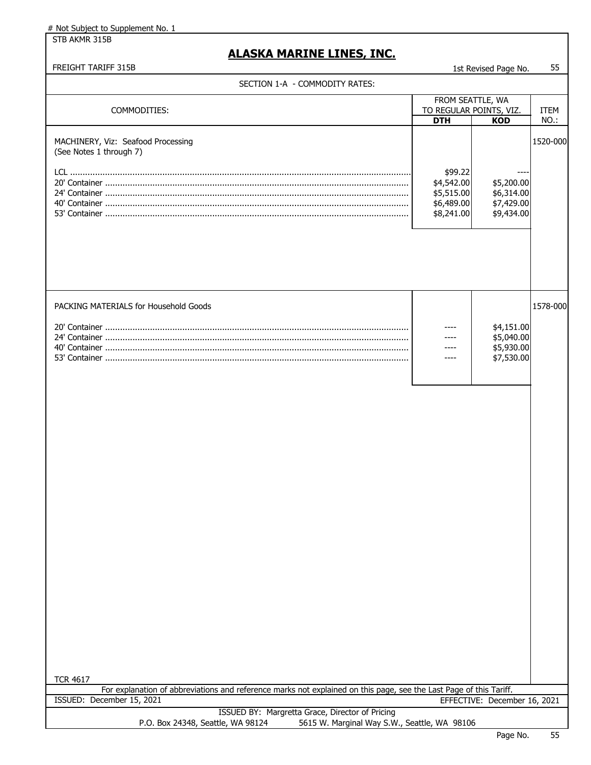STB AKMR 315B

### **ALASKA MARINE LINES, INC.**

| SECTION 1-A - COMMODITY RATES:                                                                                                                                     |                                                                 |                                                      |                     |
|--------------------------------------------------------------------------------------------------------------------------------------------------------------------|-----------------------------------------------------------------|------------------------------------------------------|---------------------|
| COMMODITIES:                                                                                                                                                       | FROM SEATTLE, WA<br>TO REGULAR POINTS, VIZ.<br><b>DTH</b>       | <b>KOD</b>                                           | <b>ITEM</b><br>NO.: |
| MACHINERY, Viz: Seafood Processing<br>(See Notes 1 through 7)                                                                                                      | \$99.22<br>\$4,542.00<br>\$5,515.00<br>\$6,489.00<br>\$8,241.00 | \$5,200.00<br>\$6,314.00<br>\$7,429.00<br>\$9,434.00 | 1520-000            |
| PACKING MATERIALS for Household Goods                                                                                                                              |                                                                 | \$4,151.00<br>\$5,040.00<br>\$5,930.00<br>\$7,530.00 | 1578-000            |
|                                                                                                                                                                    |                                                                 |                                                      |                     |
|                                                                                                                                                                    |                                                                 |                                                      |                     |
| <b>TCR 4617</b><br>For explanation of abbreviations and reference marks not explained on this page, see the Last Page of this Tariff.<br>ISSUED: December 15, 2021 |                                                                 | EFFECTIVE: December 16, 2021                         |                     |
| ISSUED BY: Margretta Grace, Director of Pricing<br>P.O. Box 24348, Seattle, WA 98124<br>5615 W. Marginal Way S.W., Seattle, WA 98106                               |                                                                 |                                                      |                     |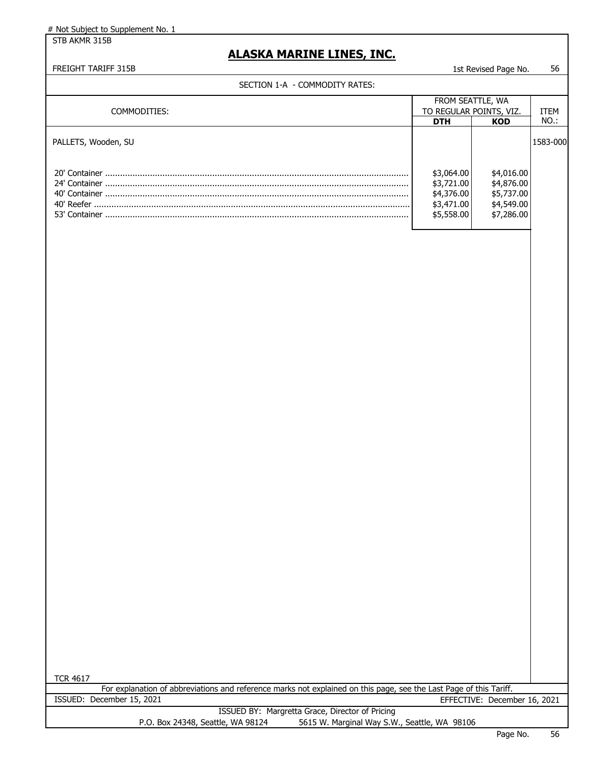STB AKMR 315B

### **ALASKA MARINE LINES, INC.**

#### FREIGHT TARIFF 315B 1st Revised Page No. 56

| - * * * * * * *<br><b>COLLIDO TELLIDI</b>                                                                          |                                             |                              |              |
|--------------------------------------------------------------------------------------------------------------------|---------------------------------------------|------------------------------|--------------|
|                                                                                                                    | FROM SEATTLE, WA<br>TO REGULAR POINTS, VIZ. |                              |              |
| COMMODITIES:                                                                                                       | <b>DTH</b>                                  | <b>KOD</b>                   | ITEM<br>NO.: |
|                                                                                                                    |                                             |                              |              |
| PALLETS, Wooden, SU                                                                                                |                                             |                              | 1583-000     |
|                                                                                                                    |                                             |                              |              |
|                                                                                                                    |                                             |                              |              |
|                                                                                                                    | \$3,064.00                                  | \$4,016.00                   |              |
|                                                                                                                    | \$3,721.00                                  | \$4,876.00                   |              |
|                                                                                                                    | \$4,376.00                                  | \$5,737.00                   |              |
|                                                                                                                    | \$3,471.00                                  | \$4,549.00                   |              |
|                                                                                                                    | \$5,558.00                                  | \$7,286.00                   |              |
|                                                                                                                    |                                             |                              |              |
|                                                                                                                    |                                             |                              |              |
|                                                                                                                    |                                             |                              |              |
|                                                                                                                    |                                             |                              |              |
|                                                                                                                    |                                             |                              |              |
|                                                                                                                    |                                             |                              |              |
|                                                                                                                    |                                             |                              |              |
|                                                                                                                    |                                             |                              |              |
|                                                                                                                    |                                             |                              |              |
|                                                                                                                    |                                             |                              |              |
|                                                                                                                    |                                             |                              |              |
|                                                                                                                    |                                             |                              |              |
|                                                                                                                    |                                             |                              |              |
|                                                                                                                    |                                             |                              |              |
|                                                                                                                    |                                             |                              |              |
|                                                                                                                    |                                             |                              |              |
|                                                                                                                    |                                             |                              |              |
|                                                                                                                    |                                             |                              |              |
|                                                                                                                    |                                             |                              |              |
|                                                                                                                    |                                             |                              |              |
|                                                                                                                    |                                             |                              |              |
|                                                                                                                    |                                             |                              |              |
|                                                                                                                    |                                             |                              |              |
|                                                                                                                    |                                             |                              |              |
|                                                                                                                    |                                             |                              |              |
|                                                                                                                    |                                             |                              |              |
|                                                                                                                    |                                             |                              |              |
|                                                                                                                    |                                             |                              |              |
|                                                                                                                    |                                             |                              |              |
|                                                                                                                    |                                             |                              |              |
|                                                                                                                    |                                             |                              |              |
|                                                                                                                    |                                             |                              |              |
|                                                                                                                    |                                             |                              |              |
|                                                                                                                    |                                             |                              |              |
|                                                                                                                    |                                             |                              |              |
|                                                                                                                    |                                             |                              |              |
|                                                                                                                    |                                             |                              |              |
|                                                                                                                    |                                             |                              |              |
|                                                                                                                    |                                             |                              |              |
|                                                                                                                    |                                             |                              |              |
|                                                                                                                    |                                             |                              |              |
|                                                                                                                    |                                             |                              |              |
| <b>TCR 4617</b>                                                                                                    |                                             |                              |              |
| For explanation of abbreviations and reference marks not explained on this page, see the Last Page of this Tariff. |                                             |                              |              |
| ISSUED: December 15, 2021                                                                                          |                                             | EFFECTIVE: December 16, 2021 |              |
| ISSUED BY: Margretta Grace, Director of Pricing                                                                    |                                             |                              |              |
| 5615 W. Marginal Way S.W., Seattle, WA 98106<br>P.O. Box 24348, Seattle, WA 98124                                  |                                             |                              |              |
|                                                                                                                    |                                             | Page No                      | 56           |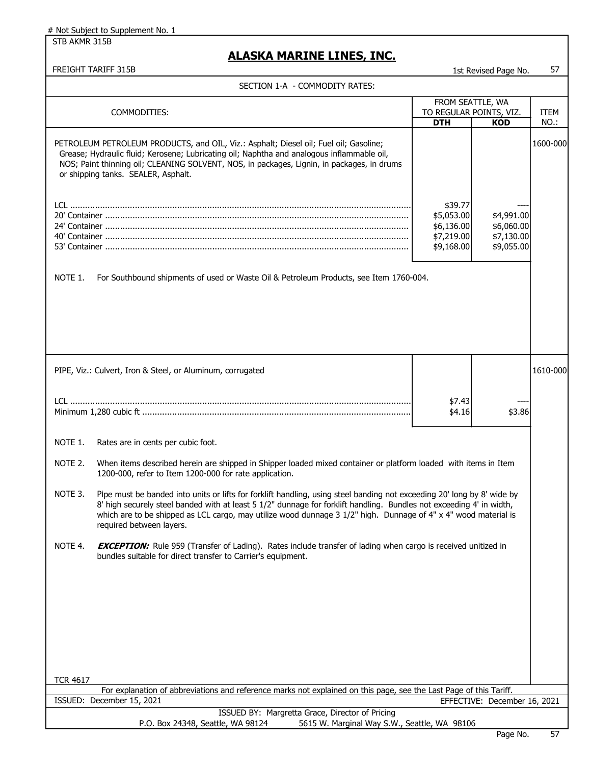STB AKMR 315B

| FREIGHT TARIFF 315B                                                                                                                                                                                                                                                                                                                                                                                       |                                                                 | 1st Revised Page No.                                 | 57                  |
|-----------------------------------------------------------------------------------------------------------------------------------------------------------------------------------------------------------------------------------------------------------------------------------------------------------------------------------------------------------------------------------------------------------|-----------------------------------------------------------------|------------------------------------------------------|---------------------|
| SECTION 1-A - COMMODITY RATES:                                                                                                                                                                                                                                                                                                                                                                            |                                                                 |                                                      |                     |
| COMMODITIES:                                                                                                                                                                                                                                                                                                                                                                                              | FROM SEATTLE, WA<br>TO REGULAR POINTS, VIZ.<br><b>DTH</b>       | <b>KOD</b>                                           | <b>ITEM</b><br>NO.: |
| PETROLEUM PETROLEUM PRODUCTS, and OIL, Viz.: Asphalt; Diesel oil; Fuel oil; Gasoline;<br>Grease; Hydraulic fluid; Kerosene; Lubricating oil; Naphtha and analogous inflammable oil,<br>NOS; Paint thinning oil; CLEANING SOLVENT, NOS, in packages, Lignin, in packages, in drums<br>or shipping tanks. SEALER, Asphalt.                                                                                  |                                                                 |                                                      | 1600-000            |
|                                                                                                                                                                                                                                                                                                                                                                                                           | \$39.77<br>\$5,053.00<br>\$6,136.00<br>\$7,219.00<br>\$9,168.00 | \$4,991.00<br>\$6,060.00<br>\$7,130.00<br>\$9,055.00 |                     |
| NOTE 1.<br>For Southbound shipments of used or Waste Oil & Petroleum Products, see Item 1760-004.                                                                                                                                                                                                                                                                                                         |                                                                 |                                                      |                     |
|                                                                                                                                                                                                                                                                                                                                                                                                           |                                                                 |                                                      |                     |
| PIPE, Viz.: Culvert, Iron & Steel, or Aluminum, corrugated                                                                                                                                                                                                                                                                                                                                                |                                                                 |                                                      | 1610-000            |
|                                                                                                                                                                                                                                                                                                                                                                                                           | \$7.43<br>\$4.16                                                | \$3.86                                               |                     |
| NOTE 1.<br>Rates are in cents per cubic foot.                                                                                                                                                                                                                                                                                                                                                             |                                                                 |                                                      |                     |
| NOTE 2.<br>When items described herein are shipped in Shipper loaded mixed container or platform loaded with items in Item<br>1200-000, refer to Item 1200-000 for rate application.                                                                                                                                                                                                                      |                                                                 |                                                      |                     |
| Pipe must be banded into units or lifts for forklift handling, using steel banding not exceeding 20' long by 8' wide by<br>NOTE 3.<br>8' high securely steel banded with at least 5 1/2" dunnage for forklift handling. Bundles not exceeding 4' in width,<br>which are to be shipped as LCL cargo, may utilize wood dunnage 3 1/2" high. Dunnage of 4" x 4" wood material is<br>required between layers. |                                                                 |                                                      |                     |
| NOTE 4.<br><b>EXCEPTION:</b> Rule 959 (Transfer of Lading). Rates include transfer of lading when cargo is received unitized in<br>bundles suitable for direct transfer to Carrier's equipment.                                                                                                                                                                                                           |                                                                 |                                                      |                     |
|                                                                                                                                                                                                                                                                                                                                                                                                           |                                                                 |                                                      |                     |
|                                                                                                                                                                                                                                                                                                                                                                                                           |                                                                 |                                                      |                     |
|                                                                                                                                                                                                                                                                                                                                                                                                           |                                                                 |                                                      |                     |
| <b>TCR 4617</b>                                                                                                                                                                                                                                                                                                                                                                                           |                                                                 |                                                      |                     |
| For explanation of abbreviations and reference marks not explained on this page, see the Last Page of this Tariff.                                                                                                                                                                                                                                                                                        |                                                                 |                                                      |                     |
| ISSUED: December 15, 2021                                                                                                                                                                                                                                                                                                                                                                                 |                                                                 | EFFECTIVE: December 16, 2021                         |                     |
| ISSUED BY: Margretta Grace, Director of Pricing<br>P.O. Box 24348, Seattle, WA 98124<br>5615 W. Marginal Way S.W., Seattle, WA 98106                                                                                                                                                                                                                                                                      |                                                                 |                                                      |                     |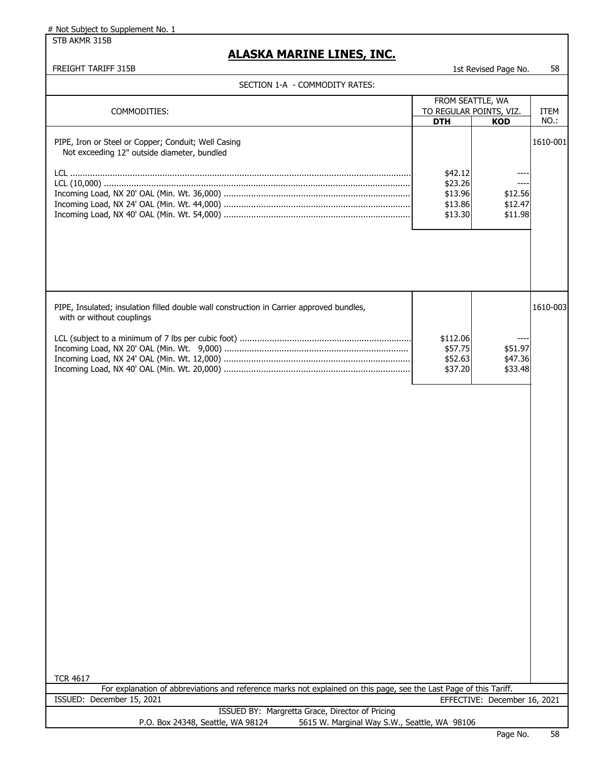STB AKMR 315B

### **ALASKA MARINE LINES, INC.**

|  | SECTION 1-A  - COMMODITY RATES: |  |
|--|---------------------------------|--|
|--|---------------------------------|--|

| SECTION 1-A - COMMODITY RATES:                                                                                                                  |                                                     |                                       |             |
|-------------------------------------------------------------------------------------------------------------------------------------------------|-----------------------------------------------------|---------------------------------------|-------------|
|                                                                                                                                                 |                                                     | FROM SEATTLE, WA                      |             |
| COMMODITIES:                                                                                                                                    |                                                     | TO REGULAR POINTS, VIZ.               | <b>ITEM</b> |
|                                                                                                                                                 | <b>DTH</b>                                          | <b>KOD</b>                            | NO.:        |
| PIPE, Iron or Steel or Copper; Conduit; Well Casing<br>Not exceeding 12" outside diameter, bundled                                              | \$42.12<br>\$23.26<br>\$13.96<br>\$13.86<br>\$13.30 | ----<br>\$12.56<br>\$12.47<br>\$11.98 | 1610-001    |
| PIPE, Insulated; insulation filled double wall construction in Carrier approved bundles,<br>with or without couplings                           | \$112.06<br>\$57.75<br>\$52.63                      | \$51.97<br>\$47.36                    | 1610-003    |
|                                                                                                                                                 | \$37.20                                             | \$33.48                               |             |
| <b>TCR 4617</b>                                                                                                                                 |                                                     |                                       |             |
| For explanation of abbreviations and reference marks not explained on this page, see the Last Page of this Tariff.<br>ISSUED: December 15, 2021 |                                                     | EFFECTIVE: December 16, 2021          |             |
| ISSUED BY: Margretta Grace, Director of Pricing                                                                                                 |                                                     |                                       |             |
| P.O. Box 24348, Seattle, WA 98124<br>5615 W. Marginal Way S.W., Seattle, WA 98106                                                               |                                                     |                                       |             |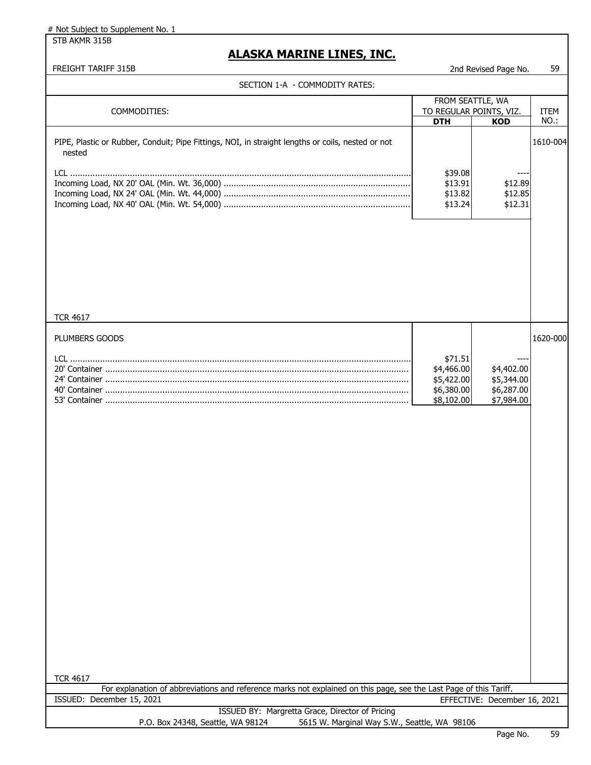STB AKMR 315B

### **ALASKA MARINE LINES, INC.**

|  | SECTION 1-A  - COMMODITY RATES: |  |
|--|---------------------------------|--|
|--|---------------------------------|--|

| SECTION 1-A - COMMODITY RATES:                                                                                                        |                          |                              |          |
|---------------------------------------------------------------------------------------------------------------------------------------|--------------------------|------------------------------|----------|
|                                                                                                                                       | FROM SEATTLE, WA         |                              |          |
| COMMODITIES:                                                                                                                          | TO REGULAR POINTS, VIZ.  |                              | ITEM     |
|                                                                                                                                       | <b>DTH</b>               | <b>KOD</b>                   | NO.:     |
| PIPE, Plastic or Rubber, Conduit; Pipe Fittings, NOI, in straight lengths or coils, nested or not<br>nested                           |                          |                              | 1610-004 |
|                                                                                                                                       | \$39.08                  |                              |          |
|                                                                                                                                       | \$13.91                  | \$12.89                      |          |
|                                                                                                                                       | \$13.82                  | \$12.85                      |          |
|                                                                                                                                       | \$13.24                  | \$12.31                      |          |
|                                                                                                                                       |                          |                              |          |
| <b>TCR 4617</b>                                                                                                                       |                          |                              |          |
| PLUMBERS GOODS                                                                                                                        |                          |                              | 1620-000 |
|                                                                                                                                       | \$71.51                  |                              |          |
|                                                                                                                                       | \$4,466.00<br>\$5,422.00 | \$4,402.00<br>\$5,344.00     |          |
|                                                                                                                                       | \$6,380.00               | \$6,287.00                   |          |
|                                                                                                                                       | \$8,102.00               | \$7,984.00                   |          |
|                                                                                                                                       |                          |                              |          |
|                                                                                                                                       |                          |                              |          |
|                                                                                                                                       |                          |                              |          |
|                                                                                                                                       |                          |                              |          |
|                                                                                                                                       |                          |                              |          |
|                                                                                                                                       |                          |                              |          |
|                                                                                                                                       |                          |                              |          |
|                                                                                                                                       |                          |                              |          |
|                                                                                                                                       |                          |                              |          |
|                                                                                                                                       |                          |                              |          |
|                                                                                                                                       |                          |                              |          |
|                                                                                                                                       |                          |                              |          |
|                                                                                                                                       |                          |                              |          |
|                                                                                                                                       |                          |                              |          |
|                                                                                                                                       |                          |                              |          |
|                                                                                                                                       |                          |                              |          |
|                                                                                                                                       |                          |                              |          |
|                                                                                                                                       |                          |                              |          |
|                                                                                                                                       |                          |                              |          |
|                                                                                                                                       |                          |                              |          |
|                                                                                                                                       |                          |                              |          |
|                                                                                                                                       |                          |                              |          |
| <b>TCR 4617</b><br>For explanation of abbreviations and reference marks not explained on this page, see the Last Page of this Tariff. |                          |                              |          |
| ISSUED: December 15, 2021                                                                                                             |                          | EFFECTIVE: December 16, 2021 |          |
| ISSUED BY: Margretta Grace, Director of Pricing                                                                                       |                          |                              |          |
| P.O. Box 24348, Seattle, WA 98124<br>5615 W. Marginal Way S.W., Seattle, WA 98106                                                     |                          |                              |          |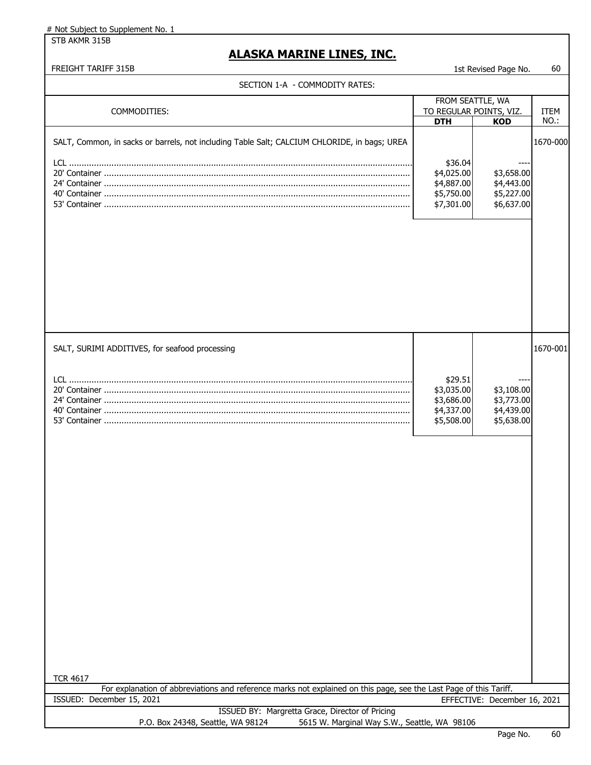STB AKMR 315B

### **ALASKA MARINE LINES, INC.**

|  | ECTION 1-A  - COMMODITY RATES: |  |
|--|--------------------------------|--|
|--|--------------------------------|--|

| SECTION 1-A - COMMODITY RATES:                                                                                                                  |                                                                 |                                                      |             |
|-------------------------------------------------------------------------------------------------------------------------------------------------|-----------------------------------------------------------------|------------------------------------------------------|-------------|
|                                                                                                                                                 | FROM SEATTLE, WA                                                |                                                      |             |
| COMMODITIES:                                                                                                                                    | TO REGULAR POINTS, VIZ.                                         |                                                      | <b>ITEM</b> |
|                                                                                                                                                 | <b>DTH</b>                                                      | <b>KOD</b>                                           | NO.:        |
| SALT, Common, in sacks or barrels, not including Table Salt; CALCIUM CHLORIDE, in bags; UREA                                                    | \$36.04                                                         |                                                      | 1670-000    |
|                                                                                                                                                 | \$4,025.00<br>\$4,887.00<br>\$5,750.00<br>\$7,301.00            | \$3,658.00<br>\$4,443.00<br>\$5,227.00<br>\$6,637.00 |             |
|                                                                                                                                                 |                                                                 |                                                      |             |
| SALT, SURIMI ADDITIVES, for seafood processing                                                                                                  |                                                                 |                                                      | 1670-001    |
|                                                                                                                                                 | \$29.51<br>\$3,035.00<br>\$3,686.00<br>\$4,337.00<br>\$5,508.00 | \$3,108.00<br>\$3,773.00<br>\$4,439.00<br>\$5,638.00 |             |
|                                                                                                                                                 |                                                                 |                                                      |             |
|                                                                                                                                                 |                                                                 |                                                      |             |
|                                                                                                                                                 |                                                                 |                                                      |             |
|                                                                                                                                                 |                                                                 |                                                      |             |
|                                                                                                                                                 |                                                                 |                                                      |             |
| <b>TCR 4617</b>                                                                                                                                 |                                                                 |                                                      |             |
| For explanation of abbreviations and reference marks not explained on this page, see the Last Page of this Tariff.<br>ISSUED: December 15, 2021 |                                                                 |                                                      |             |
|                                                                                                                                                 |                                                                 | EFFECTIVE: December 16, 2021                         |             |
| ISSUED BY: Margretta Grace, Director of Pricing<br>5615 W. Marginal Way S.W., Seattle, WA 98106<br>P.O. Box 24348, Seattle, WA 98124            |                                                                 |                                                      |             |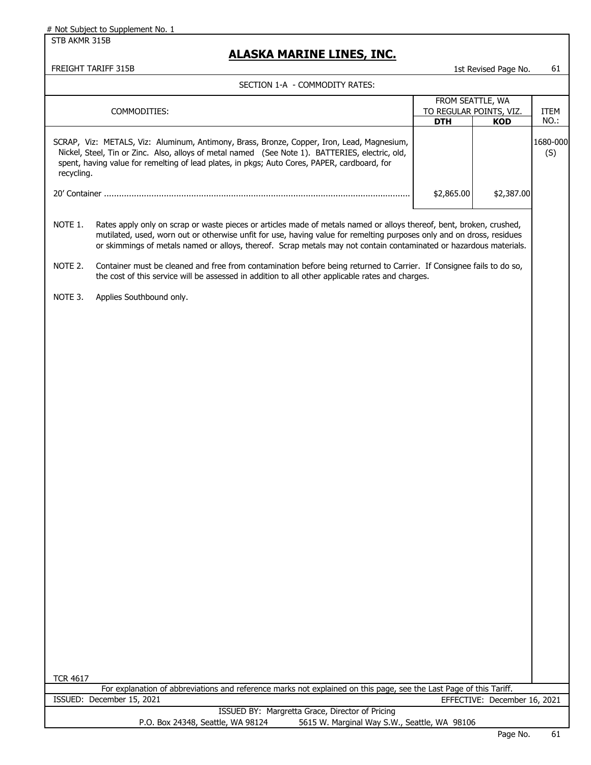STB AKMR 315B

### **ALASKA MARINE LINES, INC.**

|  | SECTION 1-A  - COMMODITY RATES: |  |
|--|---------------------------------|--|
|--|---------------------------------|--|

|                 | SELIIUN I-A - LUMMUULII KAIES.                                                                                                                                                                                                                                                                                                                                      |                         |                              |                 |
|-----------------|---------------------------------------------------------------------------------------------------------------------------------------------------------------------------------------------------------------------------------------------------------------------------------------------------------------------------------------------------------------------|-------------------------|------------------------------|-----------------|
|                 |                                                                                                                                                                                                                                                                                                                                                                     | FROM SEATTLE, WA        |                              |                 |
|                 | COMMODITIES:                                                                                                                                                                                                                                                                                                                                                        | TO REGULAR POINTS, VIZ. |                              | ITEM            |
|                 |                                                                                                                                                                                                                                                                                                                                                                     | <b>DTH</b>              | <b>KOD</b>                   | NO.:            |
| recycling.      | SCRAP, Viz: METALS, Viz: Aluminum, Antimony, Brass, Bronze, Copper, Iron, Lead, Magnesium,<br>Nickel, Steel, Tin or Zinc. Also, alloys of metal named (See Note 1). BATTERIES, electric, old,<br>spent, having value for remelting of lead plates, in pkgs; Auto Cores, PAPER, cardboard, for                                                                       |                         |                              | 1680-000<br>(S) |
|                 |                                                                                                                                                                                                                                                                                                                                                                     |                         |                              |                 |
|                 |                                                                                                                                                                                                                                                                                                                                                                     | \$2,865.00              | \$2,387.00                   |                 |
| NOTE 1.         | Rates apply only on scrap or waste pieces or articles made of metals named or alloys thereof, bent, broken, crushed,<br>mutilated, used, worn out or otherwise unfit for use, having value for remelting purposes only and on dross, residues<br>or skimmings of metals named or alloys, thereof. Scrap metals may not contain contaminated or hazardous materials. |                         |                              |                 |
| NOTE 2.         | Container must be cleaned and free from contamination before being returned to Carrier. If Consignee fails to do so,<br>the cost of this service will be assessed in addition to all other applicable rates and charges.                                                                                                                                            |                         |                              |                 |
| NOTE 3.         | Applies Southbound only.                                                                                                                                                                                                                                                                                                                                            |                         |                              |                 |
|                 |                                                                                                                                                                                                                                                                                                                                                                     |                         |                              |                 |
|                 |                                                                                                                                                                                                                                                                                                                                                                     |                         |                              |                 |
|                 |                                                                                                                                                                                                                                                                                                                                                                     |                         |                              |                 |
|                 |                                                                                                                                                                                                                                                                                                                                                                     |                         |                              |                 |
|                 |                                                                                                                                                                                                                                                                                                                                                                     |                         |                              |                 |
|                 |                                                                                                                                                                                                                                                                                                                                                                     |                         |                              |                 |
|                 |                                                                                                                                                                                                                                                                                                                                                                     |                         |                              |                 |
|                 |                                                                                                                                                                                                                                                                                                                                                                     |                         |                              |                 |
|                 |                                                                                                                                                                                                                                                                                                                                                                     |                         |                              |                 |
|                 |                                                                                                                                                                                                                                                                                                                                                                     |                         |                              |                 |
|                 |                                                                                                                                                                                                                                                                                                                                                                     |                         |                              |                 |
|                 |                                                                                                                                                                                                                                                                                                                                                                     |                         |                              |                 |
|                 |                                                                                                                                                                                                                                                                                                                                                                     |                         |                              |                 |
|                 |                                                                                                                                                                                                                                                                                                                                                                     |                         |                              |                 |
|                 |                                                                                                                                                                                                                                                                                                                                                                     |                         |                              |                 |
|                 |                                                                                                                                                                                                                                                                                                                                                                     |                         |                              |                 |
|                 |                                                                                                                                                                                                                                                                                                                                                                     |                         |                              |                 |
|                 |                                                                                                                                                                                                                                                                                                                                                                     |                         |                              |                 |
|                 |                                                                                                                                                                                                                                                                                                                                                                     |                         |                              |                 |
|                 |                                                                                                                                                                                                                                                                                                                                                                     |                         |                              |                 |
|                 |                                                                                                                                                                                                                                                                                                                                                                     |                         |                              |                 |
| <b>TCR 4617</b> |                                                                                                                                                                                                                                                                                                                                                                     |                         |                              |                 |
|                 | For explanation of abbreviations and reference marks not explained on this page, see the Last Page of this Tariff.                                                                                                                                                                                                                                                  |                         |                              |                 |
|                 | ISSUED: December 15, 2021                                                                                                                                                                                                                                                                                                                                           |                         | EFFECTIVE: December 16, 2021 |                 |
|                 | ISSUED BY: Margretta Grace, Director of Pricing<br>5615 W. Marginal Way S.W., Seattle, WA 98106<br>P.O. Box 24348, Seattle, WA 98124                                                                                                                                                                                                                                |                         |                              |                 |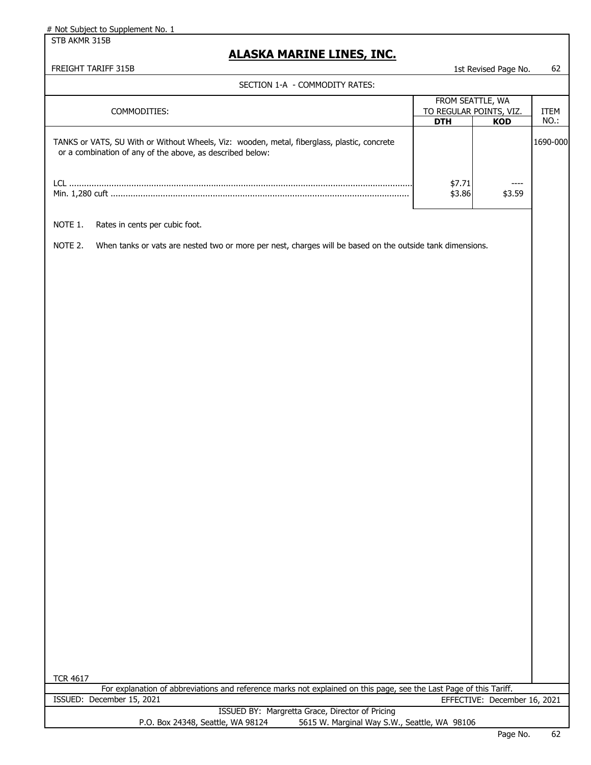STB AKMR 315B

## **ALASKA MARINE LINES, INC.**

|  | SECTION 1-A  - COMMODITY RATES: |  |
|--|---------------------------------|--|
|--|---------------------------------|--|

| SECTION 1-A - COMMODITY RATES:                                                                                                                           |                         |                              |             |
|----------------------------------------------------------------------------------------------------------------------------------------------------------|-------------------------|------------------------------|-------------|
|                                                                                                                                                          | FROM SEATTLE, WA        |                              |             |
| COMMODITIES:                                                                                                                                             | TO REGULAR POINTS, VIZ. |                              | <b>ITEM</b> |
|                                                                                                                                                          | <b>DTH</b>              | <b>KOD</b>                   | NO.:        |
| TANKS or VATS, SU With or Without Wheels, Viz: wooden, metal, fiberglass, plastic, concrete<br>or a combination of any of the above, as described below: |                         |                              | 1690-000    |
|                                                                                                                                                          | \$7.71<br>\$3.86        | ----<br>\$3.59               |             |
| NOTE 1.<br>Rates in cents per cubic foot.                                                                                                                |                         |                              |             |
| NOTE 2.<br>When tanks or vats are nested two or more per nest, charges will be based on the outside tank dimensions.                                     |                         |                              |             |
|                                                                                                                                                          |                         |                              |             |
| <b>TCR 4617</b>                                                                                                                                          |                         |                              |             |
| For explanation of abbreviations and reference marks not explained on this page, see the Last Page of this Tariff.                                       |                         |                              |             |
| ISSUED: December 15, 2021                                                                                                                                |                         | EFFECTIVE: December 16, 2021 |             |
| ISSUED BY: Margretta Grace, Director of Pricing                                                                                                          |                         |                              |             |
| P.O. Box 24348, Seattle, WA 98124<br>5615 W. Marginal Way S.W., Seattle, WA 98106                                                                        |                         |                              |             |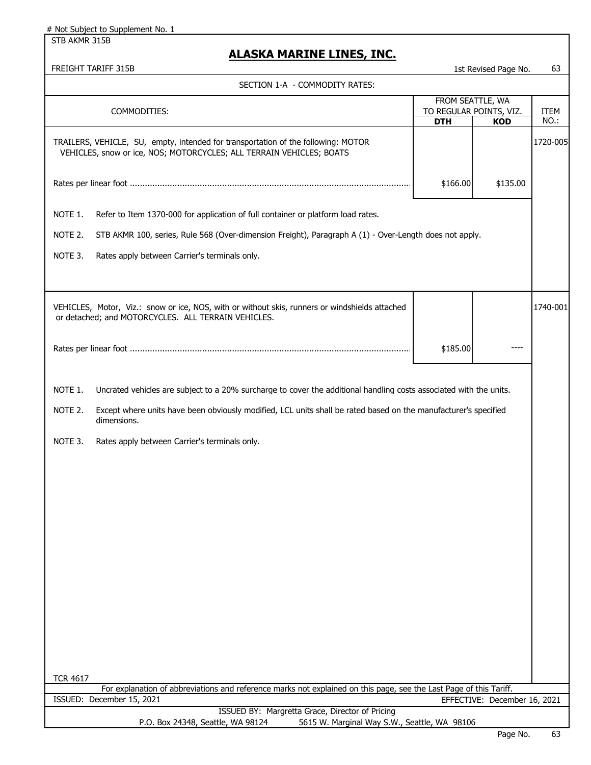STB AKMR 315B

### **ALASKA MARINE LINES, INC.**

|                 |                                                                                                                                                           |                         | Luction Lugo Hui             |             |
|-----------------|-----------------------------------------------------------------------------------------------------------------------------------------------------------|-------------------------|------------------------------|-------------|
|                 | SECTION 1-A - COMMODITY RATES:                                                                                                                            |                         |                              |             |
|                 |                                                                                                                                                           |                         | FROM SEATTLE, WA             |             |
|                 | COMMODITIES:                                                                                                                                              | TO REGULAR POINTS, VIZ. |                              | <b>ITEM</b> |
|                 |                                                                                                                                                           | <b>DTH</b>              | <b>KOD</b>                   | NO.:        |
|                 | TRAILERS, VEHICLE, SU, empty, intended for transportation of the following: MOTOR<br>VEHICLES, snow or ice, NOS; MOTORCYCLES; ALL TERRAIN VEHICLES; BOATS |                         |                              | 1720-005    |
|                 |                                                                                                                                                           | \$166.00                | \$135.00                     |             |
| NOTE 1.         | Refer to Item 1370-000 for application of full container or platform load rates.                                                                          |                         |                              |             |
| NOTE 2.         | STB AKMR 100, series, Rule 568 (Over-dimension Freight), Paragraph A (1) - Over-Length does not apply.                                                    |                         |                              |             |
| NOTE 3.         | Rates apply between Carrier's terminals only.                                                                                                             |                         |                              |             |
|                 |                                                                                                                                                           |                         |                              |             |
|                 | VEHICLES, Motor, Viz.: snow or ice, NOS, with or without skis, runners or windshields attached<br>or detached; and MOTORCYCLES. ALL TERRAIN VEHICLES.     |                         |                              | 1740-001    |
|                 |                                                                                                                                                           | \$185.00                |                              |             |
| NOTE 1.         | Uncrated vehicles are subject to a 20% surcharge to cover the additional handling costs associated with the units.                                        |                         |                              |             |
| NOTE 2.         | Except where units have been obviously modified, LCL units shall be rated based on the manufacturer's specified<br>dimensions.                            |                         |                              |             |
| NOTE 3.         | Rates apply between Carrier's terminals only.                                                                                                             |                         |                              |             |
|                 |                                                                                                                                                           |                         |                              |             |
|                 |                                                                                                                                                           |                         |                              |             |
|                 |                                                                                                                                                           |                         |                              |             |
|                 |                                                                                                                                                           |                         |                              |             |
|                 |                                                                                                                                                           |                         |                              |             |
|                 |                                                                                                                                                           |                         |                              |             |
|                 |                                                                                                                                                           |                         |                              |             |
|                 |                                                                                                                                                           |                         |                              |             |
|                 |                                                                                                                                                           |                         |                              |             |
|                 |                                                                                                                                                           |                         |                              |             |
| <b>TCR 4617</b> |                                                                                                                                                           |                         |                              |             |
|                 | For explanation of abbreviations and reference marks not explained on this page, see the Last Page of this Tariff.                                        |                         |                              |             |
|                 | ISSUED: December 15, 2021                                                                                                                                 |                         | EFFECTIVE: December 16, 2021 |             |
|                 | ISSUED BY: Margretta Grace, Director of Pricing<br>P.O. Box 24348, Seattle, WA 98124<br>5615 W. Marginal Way S.W., Seattle, WA 98106                      |                         |                              |             |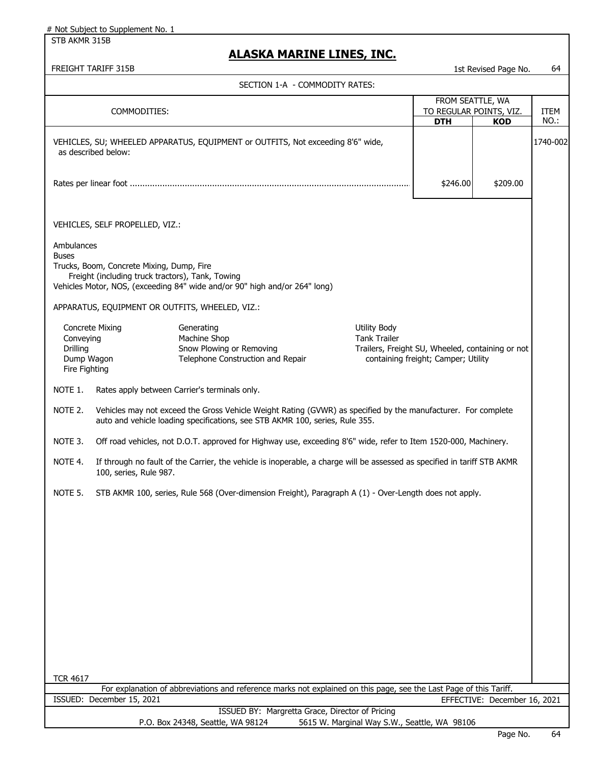STB AKMR 315B

### **ALASKA MARINE LINES, INC.**

|                                                      |                                                                                               | SECTION 1-A - COMMODITY RATES:                                                                                                                                                                |                                              |                                                                                         |                                                           |              |
|------------------------------------------------------|-----------------------------------------------------------------------------------------------|-----------------------------------------------------------------------------------------------------------------------------------------------------------------------------------------------|----------------------------------------------|-----------------------------------------------------------------------------------------|-----------------------------------------------------------|--------------|
|                                                      | COMMODITIES:                                                                                  |                                                                                                                                                                                               |                                              | <b>DTH</b>                                                                              | FROM SEATTLE, WA<br>TO REGULAR POINTS, VIZ.<br><b>KOD</b> | ITEM<br>NO.: |
|                                                      | as described below:                                                                           | VEHICLES, SU; WHEELED APPARATUS, EQUIPMENT or OUTFITS, Not exceeding 8'6" wide,                                                                                                               |                                              |                                                                                         |                                                           | 1740-002     |
|                                                      |                                                                                               |                                                                                                                                                                                               |                                              | \$246.00                                                                                | \$209.00                                                  |              |
|                                                      | VEHICLES, SELF PROPELLED, VIZ.:                                                               |                                                                                                                                                                                               |                                              |                                                                                         |                                                           |              |
| Ambulances<br><b>Buses</b>                           | Trucks, Boom, Concrete Mixing, Dump, Fire<br>Freight (including truck tractors), Tank, Towing | Vehicles Motor, NOS, (exceeding 84" wide and/or 90" high and/or 264" long)                                                                                                                    |                                              |                                                                                         |                                                           |              |
|                                                      |                                                                                               | APPARATUS, EQUIPMENT OR OUTFITS, WHEELED, VIZ.:                                                                                                                                               |                                              |                                                                                         |                                                           |              |
| Conveying<br>Drilling<br>Dump Wagon<br>Fire Fighting | <b>Concrete Mixing</b>                                                                        | Generating<br>Machine Shop<br>Snow Plowing or Removing<br>Telephone Construction and Repair                                                                                                   | <b>Utility Body</b><br><b>Tank Trailer</b>   | Trailers, Freight SU, Wheeled, containing or not<br>containing freight; Camper; Utility |                                                           |              |
| NOTE 1.                                              |                                                                                               | Rates apply between Carrier's terminals only.                                                                                                                                                 |                                              |                                                                                         |                                                           |              |
| NOTE 2.                                              |                                                                                               | Vehicles may not exceed the Gross Vehicle Weight Rating (GVWR) as specified by the manufacturer. For complete<br>auto and vehicle loading specifications, see STB AKMR 100, series, Rule 355. |                                              |                                                                                         |                                                           |              |
| NOTE 3.                                              |                                                                                               | Off road vehicles, not D.O.T. approved for Highway use, exceeding 8'6" wide, refer to Item 1520-000, Machinery.                                                                               |                                              |                                                                                         |                                                           |              |
| NOTE 4.                                              | 100, series, Rule 987.                                                                        | If through no fault of the Carrier, the vehicle is inoperable, a charge will be assessed as specified in tariff STB AKMR                                                                      |                                              |                                                                                         |                                                           |              |
| NOTE 5.                                              |                                                                                               | STB AKMR 100, series, Rule 568 (Over-dimension Freight), Paragraph A (1) - Over-Length does not apply.                                                                                        |                                              |                                                                                         |                                                           |              |
|                                                      |                                                                                               |                                                                                                                                                                                               |                                              |                                                                                         |                                                           |              |
|                                                      |                                                                                               |                                                                                                                                                                                               |                                              |                                                                                         |                                                           |              |
|                                                      |                                                                                               |                                                                                                                                                                                               |                                              |                                                                                         |                                                           |              |
|                                                      |                                                                                               |                                                                                                                                                                                               |                                              |                                                                                         |                                                           |              |
|                                                      |                                                                                               |                                                                                                                                                                                               |                                              |                                                                                         |                                                           |              |
|                                                      |                                                                                               |                                                                                                                                                                                               |                                              |                                                                                         |                                                           |              |
|                                                      |                                                                                               |                                                                                                                                                                                               |                                              |                                                                                         |                                                           |              |
| <b>TCR 4617</b>                                      |                                                                                               |                                                                                                                                                                                               |                                              |                                                                                         |                                                           |              |
|                                                      | ISSUED: December 15, 2021                                                                     | For explanation of abbreviations and reference marks not explained on this page, see the Last Page of this Tariff.                                                                            |                                              |                                                                                         | EFFECTIVE: December 16, 2021                              |              |
|                                                      |                                                                                               | ISSUED BY: Margretta Grace, Director of Pricing                                                                                                                                               |                                              |                                                                                         |                                                           |              |
|                                                      |                                                                                               | P.O. Box 24348, Seattle, WA 98124                                                                                                                                                             | 5615 W. Marginal Way S.W., Seattle, WA 98106 |                                                                                         |                                                           |              |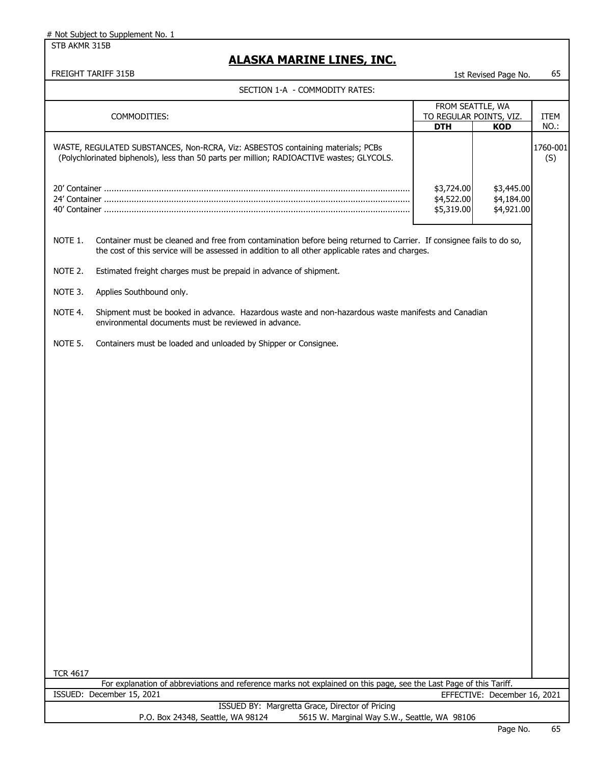STB AKMR 315B

### **ALASKA MARINE LINES, INC.**

FREIGHT TARIFF 315B 1st Revised Page No. 65

|                 |                                                                                                                                                                                                                          | FROM SEATTLE, WA                       |                                        |                 |
|-----------------|--------------------------------------------------------------------------------------------------------------------------------------------------------------------------------------------------------------------------|----------------------------------------|----------------------------------------|-----------------|
|                 | COMMODITIES:                                                                                                                                                                                                             | TO REGULAR POINTS, VIZ.                |                                        | <b>ITEM</b>     |
|                 |                                                                                                                                                                                                                          | <b>DTH</b>                             | <b>KOD</b>                             | NO.:            |
|                 | WASTE, REGULATED SUBSTANCES, Non-RCRA, Viz: ASBESTOS containing materials; PCBs<br>(Polychlorinated biphenols), less than 50 parts per million; RADIOACTIVE wastes; GLYCOLS.                                             |                                        |                                        | 1760-001<br>(S) |
|                 |                                                                                                                                                                                                                          | \$3,724.00<br>\$4,522.00<br>\$5,319.00 | \$3,445.00<br>\$4,184.00<br>\$4,921.00 |                 |
| NOTE 1.         | Container must be cleaned and free from contamination before being returned to Carrier. If consignee fails to do so,<br>the cost of this service will be assessed in addition to all other applicable rates and charges. |                                        |                                        |                 |
| NOTE 2.         | Estimated freight charges must be prepaid in advance of shipment.                                                                                                                                                        |                                        |                                        |                 |
| NOTE 3.         | Applies Southbound only.                                                                                                                                                                                                 |                                        |                                        |                 |
| NOTE 4.         | Shipment must be booked in advance. Hazardous waste and non-hazardous waste manifests and Canadian<br>environmental documents must be reviewed in advance.                                                               |                                        |                                        |                 |
| NOTE 5.         | Containers must be loaded and unloaded by Shipper or Consignee.                                                                                                                                                          |                                        |                                        |                 |
|                 |                                                                                                                                                                                                                          |                                        |                                        |                 |
|                 |                                                                                                                                                                                                                          |                                        |                                        |                 |
|                 |                                                                                                                                                                                                                          |                                        |                                        |                 |
|                 |                                                                                                                                                                                                                          |                                        |                                        |                 |
|                 |                                                                                                                                                                                                                          |                                        |                                        |                 |
|                 |                                                                                                                                                                                                                          |                                        |                                        |                 |
|                 |                                                                                                                                                                                                                          |                                        |                                        |                 |
|                 |                                                                                                                                                                                                                          |                                        |                                        |                 |
|                 |                                                                                                                                                                                                                          |                                        |                                        |                 |
|                 |                                                                                                                                                                                                                          |                                        |                                        |                 |
|                 |                                                                                                                                                                                                                          |                                        |                                        |                 |
|                 |                                                                                                                                                                                                                          |                                        |                                        |                 |
|                 |                                                                                                                                                                                                                          |                                        |                                        |                 |
|                 |                                                                                                                                                                                                                          |                                        |                                        |                 |
|                 |                                                                                                                                                                                                                          |                                        |                                        |                 |
| <b>TCR 4617</b> |                                                                                                                                                                                                                          |                                        |                                        |                 |
|                 | For explanation of abbreviations and reference marks not explained on this page, see the Last Page of this Tariff.                                                                                                       |                                        |                                        |                 |
|                 | ISSUED: December 15, 2021                                                                                                                                                                                                |                                        | EFFECTIVE: December 16, 2021           |                 |
|                 | ISSUED BY: Margretta Grace, Director of Pricing<br>P.O. Box 24348, Seattle, WA 98124<br>5615 W. Marginal Way S.W., Seattle, WA 98106                                                                                     |                                        |                                        |                 |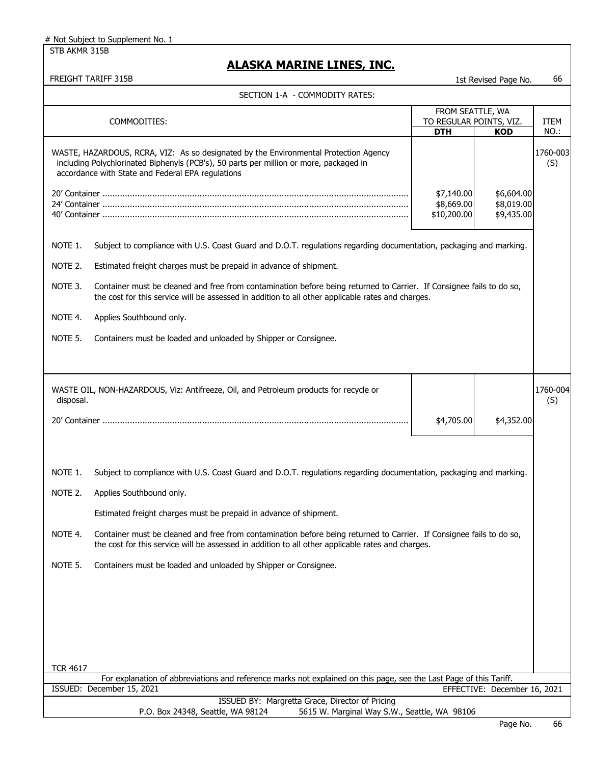STB AKMR 315B

| FREIGHT TARIFF 315B |                                                                                                                                                                                                                                     |                                         | 1st Revised Page No.                   | 66                  |
|---------------------|-------------------------------------------------------------------------------------------------------------------------------------------------------------------------------------------------------------------------------------|-----------------------------------------|----------------------------------------|---------------------|
|                     | SECTION 1-A - COMMODITY RATES:                                                                                                                                                                                                      |                                         |                                        |                     |
|                     |                                                                                                                                                                                                                                     | FROM SEATTLE, WA                        |                                        |                     |
|                     | COMMODITIES:                                                                                                                                                                                                                        | TO REGULAR POINTS, VIZ.<br><b>DTH</b>   | <b>KOD</b>                             | <b>ITEM</b><br>NO.: |
|                     | WASTE, HAZARDOUS, RCRA, VIZ: As so designated by the Environmental Protection Agency<br>including Polychlorinated Biphenyls (PCB's), 50 parts per million or more, packaged in<br>accordance with State and Federal EPA regulations |                                         |                                        | 1760-003<br>(S)     |
|                     |                                                                                                                                                                                                                                     | \$7,140.00<br>\$8,669.00<br>\$10,200.00 | \$6,604.00<br>\$8,019.00<br>\$9,435.00 |                     |
| NOTE 1.             | Subject to compliance with U.S. Coast Guard and D.O.T. regulations regarding documentation, packaging and marking.                                                                                                                  |                                         |                                        |                     |
| NOTE 2.             | Estimated freight charges must be prepaid in advance of shipment.                                                                                                                                                                   |                                         |                                        |                     |
| NOTE 3.             | Container must be cleaned and free from contamination before being returned to Carrier. If Consignee fails to do so,<br>the cost for this service will be assessed in addition to all other applicable rates and charges.           |                                         |                                        |                     |
| NOTE 4.             | Applies Southbound only.                                                                                                                                                                                                            |                                         |                                        |                     |
| NOTE 5.             | Containers must be loaded and unloaded by Shipper or Consignee.                                                                                                                                                                     |                                         |                                        |                     |
|                     |                                                                                                                                                                                                                                     |                                         |                                        |                     |
| disposal.           | WASTE OIL, NON-HAZARDOUS, Viz: Antifreeze, Oil, and Petroleum products for recycle or                                                                                                                                               |                                         |                                        | 1760-004<br>(S)     |
|                     |                                                                                                                                                                                                                                     | \$4,705.00                              | \$4,352.00                             |                     |
| NOTE 1.             | Subject to compliance with U.S. Coast Guard and D.O.T. regulations regarding documentation, packaging and marking.                                                                                                                  |                                         |                                        |                     |
| NOTE 2.             | Applies Southbound only.                                                                                                                                                                                                            |                                         |                                        |                     |
|                     | Estimated freight charges must be prepaid in advance of shipment.                                                                                                                                                                   |                                         |                                        |                     |
| NOTE 4.             | Container must be cleaned and free from contamination before being returned to Carrier. If Consignee fails to do so,<br>the cost for this service will be assessed in addition to all other applicable rates and charges.           |                                         |                                        |                     |
| NOTE 5.             | Containers must be loaded and unloaded by Shipper or Consignee.                                                                                                                                                                     |                                         |                                        |                     |
|                     |                                                                                                                                                                                                                                     |                                         |                                        |                     |
|                     |                                                                                                                                                                                                                                     |                                         |                                        |                     |
|                     |                                                                                                                                                                                                                                     |                                         |                                        |                     |
| <b>TCR 4617</b>     |                                                                                                                                                                                                                                     |                                         |                                        |                     |
|                     | For explanation of abbreviations and reference marks not explained on this page, see the Last Page of this Tariff.<br>ISSUED: December 15, 2021                                                                                     |                                         | EFFECTIVE: December 16, 2021           |                     |
|                     | ISSUED BY: Margretta Grace, Director of Pricing                                                                                                                                                                                     |                                         |                                        |                     |
|                     | P.O. Box 24348, Seattle, WA 98124<br>5615 W. Marginal Way S.W., Seattle, WA 98106                                                                                                                                                   |                                         |                                        |                     |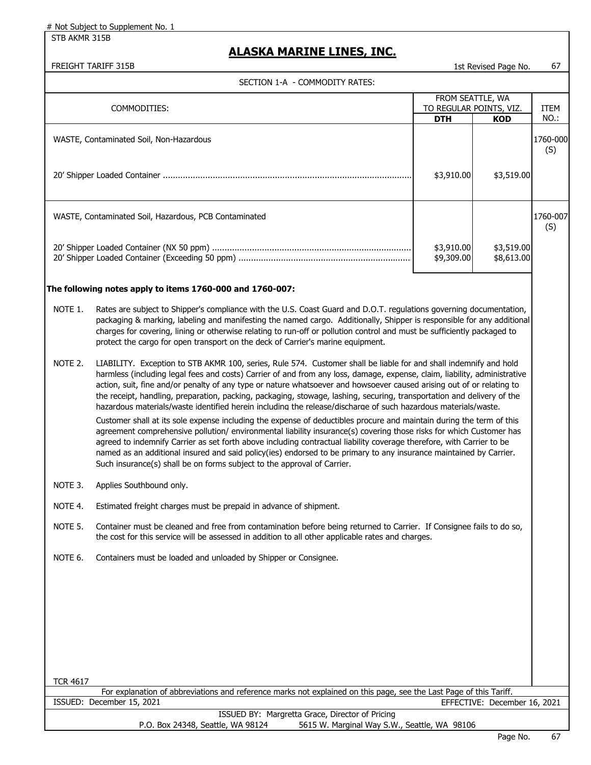STB AKMR 315B

### **ALASKA MARINE LINES, INC.**

FREIGHT TARIFF 315B 1st Revised Page No. 67

| COMMODITIES:                                              |                          | FROM SEATTLE, WA<br>TO REGULAR POINTS, VIZ. |                 |
|-----------------------------------------------------------|--------------------------|---------------------------------------------|-----------------|
|                                                           | <b>DTH</b>               | <b>KOD</b>                                  | NO.:            |
| WASTE, Contaminated Soil, Non-Hazardous                   |                          |                                             | 1760-000<br>(S) |
|                                                           | \$3,910.00               | \$3,519.00                                  |                 |
| WASTE, Contaminated Soil, Hazardous, PCB Contaminated     |                          |                                             | 1760-007<br>(S) |
|                                                           | \$3,910.00<br>\$9,309.00 | \$3,519.00<br>\$8,613.00                    |                 |
| The following notes apply to items 1760-000 and 1760-007: |                          |                                             |                 |

- packaging & marking, labeling and manifesting the named cargo. Additionally, Shipper is responsible for any additional charges for covering, lining or otherwise relating to run-off or pollution control and must be sufficiently packaged to protect the cargo for open transport on the deck of Carrier's marine equipment.
- NOTE 2. LIABILITY. Exception to STB AKMR 100, series, Rule 574. Customer shall be liable for and shall indemnify and hold harmless (including legal fees and costs) Carrier of and from any loss, damage, expense, claim, liability, administrative action, suit, fine and/or penalty of any type or nature whatsoever and howsoever caused arising out of or relating to the receipt, handling, preparation, packing, packaging, stowage, lashing, securing, transportation and delivery of the hazardous materials/waste identified herein including the release/discharge of such hazardous materials/waste.

Customer shall at its sole expense including the expense of deductibles procure and maintain during the term of this agreement comprehensive pollution/ environmental liability insurance(s) covering those risks for which Customer has agreed to indemnify Carrier as set forth above including contractual liability coverage therefore, with Carrier to be named as an additional insured and said policy(ies) endorsed to be primary to any insurance maintained by Carrier. Such insurance(s) shall be on forms subject to the approval of Carrier.

- NOTE 3. Applies Southbound only.
- NOTE 4. Estimated freight charges must be prepaid in advance of shipment.
- NOTE 5. Container must be cleaned and free from contamination before being returned to Carrier. If Consignee fails to do so, the cost for this service will be assessed in addition to all other applicable rates and charges.
- NOTE 6. Containers must be loaded and unloaded by Shipper or Consignee.

For explanation of abbreviations and reference marks not explained on this page, see the Last Page of this Tariff. EFFECTIVE: December 16, 2021 ISSUED: December 15, 2021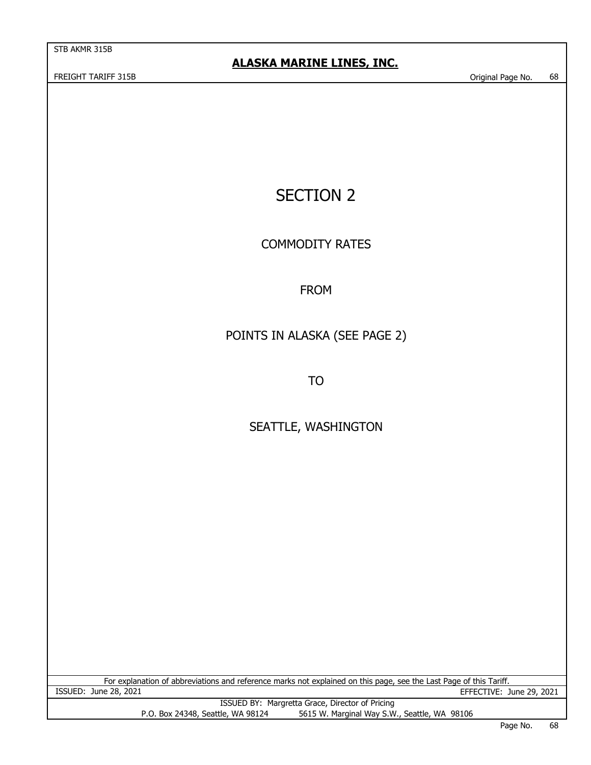STB AKMR 315B

# SECTION 2

COMMODITY RATES

### FROM

### POINTS IN ALASKA (SEE PAGE 2)

TO

## SEATTLE, WASHINGTON

For explanation of abbreviations and reference marks not explained on this page, see the Last Page of this Tariff.<br>15SUED: June 28, 2021<br>FFFECTIVE: ISSUED BY: Margretta Grace, Director of Pricing P.O. Box 24348, Seattle, WA 98124 5615 W. Marginal Way S.W., Seattle, WA 98106 EFFECTIVE: June 29, 2021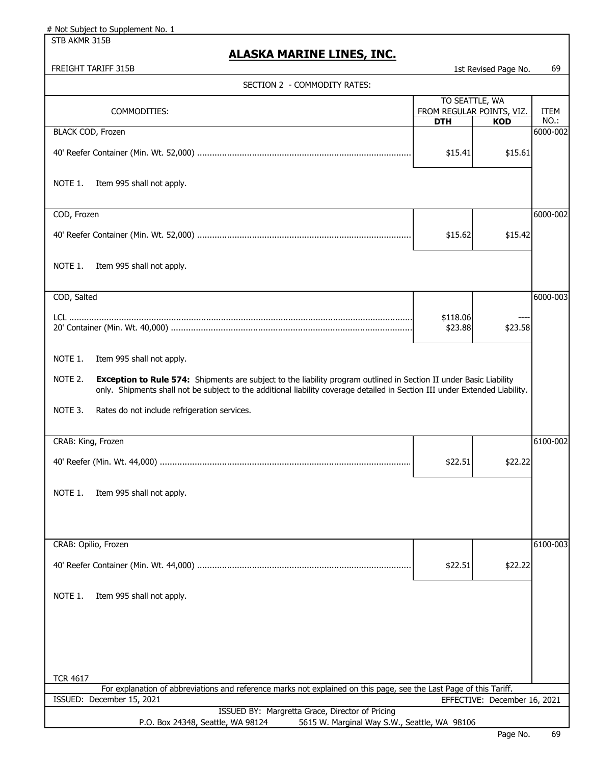| # Not Subject to Supplement No. 1                                                                                                               |                           |                              |                  |
|-------------------------------------------------------------------------------------------------------------------------------------------------|---------------------------|------------------------------|------------------|
| STB AKMR 315B                                                                                                                                   |                           |                              |                  |
| <b>ALASKA MARINE LINES, INC.</b><br>FREIGHT TARIFF 315B                                                                                         |                           |                              | 69               |
|                                                                                                                                                 |                           | 1st Revised Page No.         |                  |
| SECTION 2 - COMMODITY RATES:                                                                                                                    | TO SEATTLE, WA            |                              |                  |
| COMMODITIES:                                                                                                                                    | FROM REGULAR POINTS, VIZ. |                              | ITEM             |
| <b>BLACK COD, Frozen</b>                                                                                                                        | <b>DTH</b>                | <b>KOD</b>                   | NO.:<br>6000-002 |
|                                                                                                                                                 |                           |                              |                  |
|                                                                                                                                                 | \$15.41                   | \$15.61                      |                  |
| NOTE 1.<br>Item 995 shall not apply.                                                                                                            |                           |                              |                  |
| COD, Frozen                                                                                                                                     |                           |                              | 6000-002         |
|                                                                                                                                                 | \$15.62                   | \$15.42                      |                  |
| NOTE 1.<br>Item 995 shall not apply.                                                                                                            |                           |                              |                  |
| COD, Salted                                                                                                                                     |                           |                              | 6000-003         |
|                                                                                                                                                 |                           |                              |                  |
|                                                                                                                                                 | \$118.06<br>\$23.88       | \$23.58                      |                  |
| NOTE 1.<br>Item 995 shall not apply.                                                                                                            |                           |                              |                  |
| NOTE 2.<br>Exception to Rule 574: Shipments are subject to the liability program outlined in Section II under Basic Liability                   |                           |                              |                  |
| only. Shipments shall not be subject to the additional liability coverage detailed in Section III under Extended Liability.                     |                           |                              |                  |
| NOTE 3.<br>Rates do not include refrigeration services.                                                                                         |                           |                              |                  |
|                                                                                                                                                 |                           |                              |                  |
| CRAB: King, Frozen                                                                                                                              |                           |                              | 6100-002         |
|                                                                                                                                                 | \$22.51                   | \$22.22                      |                  |
| NOTE 1.<br>Item 995 shall not apply.                                                                                                            |                           |                              |                  |
|                                                                                                                                                 |                           |                              |                  |
|                                                                                                                                                 |                           |                              |                  |
| CRAB: Opilio, Frozen                                                                                                                            |                           |                              | 6100-003         |
|                                                                                                                                                 | \$22.51                   | \$22.22                      |                  |
| NOTE 1.<br>Item 995 shall not apply.                                                                                                            |                           |                              |                  |
|                                                                                                                                                 |                           |                              |                  |
|                                                                                                                                                 |                           |                              |                  |
|                                                                                                                                                 |                           |                              |                  |
| <b>TCR 4617</b>                                                                                                                                 |                           |                              |                  |
| For explanation of abbreviations and reference marks not explained on this page, see the Last Page of this Tariff.<br>ISSUED: December 15, 2021 |                           | EFFECTIVE: December 16, 2021 |                  |
| ISSUED BY: Margretta Grace, Director of Pricing                                                                                                 |                           |                              |                  |
| P.O. Box 24348, Seattle, WA 98124<br>5615 W. Marginal Way S.W., Seattle, WA 98106                                                               |                           |                              |                  |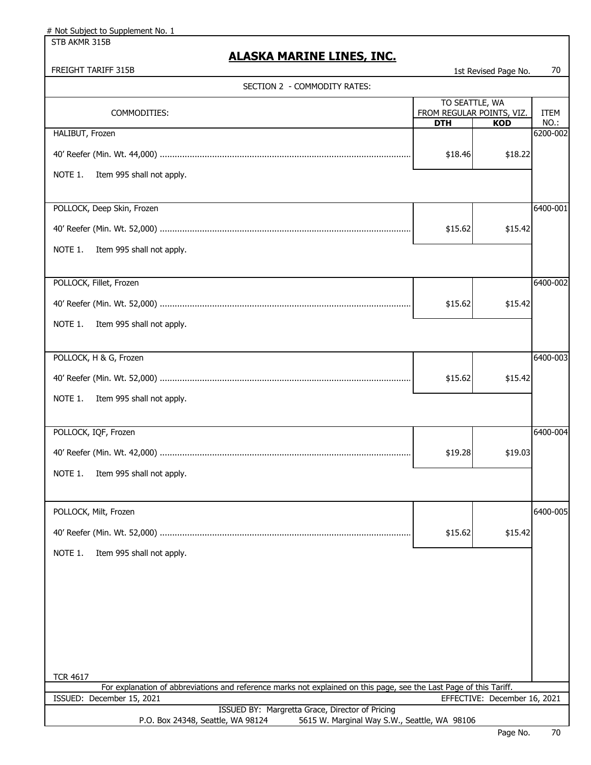# Not Subject to Supplement No. 1

STB AKMR 315B

# **ALASKA MARINE LINES, INC.**

FREIGHT TARIFF 315B 1st Revised Page No. 70

| SECTION 2 - COMMODITY RATES:                                                                                       |            |                                                           |              |
|--------------------------------------------------------------------------------------------------------------------|------------|-----------------------------------------------------------|--------------|
| COMMODITIES:                                                                                                       | <b>DTH</b> | TO SEATTLE, WA<br>FROM REGULAR POINTS, VIZ.<br><b>KOD</b> | ITEM<br>NO.: |
| HALIBUT, Frozen                                                                                                    |            |                                                           | 6200-002     |
|                                                                                                                    | \$18.46    | \$18.22                                                   |              |
| NOTE 1.<br>Item 995 shall not apply.                                                                               |            |                                                           |              |
| POLLOCK, Deep Skin, Frozen                                                                                         |            |                                                           | 6400-001     |
|                                                                                                                    | \$15.62    | \$15.42                                                   |              |
| NOTE 1.<br>Item 995 shall not apply.                                                                               |            |                                                           |              |
| POLLOCK, Fillet, Frozen                                                                                            |            |                                                           | 6400-002     |
|                                                                                                                    | \$15.62    | \$15.42                                                   |              |
| NOTE 1.<br>Item 995 shall not apply.                                                                               |            |                                                           |              |
| POLLOCK, H & G, Frozen                                                                                             |            |                                                           | 6400-003     |
|                                                                                                                    | \$15.62    | \$15.42                                                   |              |
| NOTE 1.<br>Item 995 shall not apply.                                                                               |            |                                                           |              |
| POLLOCK, IQF, Frozen                                                                                               |            |                                                           | 6400-004     |
|                                                                                                                    | \$19.28    | \$19.03                                                   |              |
| NOTE 1.<br>Item 995 shall not apply.                                                                               |            |                                                           |              |
| POLLOCK, Milt, Frozen                                                                                              |            |                                                           | 6400-005     |
|                                                                                                                    | \$15.62    | \$15.42                                                   |              |
| NOTE 1.<br>Item 995 shall not apply.                                                                               |            |                                                           |              |
|                                                                                                                    |            |                                                           |              |
|                                                                                                                    |            |                                                           |              |
|                                                                                                                    |            |                                                           |              |
|                                                                                                                    |            |                                                           |              |
| <b>TCR 4617</b>                                                                                                    |            |                                                           |              |
| For explanation of abbreviations and reference marks not explained on this page, see the Last Page of this Tariff. |            |                                                           |              |
| ISSUED: December 15, 2021<br>ISSUED BY: Margretta Grace, Director of Pricing                                       |            | EFFECTIVE: December 16, 2021                              |              |
| P.O. Box 24348, Seattle, WA 98124<br>5615 W. Marginal Way S.W., Seattle, WA 98106                                  |            |                                                           |              |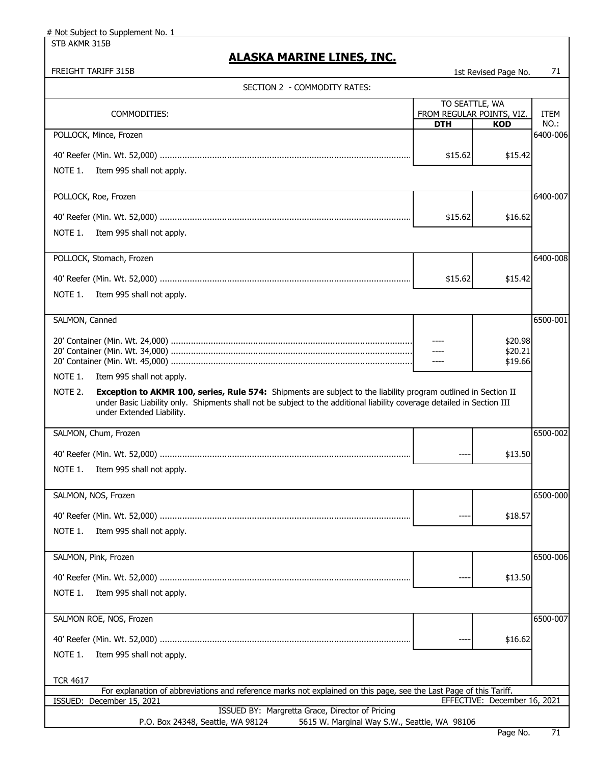# Not Subject to Supplement No. 1

STB AKMR 315B

# **ALASKA MARINE LINES, INC.**

FREIGHT TARIFF 315B 1st Revised Page No. 21

| SECTION 2 - COMMODITY RATES:                                                                                                                                                                                                                                                      |                                                           |                              |              |
|-----------------------------------------------------------------------------------------------------------------------------------------------------------------------------------------------------------------------------------------------------------------------------------|-----------------------------------------------------------|------------------------------|--------------|
| COMMODITIES:                                                                                                                                                                                                                                                                      | TO SEATTLE, WA<br>FROM REGULAR POINTS, VIZ.<br><b>DTH</b> | <b>KOD</b>                   | ITEM<br>NO.: |
| POLLOCK, Mince, Frozen                                                                                                                                                                                                                                                            |                                                           |                              | 6400-006     |
|                                                                                                                                                                                                                                                                                   | \$15.62                                                   | \$15.42                      |              |
| NOTE 1.<br>Item 995 shall not apply.                                                                                                                                                                                                                                              |                                                           |                              |              |
| POLLOCK, Roe, Frozen                                                                                                                                                                                                                                                              |                                                           |                              | 6400-007     |
|                                                                                                                                                                                                                                                                                   | \$15.62                                                   | \$16.62                      |              |
| NOTE 1.<br>Item 995 shall not apply.                                                                                                                                                                                                                                              |                                                           |                              |              |
| POLLOCK, Stomach, Frozen                                                                                                                                                                                                                                                          |                                                           |                              | 6400-008     |
|                                                                                                                                                                                                                                                                                   | \$15.62                                                   | \$15.42                      |              |
| Item 995 shall not apply.<br>NOTE 1.                                                                                                                                                                                                                                              |                                                           |                              |              |
| SALMON, Canned                                                                                                                                                                                                                                                                    |                                                           |                              | 6500-001     |
|                                                                                                                                                                                                                                                                                   |                                                           | \$20.98                      |              |
|                                                                                                                                                                                                                                                                                   |                                                           | \$20.21<br>\$19.66           |              |
| NOTE 1.<br>Item 995 shall not apply.                                                                                                                                                                                                                                              |                                                           |                              |              |
| NOTE 2.<br>Exception to AKMR 100, series, Rule 574: Shipments are subject to the liability program outlined in Section II<br>under Basic Liability only. Shipments shall not be subject to the additional liability coverage detailed in Section III<br>under Extended Liability. |                                                           |                              |              |
| SALMON, Chum, Frozen                                                                                                                                                                                                                                                              |                                                           |                              | 6500-002     |
|                                                                                                                                                                                                                                                                                   | $---$                                                     | \$13.50                      |              |
| NOTE 1.<br>Item 995 shall not apply.                                                                                                                                                                                                                                              |                                                           |                              |              |
| SALMON, NOS, Frozen                                                                                                                                                                                                                                                               |                                                           |                              | 6500-000     |
|                                                                                                                                                                                                                                                                                   |                                                           | \$18.57                      |              |
| NOTE 1.<br>Item 995 shall not apply.                                                                                                                                                                                                                                              |                                                           |                              |              |
| SALMON, Pink, Frozen                                                                                                                                                                                                                                                              |                                                           |                              | 6500-006     |
|                                                                                                                                                                                                                                                                                   |                                                           | \$13.50                      |              |
| NOTE 1.<br>Item 995 shall not apply.                                                                                                                                                                                                                                              |                                                           |                              |              |
| SALMON ROE, NOS, Frozen                                                                                                                                                                                                                                                           |                                                           |                              | 6500-007     |
|                                                                                                                                                                                                                                                                                   | ----                                                      | \$16.62                      |              |
| NOTE 1.<br>Item 995 shall not apply.                                                                                                                                                                                                                                              |                                                           |                              |              |
| <b>TCR 4617</b>                                                                                                                                                                                                                                                                   |                                                           |                              |              |
| For explanation of abbreviations and reference marks not explained on this page, see the Last Page of this Tariff.<br>December 15, 2021<br>ISSUED:                                                                                                                                |                                                           | EFFECTIVE: December 16, 2021 |              |
| ISSUED BY: Margretta Grace, Director of Pricing<br>P.O. Box 24348, Seattle, WA 98124<br>5615 W. Marginal Way S.W., Seattle, WA 98106                                                                                                                                              |                                                           |                              |              |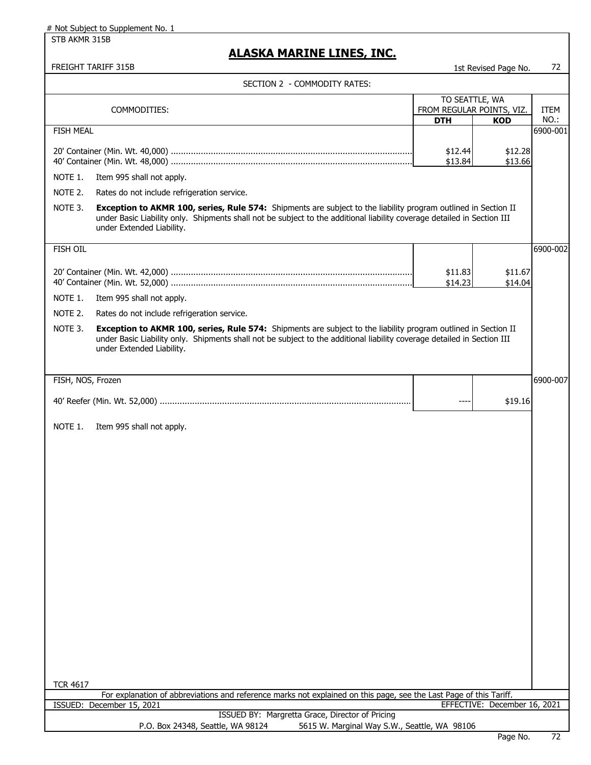# Not Subject to Supplement No. 1

STB AKMR 315B

## **ALASKA MARINE LINES, INC.**

#### FREIGHT TARIFF 315B 1st Revised Page No. 72

| SECTION 2 - COMMODITY RATES: |  |
|------------------------------|--|
|------------------------------|--|

|                   | SECTION 2 - COMMODITY RATES:                                                                                                                                                                                                              |                           |                              |                  |
|-------------------|-------------------------------------------------------------------------------------------------------------------------------------------------------------------------------------------------------------------------------------------|---------------------------|------------------------------|------------------|
| COMMODITIES:      |                                                                                                                                                                                                                                           | TO SEATTLE, WA            |                              |                  |
|                   |                                                                                                                                                                                                                                           | FROM REGULAR POINTS, VIZ. |                              | ITEM             |
| <b>FISH MEAL</b>  |                                                                                                                                                                                                                                           | <b>DTH</b>                | <b>KOD</b>                   | NO.:<br>6900-001 |
|                   |                                                                                                                                                                                                                                           |                           |                              |                  |
|                   |                                                                                                                                                                                                                                           | \$12.44                   | \$12.28                      |                  |
|                   |                                                                                                                                                                                                                                           | \$13.84                   | \$13.66                      |                  |
| NOTE 1.           | Item 995 shall not apply.                                                                                                                                                                                                                 |                           |                              |                  |
| NOTE 2.           | Rates do not include refrigeration service.                                                                                                                                                                                               |                           |                              |                  |
| NOTE 3.           | Exception to AKMR 100, series, Rule 574: Shipments are subject to the liability program outlined in Section II                                                                                                                            |                           |                              |                  |
|                   | under Basic Liability only. Shipments shall not be subject to the additional liability coverage detailed in Section III<br>under Extended Liability.                                                                                      |                           |                              |                  |
| FISH OIL          |                                                                                                                                                                                                                                           |                           |                              | 6900-002         |
|                   |                                                                                                                                                                                                                                           |                           |                              |                  |
|                   |                                                                                                                                                                                                                                           | \$11.83                   | \$11.67                      |                  |
|                   |                                                                                                                                                                                                                                           | \$14.23                   | \$14.04                      |                  |
| NOTE 1.           | Item 995 shall not apply.                                                                                                                                                                                                                 |                           |                              |                  |
| NOTE 2.           | Rates do not include refrigeration service.                                                                                                                                                                                               |                           |                              |                  |
|                   |                                                                                                                                                                                                                                           |                           |                              |                  |
| NOTE 3.           | Exception to AKMR 100, series, Rule 574: Shipments are subject to the liability program outlined in Section II<br>under Basic Liability only. Shipments shall not be subject to the additional liability coverage detailed in Section III |                           |                              |                  |
|                   | under Extended Liability.                                                                                                                                                                                                                 |                           |                              |                  |
|                   |                                                                                                                                                                                                                                           |                           |                              |                  |
|                   |                                                                                                                                                                                                                                           |                           |                              |                  |
| FISH, NOS, Frozen |                                                                                                                                                                                                                                           |                           |                              | 6900-007         |
|                   |                                                                                                                                                                                                                                           | $---$                     | \$19.16                      |                  |
|                   |                                                                                                                                                                                                                                           |                           |                              |                  |
| NOTE 1.           | Item 995 shall not apply.                                                                                                                                                                                                                 |                           |                              |                  |
|                   |                                                                                                                                                                                                                                           |                           |                              |                  |
|                   |                                                                                                                                                                                                                                           |                           |                              |                  |
|                   |                                                                                                                                                                                                                                           |                           |                              |                  |
|                   |                                                                                                                                                                                                                                           |                           |                              |                  |
|                   |                                                                                                                                                                                                                                           |                           |                              |                  |
|                   |                                                                                                                                                                                                                                           |                           |                              |                  |
|                   |                                                                                                                                                                                                                                           |                           |                              |                  |
|                   |                                                                                                                                                                                                                                           |                           |                              |                  |
|                   |                                                                                                                                                                                                                                           |                           |                              |                  |
|                   |                                                                                                                                                                                                                                           |                           |                              |                  |
|                   |                                                                                                                                                                                                                                           |                           |                              |                  |
|                   |                                                                                                                                                                                                                                           |                           |                              |                  |
|                   |                                                                                                                                                                                                                                           |                           |                              |                  |
|                   |                                                                                                                                                                                                                                           |                           |                              |                  |
|                   |                                                                                                                                                                                                                                           |                           |                              |                  |
|                   |                                                                                                                                                                                                                                           |                           |                              |                  |
|                   |                                                                                                                                                                                                                                           |                           |                              |                  |
|                   |                                                                                                                                                                                                                                           |                           |                              |                  |
|                   |                                                                                                                                                                                                                                           |                           |                              |                  |
|                   |                                                                                                                                                                                                                                           |                           |                              |                  |
| <b>TCR 4617</b>   | For explanation of abbreviations and reference marks not explained on this page, see the Last Page of this Tariff.                                                                                                                        |                           |                              |                  |
|                   | ISSUED: December 15, 2021                                                                                                                                                                                                                 |                           | EFFECTIVE: December 16, 2021 |                  |
|                   | ISSUED BY: Margretta Grace, Director of Pricing                                                                                                                                                                                           |                           |                              |                  |
|                   | P.O. Box 24348, Seattle, WA 98124<br>5615 W. Marginal Way S.W., Seattle, WA 98106                                                                                                                                                         |                           |                              |                  |